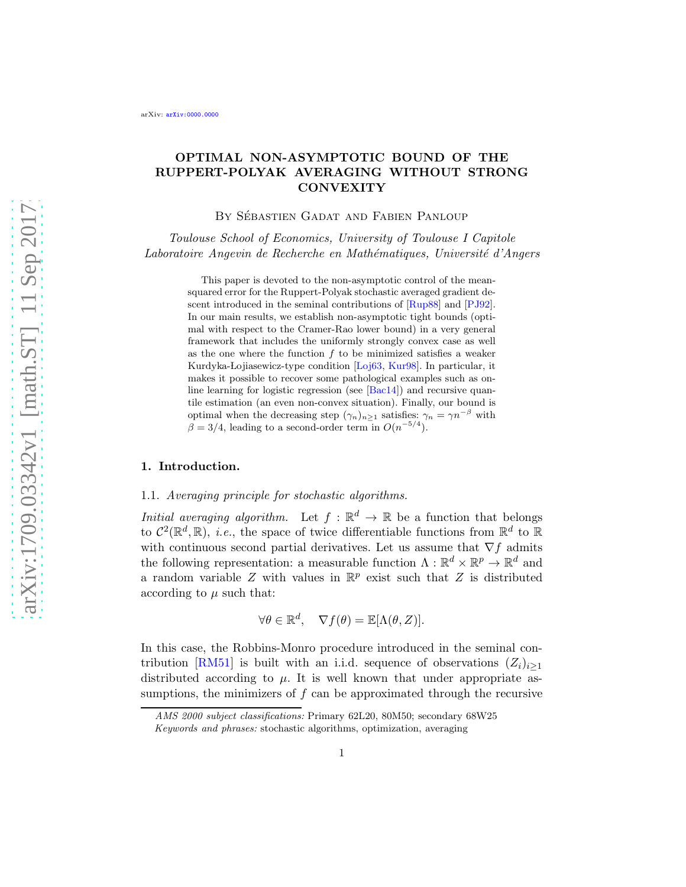# OPTIMAL NON-ASYMPTOTIC BOUND OF THE RUPPERT-POLYAK AVERAGING WITHOUT STRONG **CONVEXITY**

BY SÉBASTIEN GADAT AND FABIEN PANLOUP

Toulouse School of Economics, University of Toulouse I Capitole Laboratoire Angevin de Recherche en Mathématiques, Université d'Angers

> This paper is devoted to the non-asymptotic control of the meansquared error for the Ruppert-Polyak stochastic averaged gradient descent introduced in the seminal contributions of [\[Rup88](#page-33-0)] and [\[PJ92](#page-33-1)]. In our main results, we establish non-asymptotic tight bounds (optimal with respect to the Cramer-Rao lower bound) in a very general framework that includes the uniformly strongly convex case as well as the one where the function  $f$  to be minimized satisfies a weaker Kurdyka-Lojiasewicz-type condition [\[Loj63](#page-33-2), [Kur98\]](#page-33-3). In particular, it makes it possible to recover some pathological examples such as online learning for logistic regression (see  $[Bac14]$ ) and recursive quantile estimation (an even non-convex situation). Finally, our bound is optimal when the decreasing step  $(\gamma_n)_{n\geq 1}$  satisfies:  $\gamma_n = \gamma n^{-\beta}$  with  $\beta = 3/4$ , leading to a second-order term in  $O(n^{-5/4})$ .

### 1. Introduction.

## 1.1. Averaging principle for stochastic algorithms.

Initial averaging algorithm. Let  $f : \mathbb{R}^d \to \mathbb{R}$  be a function that belongs to  $C^2(\mathbb{R}^d, \mathbb{R})$ , *i.e.*, the space of twice differentiable functions from  $\mathbb{R}^d$  to  $\mathbb{R}$ with continuous second partial derivatives. Let us assume that  $\nabla f$  admits the following representation: a measurable function  $\Lambda : \mathbb{R}^d \times \mathbb{R}^p \to \mathbb{R}^d$  and a random variable  $Z$  with values in  $\mathbb{R}^p$  exist such that  $Z$  is distributed according to  $\mu$  such that:

$$
\forall \theta \in \mathbb{R}^d, \quad \nabla f(\theta) = \mathbb{E}[\Lambda(\theta, Z)].
$$

In this case, the Robbins-Monro procedure introduced in the seminal con-tribution [\[RM51\]](#page-33-4) is built with an i.i.d. sequence of observations  $(Z_i)_{i\geq 1}$ distributed according to  $\mu$ . It is well known that under appropriate assumptions, the minimizers of  $f$  can be approximated through the recursive

*AMS 2000 subject classifications:* Primary 62L20, 80M50; secondary 68W25 *Keywords and phrases:* stochastic algorithms, optimization, averaging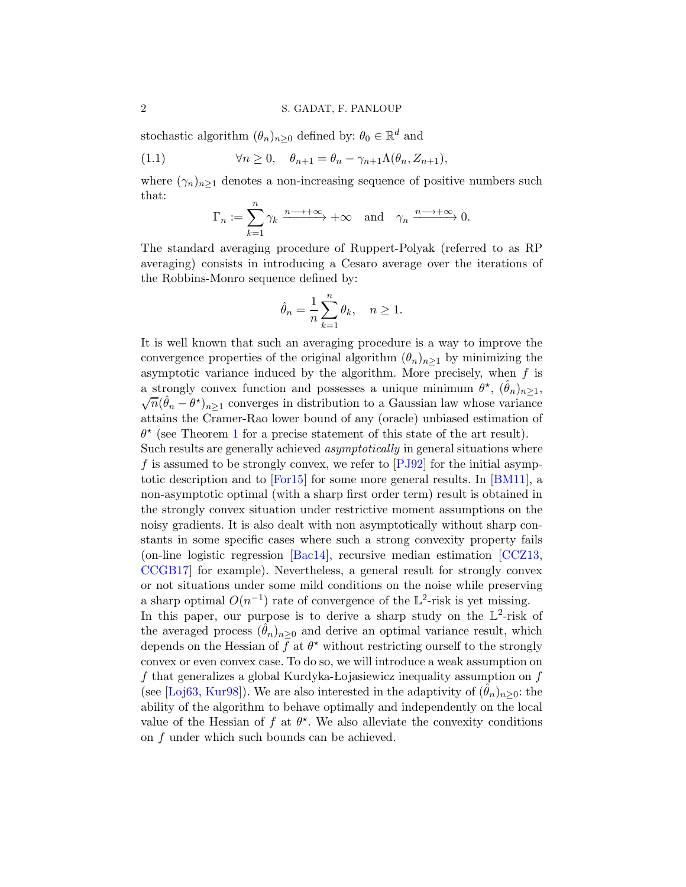stochastic algorithm  $(\theta_n)_{n\geq 0}$  defined by:  $\theta_0 \in \mathbb{R}^d$  and

(1.1) 
$$
\forall n \geq 0, \quad \theta_{n+1} = \theta_n - \gamma_{n+1} \Lambda(\theta_n, Z_{n+1}),
$$

where  $(\gamma_n)_{n\geq 1}$  denotes a non-increasing sequence of positive numbers such that:

<span id="page-1-0"></span>
$$
\Gamma_n := \sum_{k=1}^n \gamma_k \xrightarrow{n \longrightarrow +\infty} +\infty \quad \text{and} \quad \gamma_n \xrightarrow{n \longrightarrow +\infty} 0.
$$

The standard averaging procedure of Ruppert-Polyak (referred to as RP averaging) consists in introducing a Cesaro average over the iterations of the Robbins-Monro sequence defined by:

$$
\hat{\theta}_n = \frac{1}{n} \sum_{k=1}^n \theta_k, \quad n \ge 1.
$$

It is well known that such an averaging procedure is a way to improve the convergence properties of the original algorithm  $(\theta_n)_{n>1}$  by minimizing the asymptotic variance induced by the algorithm. More precisely, when  $f$  is a strongly convex function and possesses a unique minimum  $\theta^*$ ,  $(\hat{\theta}_n)_{n \geq 1}$ ,  $(\hat{\theta}_n - \theta^*)$ ,  $\theta_n$  converges in distribution to a Gaussian law whose variance  $\overline{n}(\hat{\theta}_n - \theta^{\star})_{n \geq 1}$  converges in distribution to a Gaussian law whose variance attains the Cramer-Rao lower bound of any (oracle) unbiased estimation of  $\theta^*$  (see Theorem [1](#page-2-0) for a precise statement of this state of the art result).

Such results are generally achieved asymptotically in general situations where f is assumed to be strongly convex, we refer to  $[PJ92]$  for the initial asymptotic description and to [\[For15](#page-33-5)] for some more general results. In [\[BM11](#page-33-6)], a non-asymptotic optimal (with a sharp first order term) result is obtained in the strongly convex situation under restrictive moment assumptions on the noisy gradients. It is also dealt with non asymptotically without sharp constants in some specific cases where such a strong convexity property fails (on-line logistic regression [\[Bac14\]](#page-32-0), recursive median estimation [\[CCZ13](#page-33-7), [CCGB17\]](#page-33-8) for example). Nevertheless, a general result for strongly convex or not situations under some mild conditions on the noise while preserving a sharp optimal  $O(n^{-1})$  rate of convergence of the L<sup>2</sup>-risk is yet missing. In this paper, our purpose is to derive a sharp study on the  $\mathbb{L}^2$ -risk of the averaged process  $(\theta_n)_{n>0}$  and derive an optimal variance result, which depends on the Hessian of f at  $\theta^*$  without restricting ourself to the strongly convex or even convex case. To do so, we will introduce a weak assumption on f that generalizes a global Kurdyka-Lojasiewicz inequality assumption on  $f$ (see [\[Loj63](#page-33-2), [Kur98](#page-33-3)]). We are also interested in the adaptivity of  $(\hat{\theta}_n)_{n>0}$ : the ability of the algorithm to behave optimally and independently on the local value of the Hessian of f at  $\theta^*$ . We also alleviate the convexity conditions on f under which such bounds can be achieved.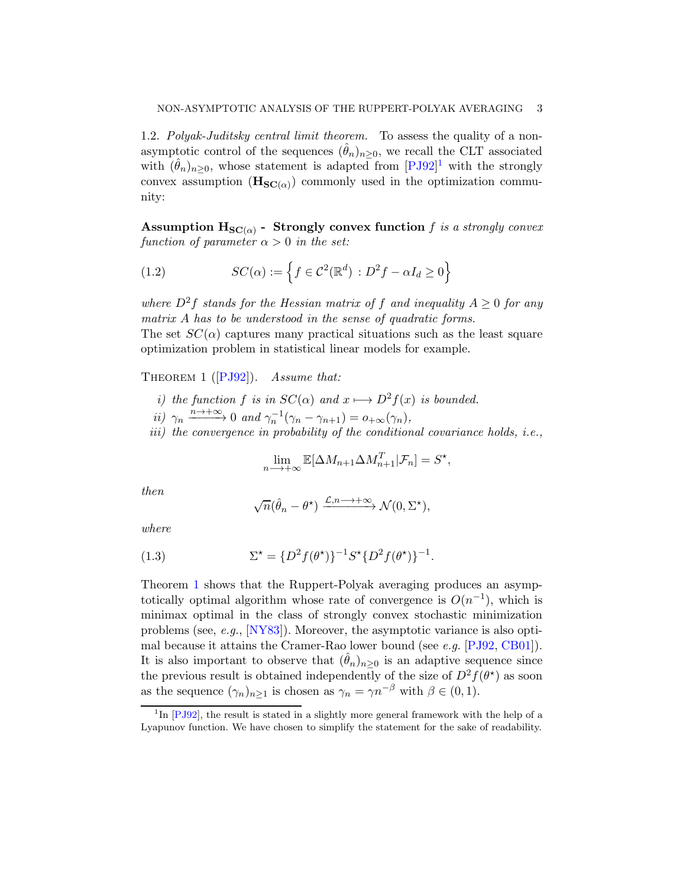1.2. Polyak-Juditsky central limit theorem. To assess the quality of a nonasymptotic control of the sequences  $(\hat{\theta}_n)_{n\geq 0}$ , we recall the CLT associated with  $(\hat{\theta}_n)_{n\geq 0}$ , whose statement is adapted from  $[PJ92]$ <sup>[1](#page-2-1)</sup> with the strongly convex assumption  $(\mathbf{H}_{\mathbf{SC}(\alpha)})$  commonly used in the optimization community:

 ${\rm Assumption~H}_{\mathbf{SC}(\alpha)}$  -  ${\rm \ Strongly\ convex\ function\ }f\ {\it is\ a\ strongly\ convex}$ function of parameter  $\alpha > 0$  in the set:

(1.2) 
$$
SC(\alpha) := \left\{ f \in \mathcal{C}^2(\mathbb{R}^d) : D^2 f - \alpha I_d \ge 0 \right\}
$$

where  $D^2f$  stands for the Hessian matrix of f and inequality  $A > 0$  for any matrix A has to be understood in the sense of quadratic forms. The set  $SC(\alpha)$  captures many practical situations such as the least square optimization problem in statistical linear models for example.

<span id="page-2-0"></span>THEOREM1 ( $[PJ92]$ ). Assume that:

- i) the function f is in  $SC(\alpha)$  and  $x \mapsto D^2f(x)$  is bounded.
- ii)  $\gamma_n \xrightarrow{n \to +\infty} 0$  and  $\gamma_n^{-1}(\gamma_n \gamma_{n+1}) = o_{+\infty}(\gamma_n)$ ,
- iii) the convergence in probability of the conditional covariance holds, i.e.,

$$
\lim_{n \to +\infty} \mathbb{E}[\Delta M_{n+1} \Delta M_{n+1}^T | \mathcal{F}_n] = S^{\star},
$$

then

<span id="page-2-2"></span>
$$
\sqrt{n}(\hat{\theta}_n - \theta^{\star}) \xrightarrow{\mathcal{L}, n \to +\infty} \mathcal{N}(0, \Sigma^{\star}),
$$

where

(1.3) 
$$
\Sigma^* = \{D^2 f(\theta^*)\}^{-1} S^* \{D^2 f(\theta^*)\}^{-1}.
$$

Theorem [1](#page-2-0) shows that the Ruppert-Polyak averaging produces an asymptotically optimal algorithm whose rate of convergence is  $O(n^{-1})$ , which is minimax optimal in the class of strongly convex stochastic minimization problems (see,  $e.g.,$   $[NY83]$ ). Moreover, the asymptotic variance is also opti-mal because it attains the Cramer-Rao lower bound (see e.g. [\[PJ92](#page-33-1), [CB01](#page-33-10)]). It is also important to observe that  $(\hat{\theta}_n)_{n>0}$  is an adaptive sequence since the previous result is obtained independently of the size of  $D^2 f(\theta^*)$  as soon as the sequence  $(\gamma_n)_{n\geq 1}$  is chosen as  $\gamma_n = \gamma n^{-\beta}$  with  $\beta \in (0, 1)$ .

<span id="page-2-1"></span><sup>&</sup>lt;sup>1</sup>In [\[PJ92](#page-33-1)], the result is stated in a slightly more general framework with the help of a Lyapunov function. We have chosen to simplify the statement for the sake of readability.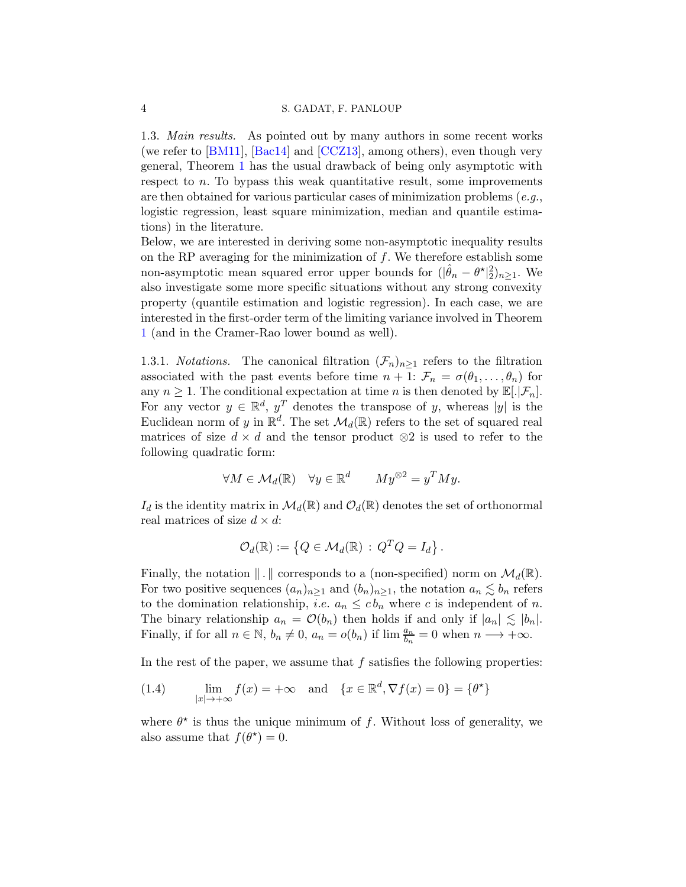1.3. Main results. As pointed out by many authors in some recent works (we refer to [\[BM11](#page-33-6)], [\[Bac14](#page-32-0)] and [\[CCZ13\]](#page-33-7), among others), even though very general, Theorem [1](#page-2-0) has the usual drawback of being only asymptotic with respect to n. To bypass this weak quantitative result, some improvements are then obtained for various particular cases of minimization problems (e.g., logistic regression, least square minimization, median and quantile estimations) in the literature.

Below, we are interested in deriving some non-asymptotic inequality results on the RP averaging for the minimization of  $f$ . We therefore establish some non-asymptotic mean squared error upper bounds for  $(|\hat{\theta}_n - \theta^{\star}|_2^2)_{n \geq 1}$ . We also investigate some more specific situations without any strong convexity property (quantile estimation and logistic regression). In each case, we are interested in the first-order term of the limiting variance involved in Theorem [1](#page-2-0) (and in the Cramer-Rao lower bound as well).

1.3.1. *Notations*. The canonical filtration  $(\mathcal{F}_n)_{n>1}$  refers to the filtration associated with the past events before time  $n + 1$ :  $\mathcal{F}_n = \sigma(\theta_1, \ldots, \theta_n)$  for any  $n \geq 1$ . The conditional expectation at time n is then denoted by  $\mathbb{E}[.\mathcal{F}_n]$ . For any vector  $y \in \mathbb{R}^d$ ,  $y^T$  denotes the transpose of y, whereas |y| is the Euclidean norm of y in  $\mathbb{R}^d$ . The set  $\mathcal{M}_d(\mathbb{R})$  refers to the set of squared real matrices of size  $d \times d$  and the tensor product  $\otimes$ 2 is used to refer to the following quadratic form:

$$
\forall M \in \mathcal{M}_d(\mathbb{R}) \quad \forall y \in \mathbb{R}^d \qquad My^{\otimes 2} = y^T My.
$$

 $I_d$  is the identity matrix in  $\mathcal{M}_d(\mathbb{R})$  and  $\mathcal{O}_d(\mathbb{R})$  denotes the set of orthonormal real matrices of size  $d \times d$ :

$$
\mathcal{O}_d(\mathbb{R}) := \left\{ Q \in \mathcal{M}_d(\mathbb{R}) \, : \, Q^T Q = I_d \right\}.
$$

Finally, the notation  $\| \cdot \|$  corresponds to a (non-specified) norm on  $\mathcal{M}_d(\mathbb{R})$ . For two positive sequences  $(a_n)_{n\geq 1}$  and  $(b_n)_{n\geq 1}$ , the notation  $a_n \lesssim b_n$  refers to the domination relationship, *i.e.*  $a_n \leq cb_n$  where c is independent of n. The binary relationship  $a_n = \mathcal{O}(b_n)$  then holds if and only if  $|a_n| \lesssim |b_n|$ . Finally, if for all  $n \in \mathbb{N}$ ,  $b_n \neq 0$ ,  $a_n = o(b_n)$  if  $\lim_{n \to \infty} \frac{a_n}{b_n} = 0$  when  $n \to +\infty$ .

In the rest of the paper, we assume that  $f$  satisfies the following properties:

(1.4) lim  $\lim_{|x| \to +\infty} f(x) = +\infty$  and  $\{x \in \mathbb{R}^d, \nabla f(x) = 0\} = \{\theta^{\star}\}\$ 

where  $\theta^*$  is thus the unique minimum of f. Without loss of generality, we also assume that  $f(\theta^*) = 0$ .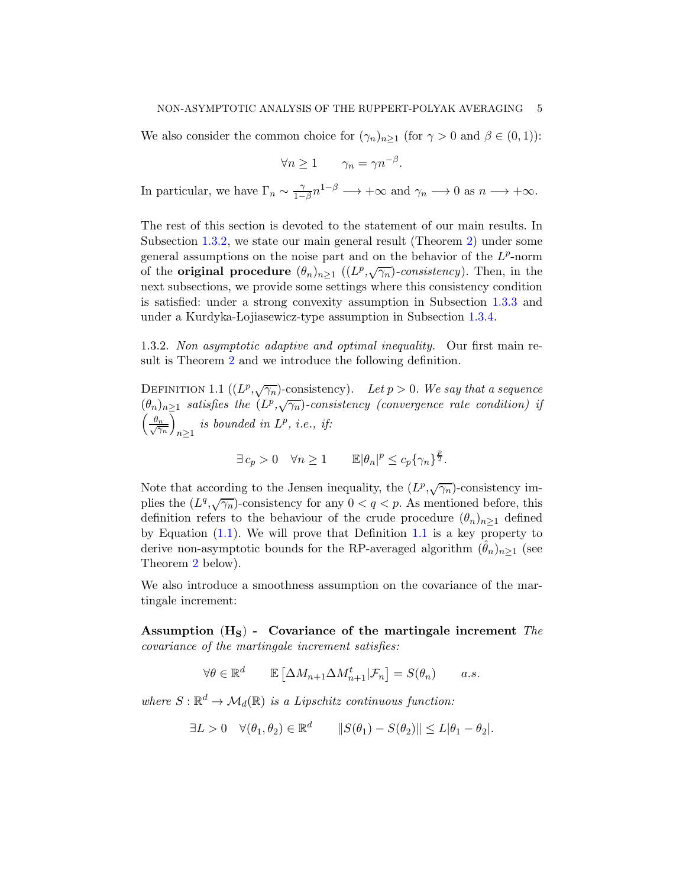We also consider the common choice for  $(\gamma_n)_{n\geq 1}$  (for  $\gamma > 0$  and  $\beta \in (0,1)$ ):

$$
\forall n \ge 1 \qquad \gamma_n = \gamma n^{-\beta}.
$$

In particular, we have  $\Gamma_n \sim \frac{\gamma}{1-\gamma}$  $\frac{\gamma}{1-\beta}n^{1-\beta} \longrightarrow +\infty$  and  $\gamma_n \longrightarrow 0$  as  $n \longrightarrow +\infty$ .

The rest of this section is devoted to the statement of our main results. In Subsection [1.3.2,](#page-4-0) we state our main general result (Theorem [2\)](#page-5-0) under some general assumptions on the noise part and on the behavior of the  $L^p$ -norm of the **original procedure**  $(\theta_n)_{n\geq 1}$  ( $(L^p, \sqrt{\gamma_n})$ -consistency). Then, in the next subsections, we provide some settings where this consistency condition is satisfied: under a strong convexity assumption in Subsection [1.3.3](#page-6-0) and under a Kurdyka-Lojiasewicz-type assumption in Subsection [1.3.4.](#page-7-0)

<span id="page-4-0"></span>1.3.2. Non asymptotic adaptive and optimal inequality. Our first main result is Theorem [2](#page-5-0) and we introduce the following definition.

<span id="page-4-1"></span>DEFINITION 1.1  $((L^p, \sqrt{\gamma_n})$ -consistency). Let  $p > 0$ . We say that a sequence  $(\theta_n)_{n\geq 1}$  satisfies the  $(L^p,\sqrt{\gamma_n})$ -consistency (convergence rate condition) if  $\left(\frac{\theta_n}{\sqrt{\gamma}}\right)$  $\gamma_n$  $\overline{\wedge}$  $n\geq 1$ is bounded in  $L^p$ , i.e., if:

$$
\exists c_p > 0 \quad \forall n \ge 1 \qquad \mathbb{E}|\theta_n|^p \le c_p \{\gamma_n\}^{\frac{p}{2}}.
$$

Note that according to the Jensen inequality, the  $(L^p, \sqrt{\gamma_n})$ -consistency implies the  $(L^q, \sqrt{\gamma_n})$ -consistency for any  $0 < q < p$ . As mentioned before, this definition refers to the behaviour of the crude procedure  $(\theta_n)_{n\geq 1}$  defined by Equation [\(1.1\)](#page-1-0). We will prove that Definition [1.1](#page-4-1) is a key property to derive non-asymptotic bounds for the RP-averaged algorithm  $(\theta_n)_{n>1}$  (see Theorem [2](#page-5-0) below).

We also introduce a smoothness assumption on the covariance of the martingale increment:

Assumption  $(H<sub>S</sub>)$  - Covariance of the martingale increment The covariance of the martingale increment satisfies:

$$
\forall \theta \in \mathbb{R}^d \qquad \mathbb{E}\left[\Delta M_{n+1} \Delta M_{n+1}^t | \mathcal{F}_n\right] = S(\theta_n) \qquad a.s.
$$

where  $S : \mathbb{R}^d \to \mathcal{M}_d(\mathbb{R})$  is a Lipschitz continuous function:

$$
\exists L > 0 \quad \forall (\theta_1, \theta_2) \in \mathbb{R}^d \qquad ||S(\theta_1) - S(\theta_2)|| \le L|\theta_1 - \theta_2|.
$$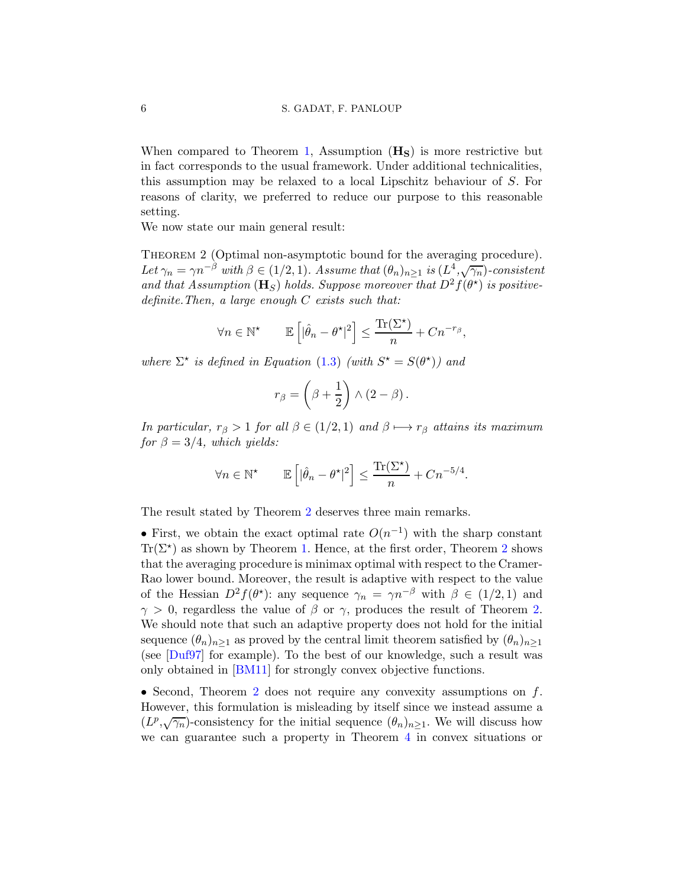When compared to Theorem [1,](#page-2-0) Assumption  $(H<sub>S</sub>)$  is more restrictive but in fact corresponds to the usual framework. Under additional technicalities, this assumption may be relaxed to a local Lipschitz behaviour of S. For reasons of clarity, we preferred to reduce our purpose to this reasonable setting.

We now state our main general result:

<span id="page-5-0"></span>THEOREM 2 (Optimal non-asymptotic bound for the averaging procedure). Let  $\gamma_n = \gamma n^{-\beta}$  with  $\beta \in (1/2, 1)$ . Assume that  $(\theta_n)_{n \geq 1}$  is  $(L^4, \sqrt{\gamma_n})$ -consistent and that Assumption ( $\mathbf{H}_{S}$ ) holds. Suppose moreover that  $D^{2} f(\theta^{\star})$  is positivedefinite. Then, a large enough  $C$  exists such that:

$$
\forall n \in \mathbb{N}^{\star} \qquad \mathbb{E}\left[|\hat{\theta}_n - \theta^{\star}|^2\right] \le \frac{\text{Tr}(\Sigma^{\star})}{n} + Cn^{-r_{\beta}},
$$

where  $\Sigma^*$  is defined in Equation [\(1.3\)](#page-2-2) (with  $S^* = S(\theta^*)$ ) and

$$
r_{\beta} = \left(\beta + \frac{1}{2}\right) \wedge (2 - \beta).
$$

In particular,  $r_\beta > 1$  for all  $\beta \in (1/2, 1)$  and  $\beta \mapsto r_\beta$  attains its maximum for  $\beta = 3/4$ , which yields:

$$
\forall n \in \mathbb{N}^{\star} \qquad \mathbb{E}\left[|\hat{\theta}_n - \theta^{\star}|^2\right] \le \frac{\text{Tr}(\Sigma^{\star})}{n} + Cn^{-5/4}.
$$

The result stated by Theorem [2](#page-5-0) deserves three main remarks.

• First, we obtain the exact optimal rate  $O(n^{-1})$  with the sharp constant  $\text{Tr}(\Sigma^*)$  as shown by Theorem [1.](#page-2-0) Hence, at the first order, Theorem [2](#page-5-0) shows that the averaging procedure is minimax optimal with respect to the Cramer-Rao lower bound. Moreover, the result is adaptive with respect to the value of the Hessian  $D^2 f(\theta^*)$ : any sequence  $\gamma_n = \gamma n^{-\beta}$  with  $\beta \in (1/2, 1)$  and  $\gamma > 0$ , regardless the value of  $\beta$  or  $\gamma$ , produces the result of Theorem [2.](#page-5-0) We should note that such an adaptive property does not hold for the initial sequence  $(\theta_n)_{n\geq 1}$  as proved by the central limit theorem satisfied by  $(\theta_n)_{n\geq 1}$ (see [\[Duf97\]](#page-33-11) for example). To the best of our knowledge, such a result was only obtained in [\[BM11](#page-33-6)] for strongly convex objective functions.

• Second, Theorem [2](#page-5-0) does not require any convexity assumptions on  $f$ . However, this formulation is misleading by itself since we instead assume a  $(L^p, \sqrt{\gamma_n})$ -consistency for the initial sequence  $(\theta_n)_{n\geq 1}$ . We will discuss how we can guarantee such a property in Theorem [4](#page-25-0) in convex situations or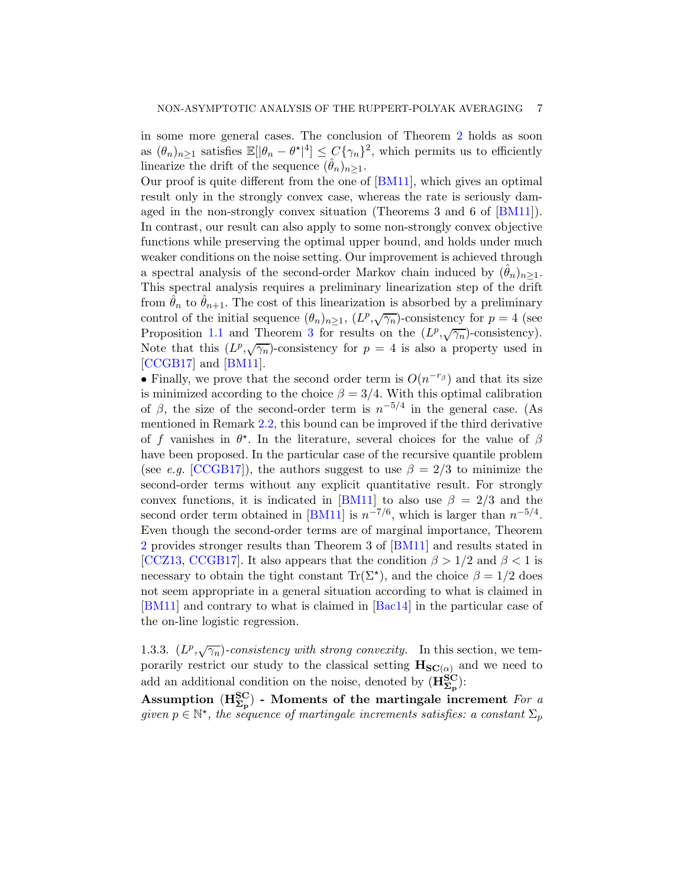in some more general cases. The conclusion of Theorem [2](#page-5-0) holds as soon as  $(\theta_n)_{n\geq 1}$  satisfies  $\mathbb{E}[\theta_n - \theta^{\star}]^4 \leq C\{\gamma_n\}^2$ , which permits us to efficiently linearize the drift of the sequence  $(\hat{\theta}_n)_{n>1}$ .

Our proof is quite different from the one of [\[BM11\]](#page-33-6), which gives an optimal result only in the strongly convex case, whereas the rate is seriously damaged in the non-strongly convex situation (Theorems 3 and 6 of [\[BM11](#page-33-6)]). In contrast, our result can also apply to some non-strongly convex objective functions while preserving the optimal upper bound, and holds under much weaker conditions on the noise setting. Our improvement is achieved through a spectral analysis of the second-order Markov chain induced by  $(\theta_n)_{n>1}$ . This spectral analysis requires a preliminary linearization step of the drift from  $\hat{\theta}_n$  to  $\hat{\theta}_{n+1}$ . The cost of this linearization is absorbed by a preliminary control of the initial sequence  $(\theta_n)_{n\geq 1}$ ,  $(L^p, \sqrt{\gamma_n})$ -consistency for  $p=4$  (see Proposition [1.1](#page-7-1) and Theorem [3](#page-9-0) for results on the  $(L^p, \sqrt{\gamma_n})$ -consistency). Note that this  $(L^p, \sqrt{\gamma_n})$ -consistency for  $p = 4$  is also a property used in [\[CCGB17\]](#page-33-8) and [\[BM11](#page-33-6)].

• Finally, we prove that the second order term is  $O(n^{-r_\beta})$  and that its size is minimized according to the choice  $\beta = 3/4$ . With this optimal calibration of  $\beta$ , the size of the second-order term is  $n^{-5/4}$  in the general case. (As mentioned in Remark [2.2,](#page-25-1) this bound can be improved if the third derivative of f vanishes in  $\theta^*$ . In the literature, several choices for the value of  $\beta$ have been proposed. In the particular case of the recursive quantile problem (see e.g. [\[CCGB17](#page-33-8)]), the authors suggest to use  $\beta = 2/3$  to minimize the second-order terms without any explicit quantitative result. For strongly convex functions, it is indicated in [\[BM11](#page-33-6)] to also use  $\beta = 2/3$  and the second order term obtained in [\[BM11](#page-33-6)] is  $n^{-7/6}$ , which is larger than  $n^{-5/4}$ . Even though the second-order terms are of marginal importance, Theorem [2](#page-5-0) provides stronger results than Theorem 3 of [\[BM11](#page-33-6)] and results stated in [\[CCZ13](#page-33-7), [CCGB17\]](#page-33-8). It also appears that the condition  $\beta > 1/2$  and  $\beta < 1$  is necessary to obtain the tight constant  $\text{Tr}(\Sigma^{\star})$ , and the choice  $\beta = 1/2$  does not seem appropriate in a general situation according to what is claimed in [\[BM11](#page-33-6)] and contrary to what is claimed in [\[Bac14](#page-32-0)] in the particular case of the on-line logistic regression.

<span id="page-6-0"></span>1.3.3.  $(L^p, \sqrt{\gamma_n})$ -consistency with strong convexity. In this section, we temporarily restrict our study to the classical setting  $H_{SC(\alpha)}$  and we need to add an additional condition on the noise, denoted by  $(\mathbf{H}_{\mathbf{\Sigma}_{\mathbf{p}}}^{\mathbf{SC}})$ :

Assumption ( $H_{\Sigma_p}^{SC}$ ) - Moments of the martingale increment For a given  $p \in \mathbb{N}^*$ , the sequence of martingale increments satisfies: a constant  $\Sigma_p$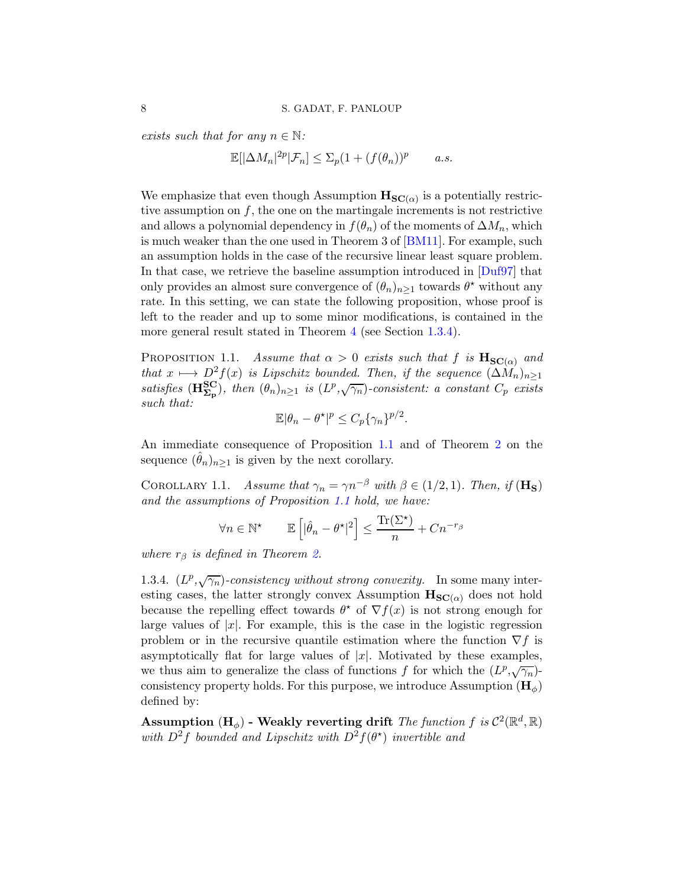exists such that for any  $n \in \mathbb{N}$ :

$$
\mathbb{E}[\left|\Delta M_n\right|^{2p}|\mathcal{F}_n]\leq \Sigma_p(1+(f(\theta_n))^p\qquad a.s.
$$

We emphasize that even though Assumption  $\mathbf{H}_{\mathbf{SC}(\alpha)}$  is a potentially restrictive assumption on  $f$ , the one on the martingale increments is not restrictive and allows a polynomial dependency in  $f(\theta_n)$  of the moments of  $\Delta M_n$ , which is much weaker than the one used in Theorem 3 of [\[BM11](#page-33-6)]. For example, such an assumption holds in the case of the recursive linear least square problem. In that case, we retrieve the baseline assumption introduced in  $\text{[Duf97]}$  that only provides an almost sure convergence of  $(\theta_n)_{n\geq 1}$  towards  $\theta^*$  without any rate. In this setting, we can state the following proposition, whose proof is left to the reader and up to some minor modifications, is contained in the more general result stated in Theorem [4](#page-25-0) (see Section [1.3.4\)](#page-7-0).

<span id="page-7-1"></span>PROPOSITION 1.1. Assume that  $\alpha > 0$  exists such that f is  $\mathbf{H}_{SC(\alpha)}$  and that  $x \mapsto D^2f(x)$  is Lipschitz bounded. Then, if the sequence  $(\Delta M_n)_{n>1}$ satisfies  $(\mathbf{H}_{\Sigma_{\mathbf{p}}}^{\mathbf{SC}})$ , then  $(\theta_n)_{n\geq 1}$  is  $(L^p, \sqrt{\gamma_n})$ -consistent: a constant  $C_p$  exists such that:

$$
\mathbb{E}|\theta_n - \theta^\star|^p \le C_p \{\gamma_n\}^{p/2}.
$$

An immediate consequence of Proposition [1.1](#page-7-1) and of Theorem [2](#page-5-0) on the sequence  $(\theta_n)_{n>1}$  is given by the next corollary.

<span id="page-7-2"></span>COROLLARY 1.1. Assume that  $\gamma_n = \gamma n^{-\beta}$  with  $\beta \in (1/2, 1)$ . Then, if  $(\mathbf{H_S})$ and the assumptions of Proposition [1.1](#page-7-1) hold, we have:

$$
\forall n \in \mathbb{N}^{\star} \qquad \mathbb{E}\left[|\hat{\theta}_n - \theta^{\star}|^2\right] \le \frac{\text{Tr}(\Sigma^{\star})}{n} + Cn^{-r_{\beta}}
$$

where  $r_\beta$  is defined in Theorem [2.](#page-5-0)

<span id="page-7-0"></span>1.3.4.  $(L^p, \sqrt{\gamma_n})$ -consistency without strong convexity. In some many interesting cases, the latter strongly convex Assumption  $\mathbf{H}_{SC(\alpha)}$  does not hold because the repelling effect towards  $\theta^*$  of  $\nabla f(x)$  is not strong enough for large values of  $|x|$ . For example, this is the case in the logistic regression problem or in the recursive quantile estimation where the function  $\nabla f$  is asymptotically flat for large values of  $|x|$ . Motivated by these examples, we thus aim to generalize the class of functions f for which the  $(L^p, \sqrt{\gamma_n})$ consistency property holds. For this purpose, we introduce Assumption  $(\mathbf{H}_{\phi})$ defined by:

Assumption (H<sub> $\phi$ </sub>) - Weakly reverting drift *The function f is*  $C^2(\mathbb{R}^d, \mathbb{R})$ with  $D^2f$  bounded and Lipschitz with  $D^2f(\theta^*)$  invertible and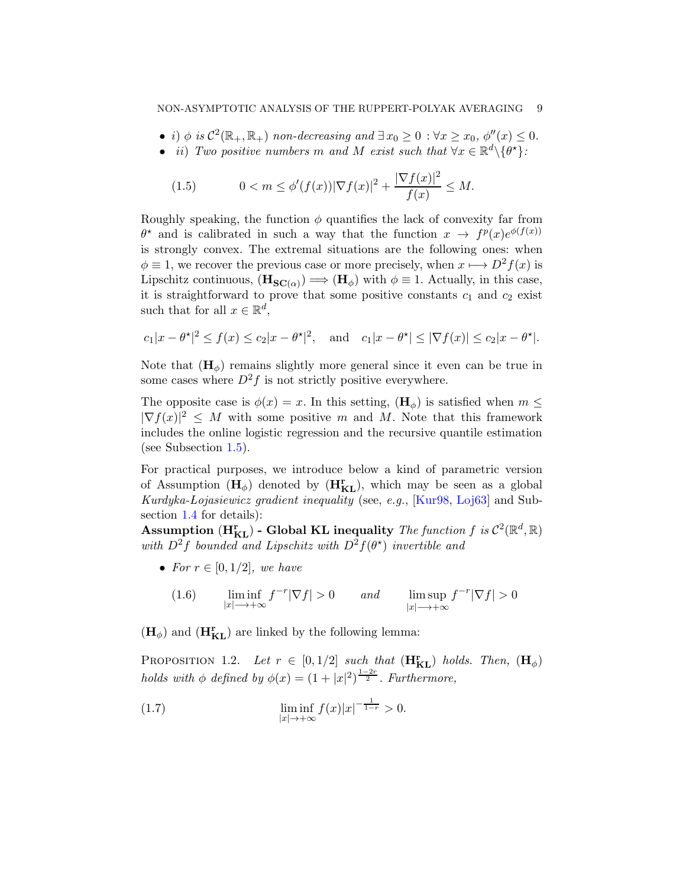- i)  $\phi$  is  $\mathcal{C}^2(\mathbb{R}_+, \mathbb{R}_+)$  non-decreasing and  $\exists x_0 \geq 0 : \forall x \geq x_0, \, \phi''(x) \leq 0$ .
- ii) Two positive numbers m and M exist such that  $\forall x \in \mathbb{R}^d \setminus \{\theta^{\star}\}\$ :

<span id="page-8-1"></span>(1.5) 
$$
0 < m \le \phi'(f(x)) |\nabla f(x)|^2 + \frac{|\nabla f(x)|^2}{f(x)} \le M.
$$

Roughly speaking, the function  $\phi$  quantifies the lack of convexity far from  $\theta^*$  and is calibrated in such a way that the function  $x \to f^p(x)e^{\phi(f(x))}$ is strongly convex. The extremal situations are the following ones: when  $\phi \equiv 1$ , we recover the previous case or more precisely, when  $x \mapsto D^2f(x)$  is Lipschitz continuous,  $(\mathbf{H}_{\mathbf{SC}(\alpha)}) \Longrightarrow (\mathbf{H}_{\phi})$  with  $\phi \equiv 1$ . Actually, in this case, it is straightforward to prove that some positive constants  $c_1$  and  $c_2$  exist such that for all  $x \in \mathbb{R}^d$ ,

$$
c_1|x - \theta^*|^2 \le f(x) \le c_2|x - \theta^*|^2
$$
, and  $c_1|x - \theta^*| \le |\nabla f(x)| \le c_2|x - \theta^*|$ .

Note that  $(\mathbf{H}_{\phi})$  remains slightly more general since it even can be true in some cases where  $D^2f$  is not strictly positive everywhere.

The opposite case is  $\phi(x) = x$ . In this setting,  $(\mathbf{H}_{\phi})$  is satisfied when  $m \leq$  $|\nabla f(x)|^2 \leq M$  with some positive m and M. Note that this framework includes the online logistic regression and the recursive quantile estimation (see Subsection [1.5\)](#page-13-0).

For practical purposes, we introduce below a kind of parametric version of Assumption  $(H_{\phi})$  denoted by  $(H_{KL}^r)$ , which may be seen as a global Kurdyka-Lojasiewicz gradient inequality (see, e.g., [\[Kur98,](#page-33-3) [Loj63\]](#page-33-2) and Subsection [1.4](#page-11-0) for details):

Assumption  $(H_{KL}^r)$  - Global KL inequality The function f is  $C^2(\mathbb{R}^d, \mathbb{R})$ with  $D^2f$  bounded and Lipschitz with  $D^2f(\theta^*)$  invertible and

• For  $r \in [0, 1/2]$ , we have

(1.6) 
$$
\liminf_{|x| \to +\infty} f^{-r} |\nabla f| > 0 \quad and \quad \limsup_{|x| \to +\infty} f^{-r} |\nabla f| > 0
$$

 $(\mathbf{H}_{\phi})$  and  $(\mathbf{H}_{\mathbf{KL}}^{r})$  are linked by the following lemma:

<span id="page-8-2"></span>PROPOSITION 1.2. Let  $r \in [0, 1/2]$  such that  $(\mathbf{H}_{KL}^{r})$  holds. Then,  $(\mathbf{H}_{\phi})$ holds with  $\phi$  defined by  $\phi(x) = (1+|x|^2)^{\frac{1-2r}{2}}$ . Furthermore,

<span id="page-8-0"></span>(1.7) 
$$
\liminf_{|x| \to +\infty} f(x)|x|^{-\frac{1}{1-r}} > 0.
$$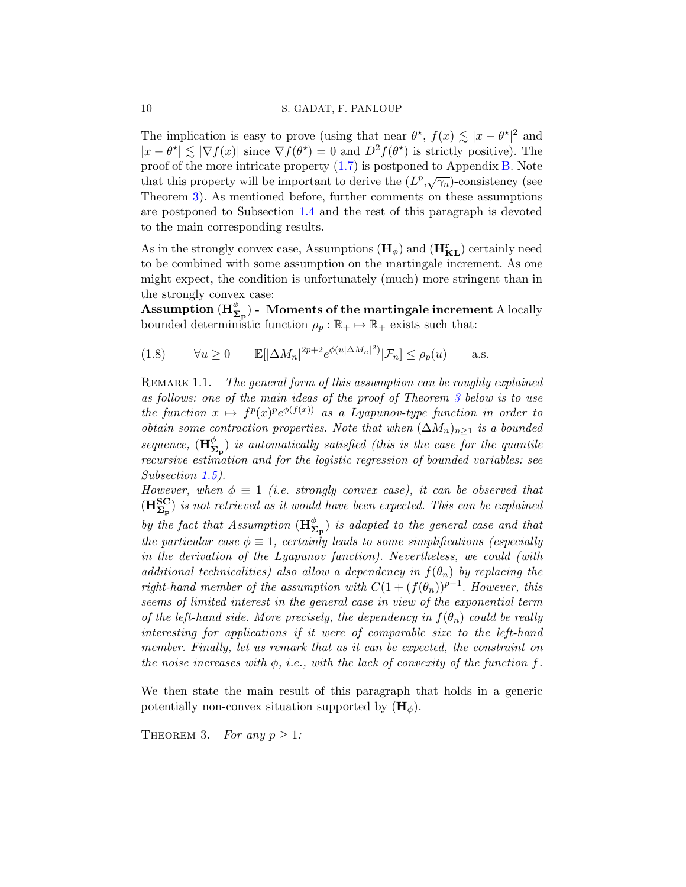#### 10 S. GADAT, F. PANLOUP

The implication is easy to prove (using that near  $\theta^*$ ,  $f(x) \lesssim |x - \theta^*|^2$  and  $|x - \theta^*| \lesssim |\nabla f(x)|$  since  $\nabla f(\theta^*) = 0$  and  $D^2 f(\theta^*)$  is strictly positive). The proof of the more intricate property [\(1.7\)](#page-8-0) is postponed to Appendix [B.](#page-39-0) Note that this property will be important to derive the  $(L^p, \sqrt{\gamma_n})$ -consistency (see Theorem [3\)](#page-9-0). As mentioned before, further comments on these assumptions are postponed to Subsection [1.4](#page-11-0) and the rest of this paragraph is devoted to the main corresponding results.

As in the strongly convex case, Assumptions  $(\mathbf{H}_{\phi})$  and  $(\mathbf{H}_{KL}^{r})$  certainly need to be combined with some assumption on the martingale increment. As one might expect, the condition is unfortunately (much) more stringent than in the strongly convex case:

 $\operatorname{Assumption \,} (H^\phi_{\boldsymbol{\Sigma}_{\mathbf{p}}})$  - Moments of the martingale increment A locally bounded deterministic function  $\rho_p : \mathbb{R}_+ \mapsto \mathbb{R}_+$  exists such that:

<span id="page-9-1"></span>(1.8) 
$$
\forall u \ge 0 \qquad \mathbb{E}[|\Delta M_n|^{2p+2} e^{\phi(u|\Delta M_n|^2)} | \mathcal{F}_n] \le \rho_p(u) \qquad \text{a.s.}
$$

REMARK 1.1. The general form of this assumption can be roughly explained as follows: one of the main ideas of the proof of Theorem [3](#page-9-0) below is to use the function  $x \mapsto f^p(x)^p e^{\phi(f(x))}$  as a Lyapunov-type function in order to obtain some contraction properties. Note that when  $(\Delta M_n)_{n\geq 1}$  is a bounded sequence,  $(\mathbf{H}_{\mathbf{\Sigma}_{\mathbf{p}}}^{\phi})$  is automatically satisfied (this is the case for the quantile recursive estimation and for the logistic regression of bounded variables: see Subsection [1.5\)](#page-13-0).

However, when  $\phi \equiv 1$  (i.e. strongly convex case), it can be observed that  $(\mathbf{H}_{\Sigma_{\mathrm{p}}}^{\mathrm{SC}})$  is not retrieved as it would have been expected. This can be explained by the fact that Assumption  $(\mathbf{H}_{\mathbf{\Sigma}_{\mathbf{p}}}^{\phi})$  is adapted to the general case and that the particular case  $\phi \equiv 1$ , certainly leads to some simplifications (especially in the derivation of the Lyapunov function). Nevertheless, we could (with additional technicalities) also allow a dependency in  $f(\theta_n)$  by replacing the right-hand member of the assumption with  $C(1 + (f(\theta_n))^{p-1})$ . However, this seems of limited interest in the general case in view of the exponential term of the left-hand side. More precisely, the dependency in  $f(\theta_n)$  could be really interesting for applications if it were of comparable size to the left-hand member. Finally, let us remark that as it can be expected, the constraint on the noise increases with  $\phi$ , i.e., with the lack of convexity of the function f.

We then state the main result of this paragraph that holds in a generic potentially non-convex situation supported by  $(\mathbf{H}_{\phi})$ .

<span id="page-9-0"></span>THEOREM 3. For any  $p > 1$ :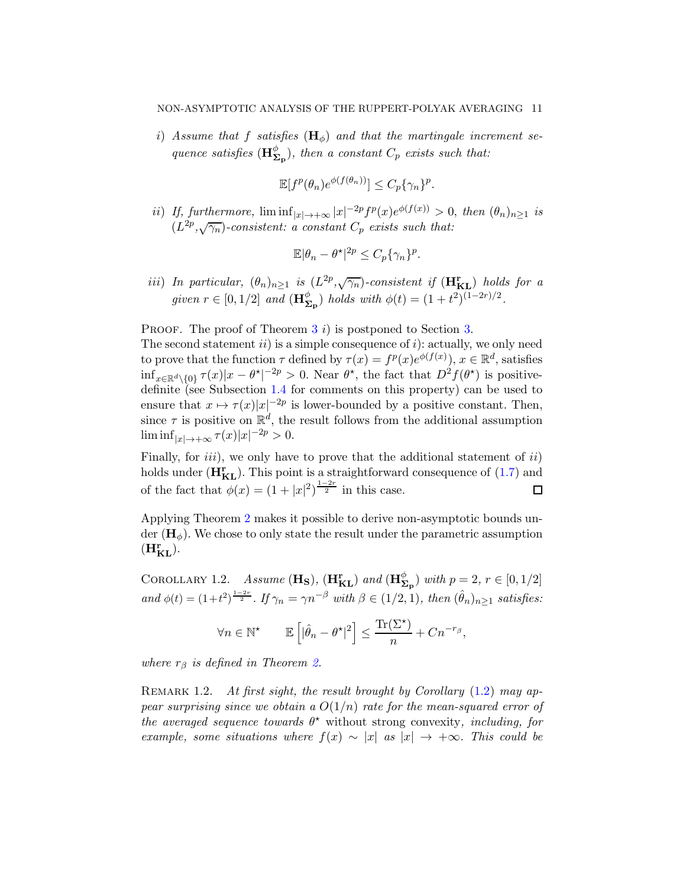i) Assume that f satisfies  $(H_0)$  and that the martingale increment sequence satisfies  $(\mathbf{H}_{\mathbf{\Sigma}_{\mathbf{p}}}^{\phi})$ , then a constant  $C_p$  exists such that:

$$
\mathbb{E}[f^p(\theta_n)e^{\phi(f(\theta_n))}] \leq C_p\{\gamma_n\}^p.
$$

ii) If, furthermore,  $\liminf_{|x|\to+\infty} |x|^{-2p} f^p(x) e^{\phi(f(x))} > 0$ , then  $(\theta_n)_{n\geq 1}$  is  $(L^{2p},\sqrt{\gamma_n})$ -consistent: a constant  $C_p$  exists such that:

$$
\mathbb{E}|\theta_n - \theta^\star|^{2p} \le C_p \{\gamma_n\}^p.
$$

iii) In particular,  $(\theta_n)_{n\geq 1}$  is  $(L^{2p}, \sqrt{\gamma_n})$ -consistent if  $(\mathbf{H}_{\textbf{KL}}^{\textbf{r}})$  holds for a given  $r \in [0, 1/2]$  and  $(\mathbf{H}_{\Sigma_{\mathbf{p}}}^{\phi})$  holds with  $\phi(t) = (1 + t^2)^{(1-2r)/2}$ .

PROOF. The proof of Theorem  $3\ i)$  $3\ i)$  is postponed to Section [3.](#page-25-2)

The second statement  $ii$ ) is a simple consequence of  $i$ ): actually, we only need to prove that the function  $\tau$  defined by  $\tau(x) = f^p(x)e^{\phi(f(x))}$ ,  $x \in \mathbb{R}^d$ , satisfies  $\inf_{x \in \mathbb{R}^d \setminus \{0\}} \tau(x)|x - \theta^{\star}|^{-2p} > 0.$  Near  $\theta^{\star}$ , the fact that  $D^2 f(\theta^{\star})$  is positivedefinite (see Subsection [1.4](#page-11-0) for comments on this property) can be used to ensure that  $x \mapsto \tau(x)|x|^{-2p}$  is lower-bounded by a positive constant. Then, since  $\tau$  is positive on  $\mathbb{R}^d$ , the result follows from the additional assumption  $\liminf_{|x| \to +\infty} \tau(x)|x|^{-2p} > 0.$ 

Finally, for  $iii)$ , we only have to prove that the additional statement of  $ii)$ holds under  $(H_{KL}^r)$ . This point is a straightforward consequence of [\(1.7\)](#page-8-0) and of the fact that  $\phi(x) = (1+|x|^2)^{\frac{1-2r}{2}}$  in this case.  $\Box$ 

Applying Theorem [2](#page-5-0) makes it possible to derive non-asymptotic bounds under  $(\mathbf{H}_{\phi})$ . We chose to only state the result under the parametric assumption  $(\mathbf{H}_{\mathbf{KL}}^{\mathbf{r}}).$ 

<span id="page-10-0"></span>COROLLARY 1.2. Assume  $(\mathbf{H}_{S})$ ,  $(\mathbf{H}_{KL}^{r})$  and  $(\mathbf{H}_{\Sigma_{P}}^{\phi})$  with  $p = 2, r \in [0, 1/2]$ and  $\phi(t) = (1+t^2)^{\frac{1-2r}{2}}$ . If  $\gamma_n = \gamma n^{-\beta}$  with  $\beta \in (1/2, 1)$ , then  $(\hat{\theta}_n)_{n \geq 1}$  satisfies:

$$
\forall n \in \mathbb{N}^{\star} \qquad \mathbb{E}\left[|\hat{\theta}_n - \theta^{\star}|^2\right] \le \frac{\text{Tr}(\Sigma^{\star})}{n} + Cn^{-r_{\beta}},
$$

where  $r_\beta$  is defined in Theorem [2.](#page-5-0)

REMARK 1.2. At first sight, the result brought by Corollary  $(1.2)$  may appear surprising since we obtain a  $O(1/n)$  rate for the mean-squared error of the averaged sequence towards  $\theta^*$  without strong convexity, including, for example, some situations where  $f(x) \sim |x|$  as  $|x| \to +\infty$ . This could be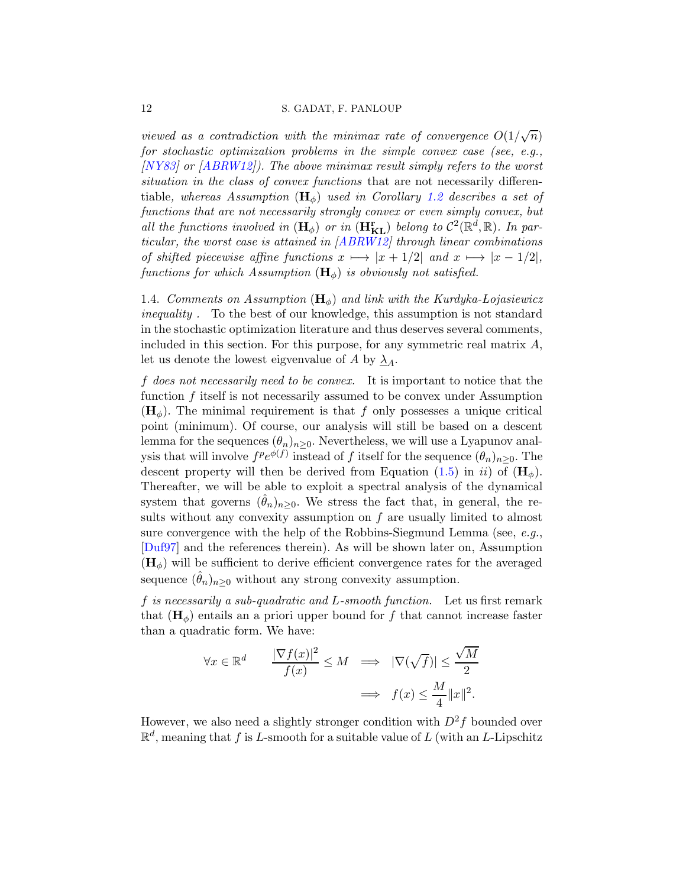viewed as a contradiction with the minimax rate of convergence  $O(1/\sqrt{n})$ for stochastic optimization problems in the simple convex case (see, e.g., [\[NY83](#page-33-9)] or [\[ABRW12](#page-32-1)]). The above minimax result simply refers to the worst situation in the class of convex functions that are not necessarily differentiable, whereas Assumption  $(\mathbf{H}_{\phi})$  used in Corollary [1.2](#page-10-0) describes a set of functions that are not necessarily strongly convex or even simply convex, but all the functions involved in  $(\mathbf{H}_{\phi})$  or in  $(\mathbf{H}_{\mathbf{KL}}^{\mathbf{r}})$  belong to  $\mathcal{C}^{2}(\mathbb{R}^{d},\mathbb{R})$ . In par-ticular, the worst case is attained in [\[ABRW12](#page-32-1)] through linear combinations of shifted piecewise affine functions  $x \mapsto |x + 1/2|$  and  $x \mapsto |x - 1/2|$ , functions for which Assumption  $(\mathbf{H}_{\phi})$  is obviously not satisfied.

<span id="page-11-0"></span>1.4. Comments on Assumption  $(\mathbf{H}_{\phi})$  and link with the Kurdyka-Lojasiewicz inequality . To the best of our knowledge, this assumption is not standard in the stochastic optimization literature and thus deserves several comments, included in this section. For this purpose, for any symmetric real matrix  $A$ , let us denote the lowest eigvenvalue of A by  $\lambda_A$ .

f does not necessarily need to be convex. It is important to notice that the function f itself is not necessarily assumed to be convex under Assumption  $(H_{\phi})$ . The minimal requirement is that f only possesses a unique critical point (minimum). Of course, our analysis will still be based on a descent lemma for the sequences  $(\theta_n)_{n>0}$ . Nevertheless, we will use a Lyapunov analysis that will involve  $f^p e^{\phi(f)}$  instead of f itself for the sequence  $(\theta_n)_{n\geq 0}$ . The descent property will then be derived from Equation [\(1.5\)](#page-8-1) in ii) of  $(\mathbf{H}_{\phi})$ . Thereafter, we will be able to exploit a spectral analysis of the dynamical system that governs  $(\hat{\theta}_n)_{n\geq 0}$ . We stress the fact that, in general, the results without any convexity assumption on  $f$  are usually limited to almost sure convergence with the help of the Robbins-Siegmund Lemma (see, e.g., [\[Duf97](#page-33-11)] and the references therein). As will be shown later on, Assumption  $(H_{\phi})$  will be sufficient to derive efficient convergence rates for the averaged sequence  $(\hat{\theta}_n)_{n\geq 0}$  without any strong convexity assumption.

f is necessarily a sub-quadratic and L-smooth function. Let us first remark that  $(\mathbf{H}_{\phi})$  entails an a priori upper bound for f that cannot increase faster than a quadratic form. We have:

$$
\forall x \in \mathbb{R}^d \qquad \frac{|\nabla f(x)|^2}{f(x)} \le M \quad \Longrightarrow \quad |\nabla(\sqrt{f})| \le \frac{\sqrt{M}}{2}
$$

$$
\quad \Longrightarrow \quad f(x) \le \frac{M}{4} \|x\|^2.
$$

However, we also need a slightly stronger condition with  $D^2f$  bounded over  $\mathbb{R}^d$ , meaning that f is L-smooth for a suitable value of L (with an L-Lipschitz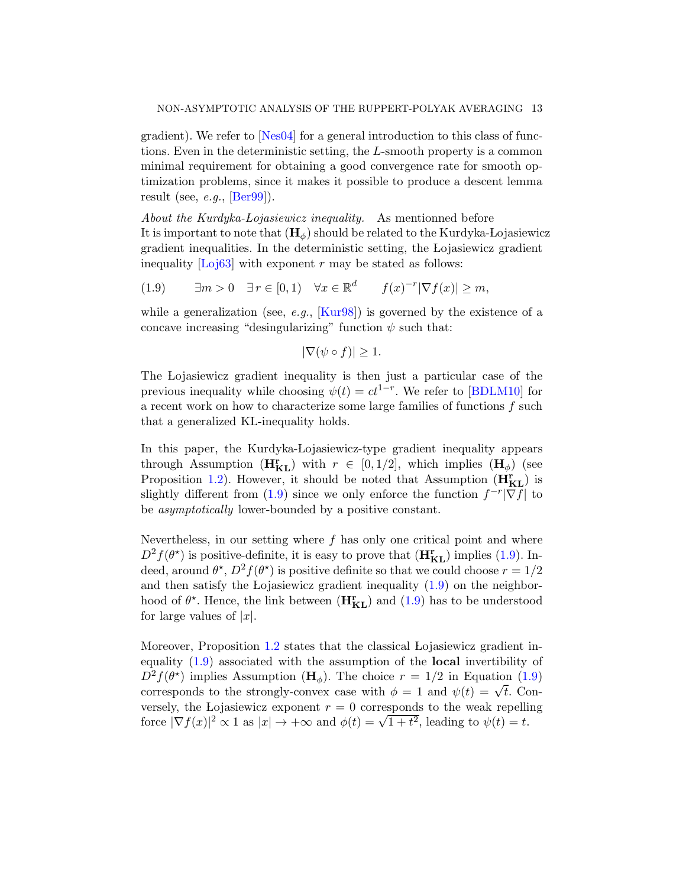gradient). We refer to [\[Nes04](#page-33-12)] for a general introduction to this class of functions. Even in the deterministic setting, the L-smooth property is a common minimal requirement for obtaining a good convergence rate for smooth optimization problems, since it makes it possible to produce a descent lemma result (see,  $e.g.,$  [\[Ber99](#page-33-13)]).

About the Kurdyka-Lojasiewicz inequality. As mentionned before It is important to note that  $(\mathbf{H}_{\phi})$  should be related to the Kurdyka-Lojasiewicz gradient inequalities. In the deterministic setting, the Lojasiewicz gradient inequality  $\lfloor$ Loj<sub>63</sub> $\rfloor$  with exponent r may be stated as follows:

<span id="page-12-0"></span>(1.9)  $\exists m > 0 \quad \exists r \in [0,1) \quad \forall x \in \mathbb{R}^d \quad f(x)^{-r} |\nabla f(x)| \ge m,$ 

while a generalization (see, e.g.,  $\text{Kur98}$ ) is governed by the existence of a concave increasing "desingularizing" function  $\psi$  such that:

$$
|\nabla(\psi \circ f)| \ge 1.
$$

The Lojasiewicz gradient inequality is then just a particular case of the previous inequality while choosing  $\psi(t) = ct^{1-r}$ . We refer to [\[BDLM10](#page-33-14)] for a recent work on how to characterize some large families of functions  $f$  such that a generalized KL-inequality holds.

In this paper, the Kurdyka-Lojasiewicz-type gradient inequality appears through Assumption  $(H_{KL}^r)$  with  $r \in [0, 1/2]$ , which implies  $(H_{\phi})$  (see Proposition [1.2\)](#page-8-2). However, it should be noted that Assumption  $(H_{KL}^r)$  is slightly different from [\(1.9\)](#page-12-0) since we only enforce the function  $f^{-r}|\nabla f|$  to be asymptotically lower-bounded by a positive constant.

Nevertheless, in our setting where  $f$  has only one critical point and where  $D^2 f(\theta^*)$  is positive-definite, it is easy to prove that  $(\mathbf{H}_{KL}^r)$  implies [\(1.9\)](#page-12-0). Indeed, around  $\theta^*, D^2 f(\theta^*)$  is positive definite so that we could choose  $r = 1/2$ and then satisfy the Lojasiewicz gradient inequality  $(1.9)$  on the neighborhood of  $\theta^*$ . Hence, the link between  $(\mathbf{H}_{KL}^r)$  and  $(1.9)$  has to be understood for large values of  $|x|$ .

Moreover, Proposition [1.2](#page-8-2) states that the classical Lojasiewicz gradient inequality [\(1.9\)](#page-12-0) associated with the assumption of the local invertibility of  $D^2 f(\theta^*)$  implies Assumption ( $\mathbf{H}_{\phi}$ ). The choice  $r = 1/2$  in Equation [\(1.9\)](#page-12-0) corresponds to the strongly-convex case with  $\phi = 1$  and  $\psi(t) = \sqrt{t}$ . Conversely, the Lojasiewicz exponent  $r = 0$  corresponds to the weak repelling force  $|\nabla f(x)|^2 \propto 1$  as  $|x| \to +\infty$  and  $\phi(t) = \sqrt{1+t^2}$ , leading to  $\psi(t) = t$ .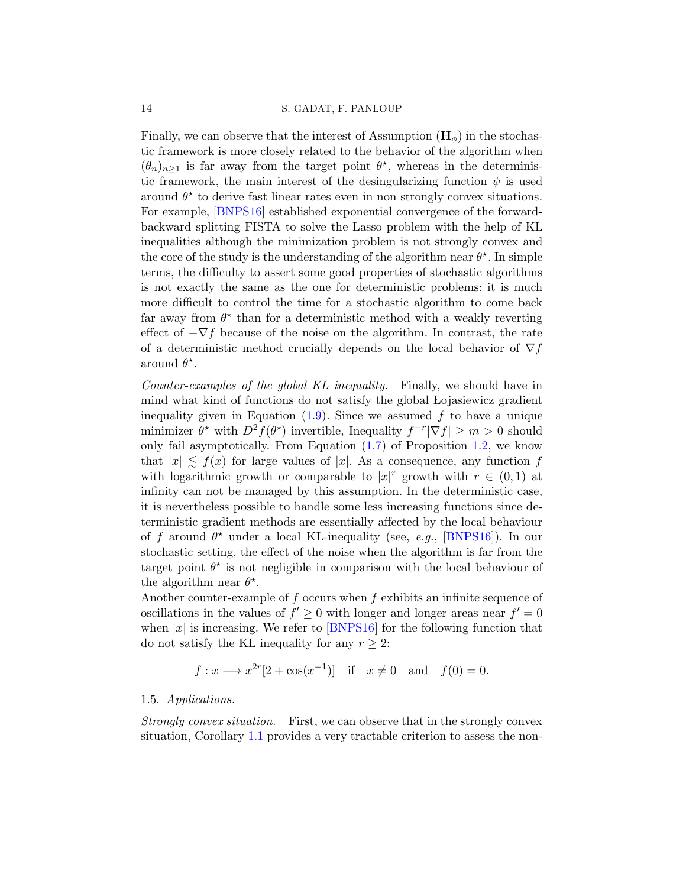Finally, we can observe that the interest of Assumption  $(H_{\phi})$  in the stochastic framework is more closely related to the behavior of the algorithm when  $(\theta_n)_{n\geq 1}$  is far away from the target point  $\theta^*$ , whereas in the deterministic framework, the main interest of the desingularizing function  $\psi$  is used around  $\theta^*$  to derive fast linear rates even in non strongly convex situations. For example, [\[BNPS16\]](#page-33-15) established exponential convergence of the forwardbackward splitting FISTA to solve the Lasso problem with the help of KL inequalities although the minimization problem is not strongly convex and the core of the study is the understanding of the algorithm near  $\theta^*$ . In simple terms, the difficulty to assert some good properties of stochastic algorithms is not exactly the same as the one for deterministic problems: it is much more difficult to control the time for a stochastic algorithm to come back far away from  $\theta^*$  than for a deterministic method with a weakly reverting effect of  $-\nabla f$  because of the noise on the algorithm. In contrast, the rate of a deterministic method crucially depends on the local behavior of  $\nabla f$ around  $\theta^*$ .

Counter-examples of the global KL inequality. Finally, we should have in mind what kind of functions do not satisfy the global Lojasiewicz gradient inequality given in Equation  $(1.9)$ . Since we assumed f to have a unique minimizer  $\theta^*$  with  $D^2 f(\theta^*)$  invertible, Inequality  $f^{-r}|\nabla f| \geq m > 0$  should only fail asymptotically. From Equation [\(1.7\)](#page-8-0) of Proposition [1.2,](#page-8-2) we know that  $|x| \lesssim f(x)$  for large values of |x|. As a consequence, any function f with logarithmic growth or comparable to  $|x|^r$  growth with  $r \in (0,1)$  at infinity can not be managed by this assumption. In the deterministic case, it is nevertheless possible to handle some less increasing functions since deterministic gradient methods are essentially affected by the local behaviour of f around  $\theta^*$  under a local KL-inequality (see, e.g., [\[BNPS16](#page-33-15)]). In our stochastic setting, the effect of the noise when the algorithm is far from the target point  $\theta^*$  is not negligible in comparison with the local behaviour of the algorithm near  $\theta^*$ .

Another counter-example of  $f$  occurs when  $f$  exhibits an infinite sequence of oscillations in the values of  $f' \geq 0$  with longer and longer areas near  $f' = 0$ when  $|x|$  is increasing. We refer to [\[BNPS16](#page-33-15)] for the following function that do not satisfy the KL inequality for any  $r \geq 2$ :

$$
f: x \longrightarrow x^{2r}[2 + \cos(x^{-1})]
$$
 if  $x \neq 0$  and  $f(0) = 0$ .

### <span id="page-13-0"></span>1.5. Applications.

Strongly convex situation. First, we can observe that in the strongly convex situation, Corollary [1.1](#page-7-2) provides a very tractable criterion to assess the non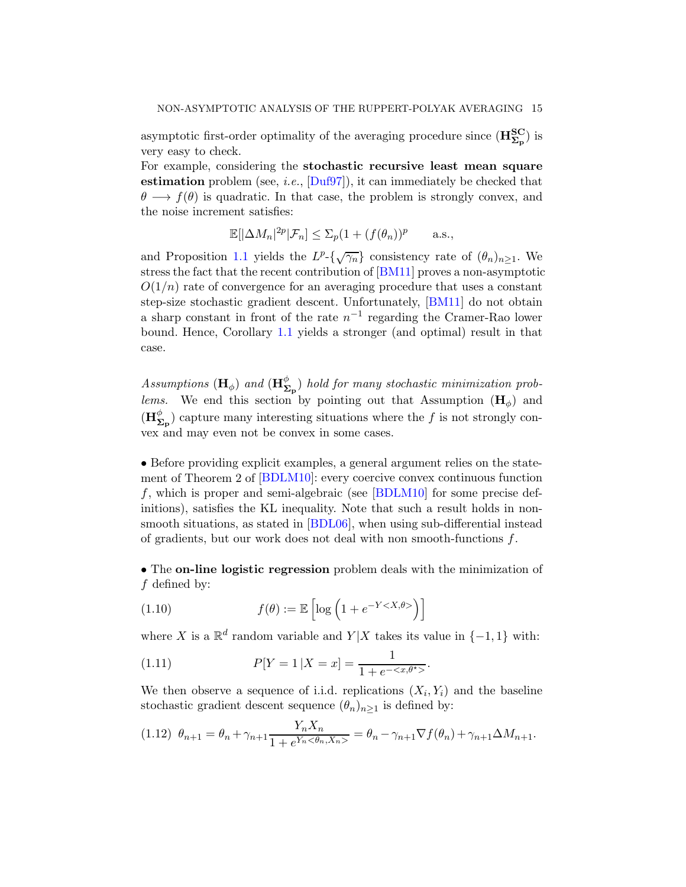asymptotic first-order optimality of the averaging procedure since  $(\mathbf{H}_{\mathbf{\Sigma}_{\mathbf{p}}}^{\mathbf{SC}})$  is very easy to check.

For example, considering the stochastic recursive least mean square estimation problem (see, *i.e.*,  $[\text{Duf97}]$ ), it can immediately be checked that  $\theta \longrightarrow f(\theta)$  is quadratic. In that case, the problem is strongly convex, and the noise increment satisfies:

$$
\mathbb{E}[\left|\Delta M_n\right|^{2p}|\mathcal{F}_n] \le \Sigma_p (1 + (f(\theta_n))^p \quad \text{a.s.},
$$

and Proposition [1.1](#page-7-1) yields the  $L^p\text{-}\{\sqrt{\gamma_n}\}$  consistency rate of  $(\theta_n)_{n\geq 1}$ . We stress the fact that the recent contribution of [\[BM11](#page-33-6)] proves a non-asymptotic  $O(1/n)$  rate of convergence for an averaging procedure that uses a constant step-size stochastic gradient descent. Unfortunately, [\[BM11](#page-33-6)] do not obtain a sharp constant in front of the rate  $n^{-1}$  regarding the Cramer-Rao lower bound. Hence, Corollary [1.1](#page-7-2) yields a stronger (and optimal) result in that case.

Assumptions ( $\mathbf{H}_{\phi}$ ) and ( $\mathbf{H}_{\mathbf{\Sigma}_{\mathbf{p}}}^{\phi}$ ) hold for many stochastic minimization problems. We end this section by pointing out that Assumption  $(\mathbf{H}_{\phi})$  and  $(\mathbf{H}_{\mathbf{\Sigma}_{\mathbf{p}}}^{\phi})$  capture many interesting situations where the f is not strongly convex and may even not be convex in some cases.

• Before providing explicit examples, a general argument relies on the statement of Theorem 2 of [\[BDLM10](#page-33-14)]: every coercive convex continuous function f, which is proper and semi-algebraic (see [\[BDLM10\]](#page-33-14) for some precise definitions), satisfies the KL inequality. Note that such a result holds in nonsmooth situations, as stated in [\[BDL06\]](#page-32-2), when using sub-differential instead of gradients, but our work does not deal with non smooth-functions f.

• The **on-line logistic regression** problem deals with the minimization of f defined by:

<span id="page-14-1"></span>(1.10) 
$$
f(\theta) := \mathbb{E}\left[\log\left(1 + e^{-Y < X, \theta >}\right)\right]
$$

where X is a  $\mathbb{R}^d$  random variable and  $Y|X$  takes its value in  $\{-1,1\}$  with:

<span id="page-14-0"></span>(1.11) 
$$
P[Y = 1 | X = x] = \frac{1}{1 + e^{-\langle x, \theta^* \rangle}}.
$$

We then observe a sequence of i.i.d. replications  $(X_i, Y_i)$  and the baseline stochastic gradient descent sequence  $(\theta_n)_{n\geq 1}$  is defined by:

<span id="page-14-2"></span>
$$
(1.12)\ \theta_{n+1} = \theta_n + \gamma_{n+1} \frac{Y_n X_n}{1 + e^{Y_n \langle \theta_n, X_n \rangle}} = \theta_n - \gamma_{n+1} \nabla f(\theta_n) + \gamma_{n+1} \Delta M_{n+1}.
$$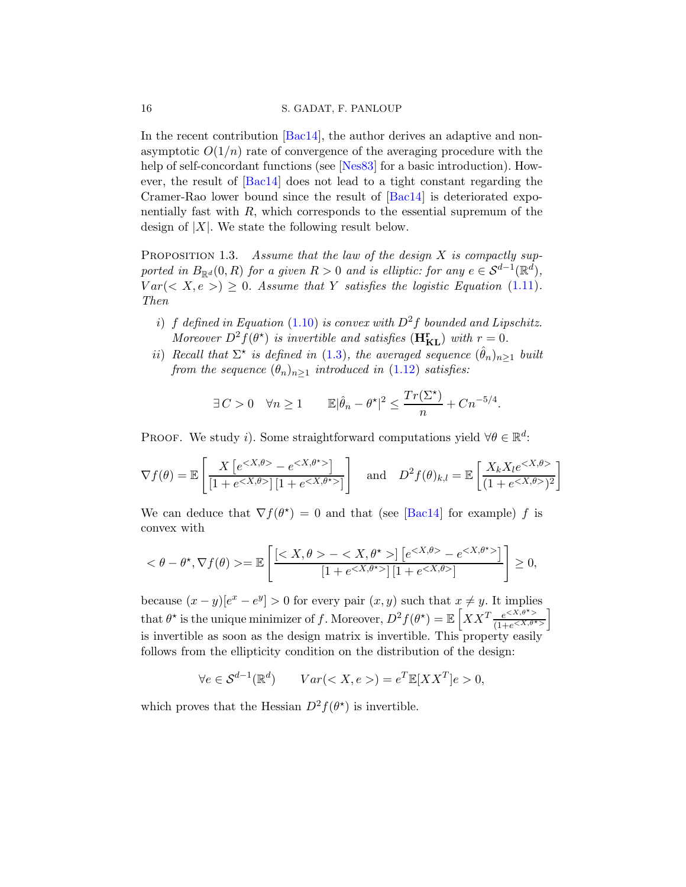#### 16 S. GADAT, F. PANLOUP

In the recent contribution [\[Bac14\]](#page-32-0), the author derives an adaptive and nonasymptotic  $O(1/n)$  rate of convergence of the averaging procedure with the help of self-concordant functions (see [\[Nes83](#page-33-16)] for a basic introduction). However, the result of [\[Bac14](#page-32-0)] does not lead to a tight constant regarding the Cramer-Rao lower bound since the result of [\[Bac14](#page-32-0)] is deteriorated exponentially fast with  $R$ , which corresponds to the essential supremum of the design of  $|X|$ . We state the following result below.

PROPOSITION 1.3. Assume that the law of the design  $X$  is compactly supported in  $B_{\mathbb{R}^d}(0, R)$  for a given  $R > 0$  and is elliptic: for any  $e \in S^{d-1}(\mathbb{R}^d)$ ,  $Var(< X, e >) \geq 0$ . Assume that Y satisfies the logistic Equation [\(1.11\)](#page-14-0). Then

- i) f defined in Equation [\(1.10\)](#page-14-1) is convex with  $D^2f$  bounded and Lipschitz. Moreover  $D^2 \hat{f}(\theta^*)$  is invertible and satisfies  $(H_{KL}^r)$  with  $r=0$ .
- ii) Recall that  $\Sigma^{\star}$  is defined in [\(1.3\)](#page-2-2), the averaged sequence  $(\hat{\theta}_n)_{n\geq 1}$  built from the sequence  $(\theta_n)_{n\geq 1}$  introduced in [\(1.12\)](#page-14-2) satisfies:

$$
\exists C > 0 \quad \forall n \geq 1 \qquad \mathbb{E} |\hat{\theta}_n - \theta^\star|^2 \leq \frac{Tr(\Sigma^\star)}{n} + C n^{-5/4}.
$$

PROOF. We study *i*). Some straightforward computations yield  $\forall \theta \in \mathbb{R}^d$ :

$$
\nabla f(\theta) = \mathbb{E}\left[\frac{X\left[e^{-e}\right]}{\left[1+e|\left[1+e\right]\right]}\right] \quad \text{and} \quad D^2 f(\theta)_{k,l} = \mathbb{E}\left[\frac{X_k X_l e}{\left(1+e)\right^2}\right]
$$

We can deduce that  $\nabla f(\theta^*) = 0$  and that (see [\[Bac14](#page-32-0)] for example) f is convex with

$$
<\theta-\theta^{\star},\nabla f(\theta)>=\mathbb{E}\left[\frac{[-]\left[e^{-}e^{}\right]}{[1+e^{}]\left[1+e^{}\right]}\right]\geq 0,
$$

because  $(x - y)[e^x - e^y] > 0$  for every pair  $(x, y)$  such that  $x \neq y$ . It implies that  $\theta^*$  is the unique minimizer of f. Moreover,  $D^2 f(\theta^*) = \mathbb{E}\left[XX^T\frac{e^{\langle X,\theta^*\rangle}}{(1+e^{\langle X,\theta^*\rangle})}\right]$ i is invertible as soon as the design matrix is invertible. This property easily follows from the ellipticity condition on the distribution of the design:

$$
\forall e \in \mathcal{S}^{d-1}(\mathbb{R}^d) \qquad Var() = e^T \mathbb{E}[XX^T]e > 0,
$$

which proves that the Hessian  $D^2 f(\theta^*)$  is invertible.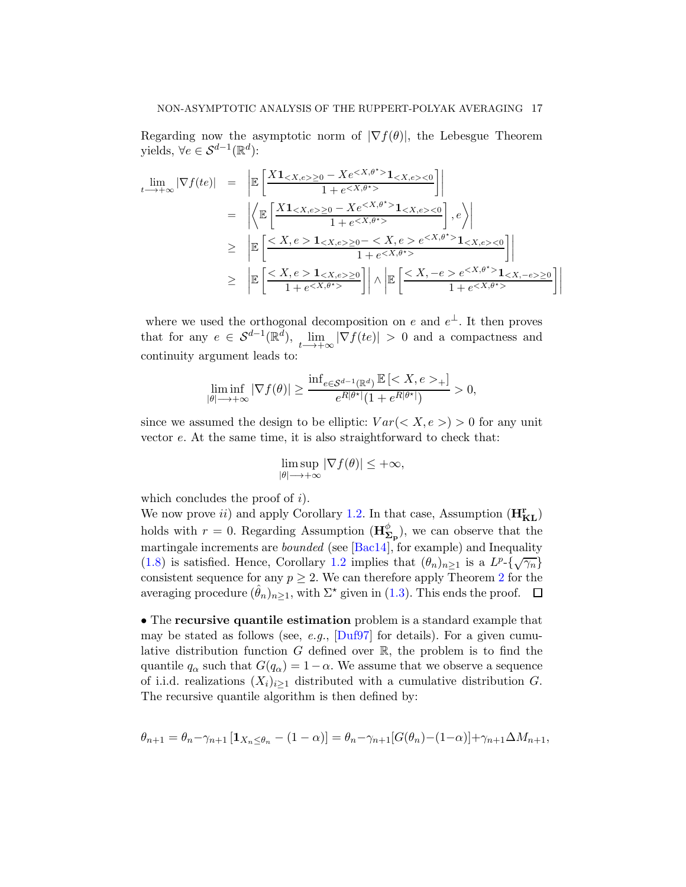Regarding now the asymptotic norm of  $|\nabla f(\theta)|$ , the Lebesgue Theorem yields,  $\forall e \in \mathcal{S}^{d-1}(\mathbb{R}^d)$ :

$$
\lim_{t \to +\infty} |\nabla f(te)| = \left| \mathbb{E} \left[ \frac{X \mathbf{1}_{< X, e > \ge 0} - X e^{< X, \theta^* > \mathbf{1}_{< X, e > < 0}}{1 + e^{< X, \theta^* > \mathbf{1}_{< X, e > < 0}} \right] \right|
$$
\n
$$
= \left| \left\langle \mathbb{E} \left[ \frac{X \mathbf{1}_{< X, e > \ge 0} - X e^{< X, \theta^* > \mathbf{1}_{< X, e > < 0}}{1 + e^{< X, \theta^* > \mathbf{1}_{< X, e > < 0}} \right], e \right\rangle \right|
$$
\n
$$
\geq \left| \mathbb{E} \left[ \frac{\leq X, e > \mathbf{1}_{< X, e > \ge 0} - \leq X, e > e^{< X, \theta^* > \mathbf{1}_{< X, e > < 0}}{1 + e^{< X, \theta^* > \mathbf{1}_{< X, -e > \ge 0}} \right] \right| \wedge \left| \mathbb{E} \left[ \frac{\leq X, -e > e^{< X, \theta^* > \mathbf{1}_{< X, -e > \ge 0}}{1 + e^{< X, \theta^* > \mathbf{1}_{< X, -e > \ge 0}} \right] \right|
$$

where we used the orthogonal decomposition on e and  $e^{\perp}$ . It then proves that for any  $e \in \mathcal{S}^{d-1}(\mathbb{R}^d)$ ,  $\lim_{t \to +\infty} |\nabla f(te)| > 0$  and a compactness and continuity argument leads to:

$$
\liminf_{|\theta|\longrightarrow +\infty}|\nabla f(\theta)|\geq \frac{\inf_{e\in \mathcal{S}^{d-1}(\mathbb{R}^d)}\mathbb{E}\left[_{+}\right]}{e^{R|\theta^{\star}|}(1+e^{R|\theta^{\star}|})}>0,
$$

since we assumed the design to be elliptic:  $Var(< X, e >) > 0$  for any unit vector e. At the same time, it is also straightforward to check that:

$$
\limsup_{|\theta| \to +\infty} |\nabla f(\theta)| \leq +\infty,
$$

which concludes the proof of  $i$ ).

We now prove *ii*) and apply Corollary [1.2.](#page-10-0) In that case, Assumption  $(H_{KL}^r)$ holds with  $r = 0$ . Regarding Assumption  $(\mathbf{H}_{\Sigma_{\mathbf{p}}}^{\phi})$ , we can observe that the martingale increments are *bounded* (see [\[Bac14](#page-32-0)], for example) and Inequality [\(1.8\)](#page-9-1) is satisfied. Hence, Corollary [1.2](#page-10-0) implies that  $(\theta_n)_{n\geq 1}$  is a  $L^p\text{-}\{\sqrt{\gamma_n}\}$ consistent sequence for any  $p \geq 2$  $p \geq 2$ . We can therefore apply Theorem 2 for the averaging procedure  $(\hat{\theta}_n)_{n\geq 1}$ , with  $\Sigma^*$  given in [\(1.3\)](#page-2-2). This ends the proof.  $\Box$ 

• The recursive quantile estimation problem is a standard example that may be stated as follows (see, e.g.,  $[{\rm Duf97}]$  for details). For a given cumulative distribution function G defined over  $\mathbb{R}$ , the problem is to find the quantile  $q_{\alpha}$  such that  $G(q_{\alpha}) = 1 - \alpha$ . We assume that we observe a sequence of i.i.d. realizations  $(X_i)_{i\geq 1}$  distributed with a cumulative distribution G. The recursive quantile algorithm is then defined by:

$$
\theta_{n+1} = \theta_n - \gamma_{n+1} \left[ \mathbf{1}_{X_n \leq \theta_n} - (1 - \alpha) \right] = \theta_n - \gamma_{n+1} [G(\theta_n) - (1 - \alpha)] + \gamma_{n+1} \Delta M_{n+1},
$$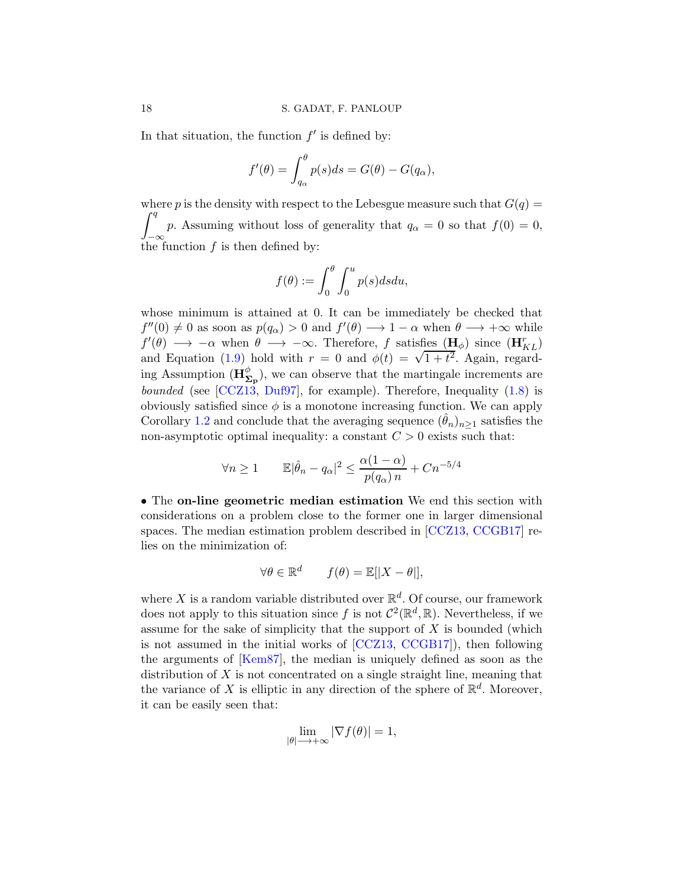In that situation, the function  $f'$  is defined by:

$$
f'(\theta) = \int_{q_{\alpha}}^{\theta} p(s)ds = G(\theta) - G(q_{\alpha}),
$$

where p is the density with respect to the Lebesgue measure such that  $G(q)$  =  $\int$ <sup>q</sup>  $J^{\infty}$  the function f is then defined by: p. Assuming without loss of generality that  $q_{\alpha} = 0$  so that  $f(0) = 0$ ,

$$
f(\theta) := \int_0^{\theta} \int_0^u p(s) ds du,
$$

whose minimum is attained at 0. It can be immediately be checked that  $f''(0) \neq 0$  as soon as  $p(q_{\alpha}) > 0$  and  $f'(\theta) \longrightarrow 1 - \alpha$  when  $\theta \longrightarrow +\infty$  while  $f'(\theta) \longrightarrow -\alpha$  when  $\theta \longrightarrow -\infty$ . Therefore, f satisfies  $(\mathbf{H}_{\phi})$  since  $(\mathbf{H}_{KL}^r)$ and Equation [\(1.9\)](#page-12-0) hold with  $r = 0$  and  $\phi(t) = \sqrt{1+t^2}$ . Again, regarding Assumption  $(\mathbf{H}_{\Sigma_{\mathbf{p}}}^{\phi})$ , we can observe that the martingale increments are bounded (see [\[CCZ13](#page-33-7), [Duf97\]](#page-33-11), for example). Therefore, Inequality [\(1.8\)](#page-9-1) is obviously satisfied since  $\phi$  is a monotone increasing function. We can apply Corollary [1.2](#page-10-0) and conclude that the averaging sequence  $(\theta_n)_{n>1}$  satisfies the non-asymptotic optimal inequality: a constant  $C > 0$  exists such that:

$$
\forall n \ge 1 \qquad \mathbb{E}|\hat{\theta}_n - q_\alpha|^2 \le \frac{\alpha(1-\alpha)}{p(q_\alpha)n} + Cn^{-5/4}
$$

• The on-line geometric median estimation We end this section with considerations on a problem close to the former one in larger dimensional spaces. The median estimation problem described in [\[CCZ13,](#page-33-7) [CCGB17](#page-33-8)] relies on the minimization of:

$$
\forall \theta \in \mathbb{R}^d \qquad f(\theta) = \mathbb{E}[|X - \theta|],
$$

where X is a random variable distributed over  $\mathbb{R}^d$ . Of course, our framework does not apply to this situation since f is not  $C^2(\mathbb{R}^d, \mathbb{R})$ . Nevertheless, if we assume for the sake of simplicity that the support of  $X$  is bounded (which is not assumed in the initial works of [\[CCZ13,](#page-33-7) [CCGB17](#page-33-8)]), then following the arguments of [\[Kem87](#page-33-17)], the median is uniquely defined as soon as the distribution of  $X$  is not concentrated on a single straight line, meaning that the variance of X is elliptic in any direction of the sphere of  $\mathbb{R}^d$ . Moreover, it can be easily seen that:

$$
\lim_{|\theta| \to +\infty} |\nabla f(\theta)| = 1,
$$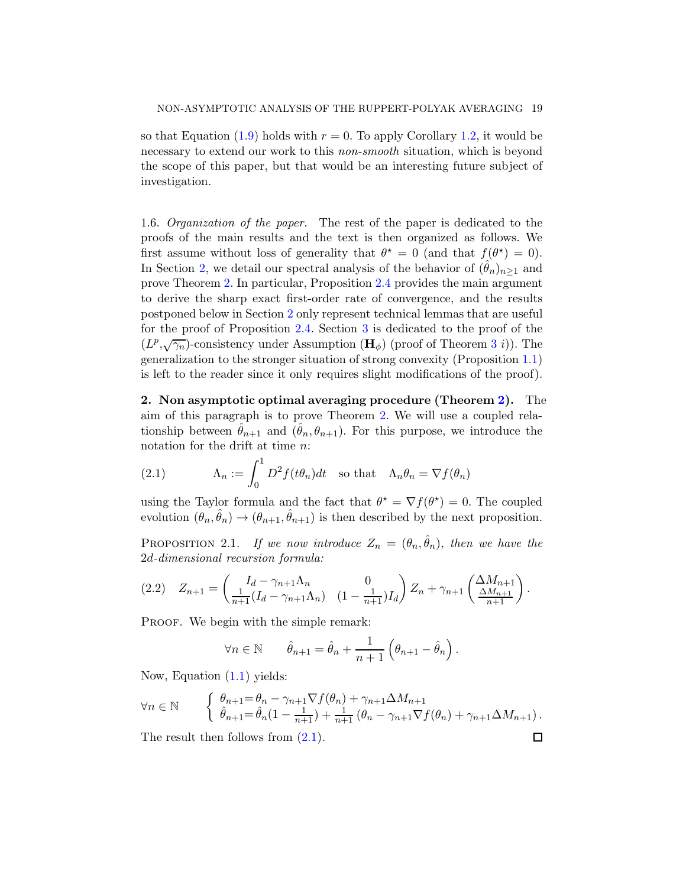so that Equation [\(1.9\)](#page-12-0) holds with  $r = 0$ . To apply Corollary [1.2,](#page-10-0) it would be necessary to extend our work to this non-smooth situation, which is beyond the scope of this paper, but that would be an interesting future subject of investigation.

1.6. Organization of the paper. The rest of the paper is dedicated to the proofs of the main results and the text is then organized as follows. We first assume without loss of generality that  $\theta^* = 0$  (and that  $f(\theta^*) = 0$ ). In Section [2,](#page-18-0) we detail our spectral analysis of the behavior of  $(\theta_n)_{n>1}$  and prove Theorem [2.](#page-5-0) In particular, Proposition [2.4](#page-22-0) provides the main argument to derive the sharp exact first-order rate of convergence, and the results postponed below in Section [2](#page-18-0) only represent technical lemmas that are useful for the proof of Proposition [2.4.](#page-22-0) Section [3](#page-25-2) is dedicated to the proof of the  $(L^p, \sqrt{\gamma_n})$ -consistency under Assumption  $(\mathbf{H}_{\phi})$  (proof of Theorem [3](#page-9-0) *i*)). The generalization to the stronger situation of strong convexity (Proposition [1.1\)](#page-7-1) is left to the reader since it only requires slight modifications of the proof).

<span id="page-18-0"></span>2. Non asymptotic optimal averaging procedure (Theorem [2\)](#page-5-0). The aim of this paragraph is to prove Theorem [2.](#page-5-0) We will use a coupled relationship between  $\hat{\theta}_{n+1}$  and  $(\hat{\theta}_n, \theta_{n+1})$ . For this purpose, we introduce the notation for the drift at time n:

<span id="page-18-1"></span>(2.1) 
$$
\Lambda_n := \int_0^1 D^2 f(t\theta_n) dt \text{ so that } \Lambda_n \theta_n = \nabla f(\theta_n)
$$

using the Taylor formula and the fact that  $\theta^* = \nabla f(\theta^*) = 0$ . The coupled evolution  $(\theta_n, \hat{\theta}_n) \to (\theta_{n+1}, \hat{\theta}_{n+1})$  is then described by the next proposition.

PROPOSITION 2.1. If we now introduce  $Z_n = (\theta_n, \hat{\theta}_n)$ , then we have the 2d-dimensional recursion formula:

$$
(2.2) \quad Z_{n+1} = \begin{pmatrix} I_d - \gamma_{n+1} \Lambda_n & 0 \\ \frac{1}{n+1} (I_d - \gamma_{n+1} \Lambda_n) & (1 - \frac{1}{n+1}) I_d \end{pmatrix} Z_n + \gamma_{n+1} \begin{pmatrix} \Delta M_{n+1} \\ \frac{\Delta M_{n+1}}{n+1} \end{pmatrix}.
$$

PROOF. We begin with the simple remark:

$$
\forall n \in \mathbb{N} \qquad \hat{\theta}_{n+1} = \hat{\theta}_n + \frac{1}{n+1} \left( \theta_{n+1} - \hat{\theta}_n \right).
$$

Now, Equation [\(1.1\)](#page-1-0) yields:

$$
\forall n \in \mathbb{N} \qquad \begin{cases} \theta_{n+1} = \theta_n - \gamma_{n+1} \nabla f(\theta_n) + \gamma_{n+1} \Delta M_{n+1} \\ \hat{\theta}_{n+1} = \hat{\theta}_n (1 - \frac{1}{n+1}) + \frac{1}{n+1} (\theta_n - \gamma_{n+1} \nabla f(\theta_n) + \gamma_{n+1} \Delta M_{n+1}). \end{cases}
$$

 $\Box$ 

The result then follows from  $(2.1)$ .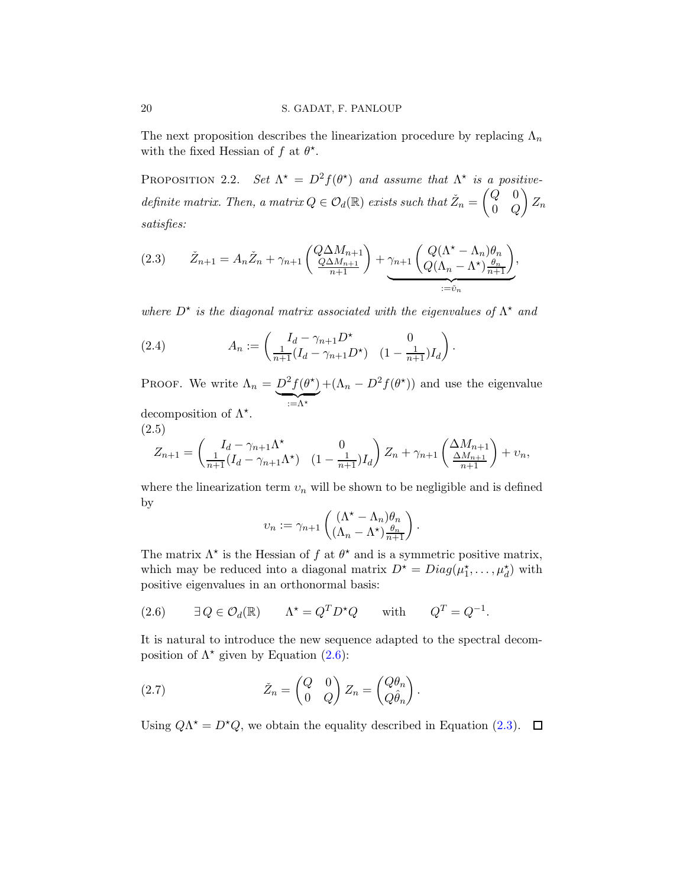The next proposition describes the linearization procedure by replacing  $\Lambda_n$ with the fixed Hessian of f at  $\theta^*$ .

PROPOSITION 2.2. Set  $\Lambda^* = D^2 f(\theta^*)$  and assume that  $\Lambda^*$  is a positivedefinite matrix. Then, a matrix  $Q \in \mathcal{O}_d(\mathbb{R})$  exists such that  $\check{Z}_n =$  $\int Q = 0$  $0\quad Q$  $\setminus$  $Z_n$ satisfies:

<span id="page-19-1"></span>
$$
(2.3) \qquad \check{Z}_{n+1} = A_n \check{Z}_n + \gamma_{n+1} \left( \underbrace{Q \Delta M_{n+1}}_{n+1} \right) + \underbrace{\gamma_{n+1} \left( Q(\Lambda^* - \Lambda_n) \theta_n \atop Q(\Lambda_n - \Lambda^*) \frac{\theta_n}{n+1} \right)}_{:= \check{v}_n},
$$

where  $D^*$  is the diagonal matrix associated with the eigenvalues of  $\Lambda^*$  and

(2.4) 
$$
A_n := \begin{pmatrix} I_d - \gamma_{n+1} D^* & 0 \\ \frac{1}{n+1} (I_d - \gamma_{n+1} D^*) & (1 - \frac{1}{n+1}) I_d \end{pmatrix}.
$$

PROOF. We write  $\Lambda_n = D^2 f(\theta^{\star})$  $:= \Lambda^*$  $+(\Lambda_n - D^2 f(\theta^*))$  and use the eigenvalue decomposition of  $\Lambda^*$ .

(2.5)

<span id="page-19-3"></span>
$$
Z_{n+1} = \begin{pmatrix} I_d - \gamma_{n+1} \Lambda^* & 0 \\ \frac{1}{n+1} (I_d - \gamma_{n+1} \Lambda^*) & (1 - \frac{1}{n+1}) I_d \end{pmatrix} Z_n + \gamma_{n+1} \begin{pmatrix} \Delta M_{n+1} \\ \frac{\Delta M_{n+1}}{n+1} \end{pmatrix} + v_n,
$$

where the linearization term  $v_n$  will be shown to be negligible and is defined by

$$
v_n := \gamma_{n+1} \left( \frac{(\Lambda^* - \Lambda_n) \theta_n}{(\Lambda_n - \Lambda^*) \frac{\theta_n}{n+1}} \right).
$$

The matrix  $\Lambda^*$  is the Hessian of f at  $\theta^*$  and is a symmetric positive matrix, which may be reduced into a diagonal matrix  $D^* = Diag(\mu_1^*, \ldots, \mu_d^*)$  with positive eigenvalues in an orthonormal basis:

<span id="page-19-0"></span>(2.6) 
$$
\exists Q \in \mathcal{O}_d(\mathbb{R})
$$
  $\Lambda^* = Q^T D^* Q$  with  $Q^T = Q^{-1}$ .

It is natural to introduce the new sequence adapted to the spectral decomposition of  $\Lambda^*$  given by Equation [\(2.6\)](#page-19-0):

<span id="page-19-2"></span>(2.7) 
$$
\tilde{Z}_n = \begin{pmatrix} Q & 0 \\ 0 & Q \end{pmatrix} Z_n = \begin{pmatrix} Q\theta_n \\ Q\hat{\theta}_n \end{pmatrix}.
$$

Using  $Q\Lambda^* = D^*Q$ , we obtain the equality described in Equation [\(2.3\)](#page-19-1).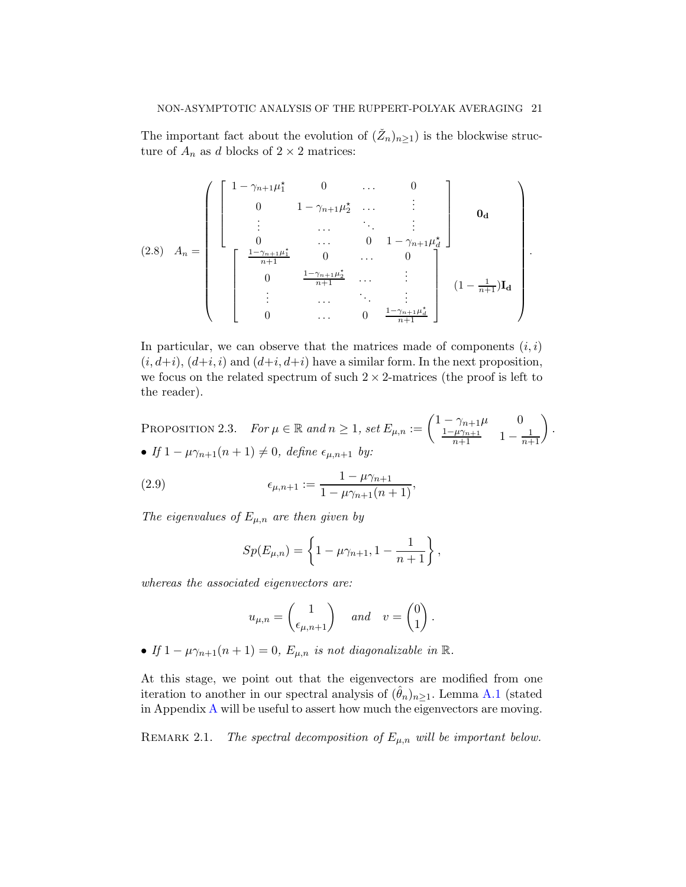The important fact about the evolution of  $(\check{Z}_n)_{n\geq 1}$  is the blockwise structure of  $A_n$  as d blocks of  $2 \times 2$  matrices:

<span id="page-20-0"></span>
$$
(2.8) \quad A_n = \begin{pmatrix} 1 - \gamma_{n+1} \mu_1^* & 0 & \dots & 0 \\ 0 & 1 - \gamma_{n+1} \mu_2^* & \dots & \vdots \\ \vdots & \dots & \ddots & \vdots \\ 0 & \dots & 0 & 1 - \gamma_{n+1} \mu_d^* \\ \frac{1 - \gamma_{n+1} \mu_1^*}{n+1} & 0 & \dots & 0 \\ 0 & \frac{1 - \gamma_{n+1} \mu_2^*}{n+1} & \dots & \vdots \\ \vdots & \dots & \ddots & \vdots \\ 0 & \dots & 0 & \frac{1 - \gamma_{n+1} \mu_d^*}{n+1} \end{pmatrix} \quad (1 - \frac{1}{n+1}) \mathbf{I_d}
$$

.

In particular, we can observe that the matrices made of components  $(i, i)$  $(i, d+i)$ ,  $(d+i, i)$  and  $(d+i, d+i)$  have a similar form. In the next proposition, we focus on the related spectrum of such  $2 \times 2$ -matrices (the proof is left to the reader).

PROPOSITION 2.3. For  $\mu \in \mathbb{R}$  and  $n \ge 1$ , set  $E_{\mu,n} := \begin{pmatrix} 1 - \gamma_{n+1} \mu & 0 \\ \frac{1 - \mu \gamma_{n+1}}{n+1} & 1 - \frac{1}{n+1} \end{pmatrix}$  $n+1$  $\setminus$ . • If  $1 - \mu \gamma_{n+1}(n+1) \neq 0$ , define  $\epsilon_{\mu,n+1}$  by:

(2.9) 
$$
\epsilon_{\mu,n+1} := \frac{1 - \mu \gamma_{n+1}}{1 - \mu \gamma_{n+1}(n+1)},
$$

The eigenvalues of  $E_{\mu,n}$  are then given by

$$
Sp(E_{\mu,n}) = \left\{1 - \mu \gamma_{n+1}, 1 - \frac{1}{n+1}\right\},\,
$$

whereas the associated eigenvectors are:

$$
u_{\mu,n} = \begin{pmatrix} 1 \\ \epsilon_{\mu,n+1} \end{pmatrix}
$$
 and  $v = \begin{pmatrix} 0 \\ 1 \end{pmatrix}$ .

• If  $1 - \mu \gamma_{n+1}(n+1) = 0$ ,  $E_{\mu,n}$  is not diagonalizable in  $\mathbb{R}$ .

At this stage, we point out that the eigenvectors are modified from one iteration to another in our spectral analysis of  $(\theta_n)_{n\geq 1}$ . Lemma [A.1](#page-34-0) (stated in Appendix [A](#page-34-1) will be useful to assert how much the eigenvectors are moving.

REMARK 2.1. The spectral decomposition of  $E_{\mu,n}$  will be important below.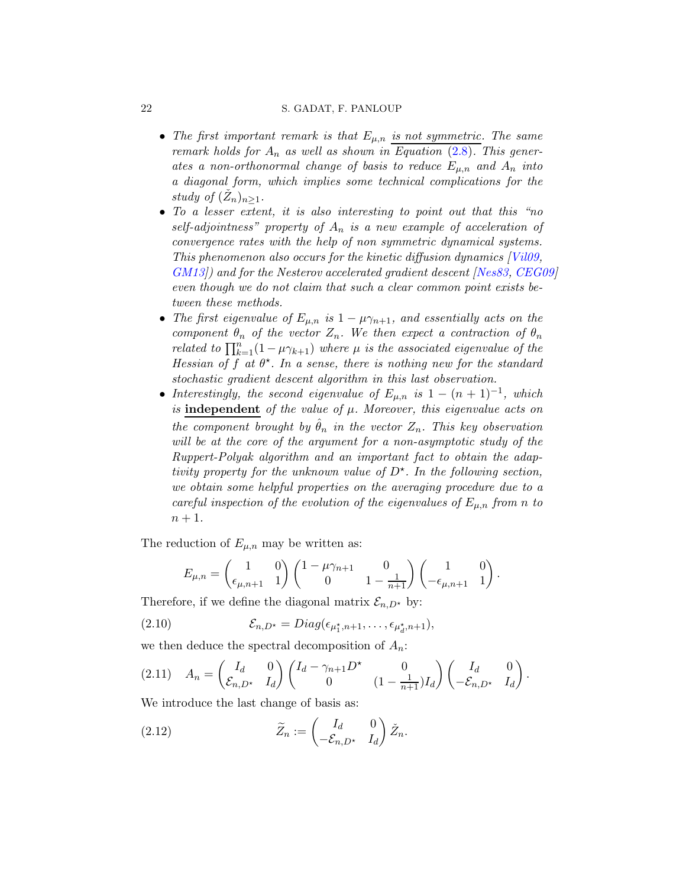#### 22 S. GADAT, F. PANLOUP

- The first important remark is that  $E_{\mu,n}$  is not symmetric. The same remark holds for  $A_n$  as well as shown in Equation [\(2.8\)](#page-20-0). This generates a non-orthonormal change of basis to reduce  $E_{\mu,n}$  and  $A_n$  into a diagonal form, which implies some technical complications for the study of  $(\check{Z}_n)_{n\geq 1}$ .
- To a lesser extent, it is also interesting to point out that this "no self-adjointness" property of  $A_n$  is a new example of acceleration of convergence rates with the help of non symmetric dynamical systems. This phenomenon also occurs for the kinetic diffusion dynamics [\[Vil09](#page-33-18), [GM13](#page-33-19)]) and for the Nesterov accelerated gradient descent [\[Nes83,](#page-33-16) [CEG09\]](#page-33-20) even though we do not claim that such a clear common point exists between these methods.
- The first eigenvalue of  $E_{\mu,n}$  is  $1 \mu \gamma_{n+1}$ , and essentially acts on the component  $\theta_n$  of the vector  $Z_n$ . We then expect a contraction of  $\theta_n$ related to  $\prod_{k=1}^{n} (1 - \mu \gamma_{k+1})$  where  $\mu$  is the associated eigenvalue of the Hessian of f at  $\theta^*$ . In a sense, there is nothing new for the standard stochastic gradient descent algorithm in this last observation.
- Interestingly, the second eigenvalue of  $E_{\mu,n}$  is  $1 (n + 1)^{-1}$ , which is independent of the value of  $\mu$ . Moreover, this eigenvalue acts on the component brought by  $\ddot{\theta}_n$  in the vector  $Z_n$ . This key observation will be at the core of the argument for a non-asymptotic study of the Ruppert-Polyak algorithm and an important fact to obtain the adaptivity property for the unknown value of  $D^*$ . In the following section, we obtain some helpful properties on the averaging procedure due to a careful inspection of the evolution of the eigenvalues of  $E_{\mu,n}$  from n to  $n+1$ .

The reduction of  $E_{\mu,n}$  may be written as:

$$
E_{\mu,n} = \begin{pmatrix} 1 & 0 \\ \epsilon_{\mu,n+1} & 1 \end{pmatrix} \begin{pmatrix} 1 - \mu \gamma_{n+1} & 0 \\ 0 & 1 - \frac{1}{n+1} \end{pmatrix} \begin{pmatrix} 1 & 0 \\ -\epsilon_{\mu,n+1} & 1 \end{pmatrix}.
$$

Therefore, if we define the diagonal matrix  $\mathcal{E}_{n,D^*}$  by:

(2.10) 
$$
\mathcal{E}_{n,D^*} = Diag(\epsilon_{\mu_1^*,n+1},\ldots,\epsilon_{\mu_d^*,n+1}),
$$

we then deduce the spectral decomposition of  $A_n$ :

<span id="page-21-1"></span>
$$
(2.11) \quad A_n = \begin{pmatrix} I_d & 0 \\ \mathcal{E}_{n,D^*} & I_d \end{pmatrix} \begin{pmatrix} I_d - \gamma_{n+1} D^* & 0 \\ 0 & (1 - \frac{1}{n+1}) I_d \end{pmatrix} \begin{pmatrix} I_d & 0 \\ -\mathcal{E}_{n,D^*} & I_d \end{pmatrix}.
$$

We introduce the last change of basis as:

<span id="page-21-0"></span>(2.12) 
$$
\widetilde{Z}_n := \begin{pmatrix} I_d & 0 \\ -\mathcal{E}_{n,D^*} & I_d \end{pmatrix} \check{Z}_n.
$$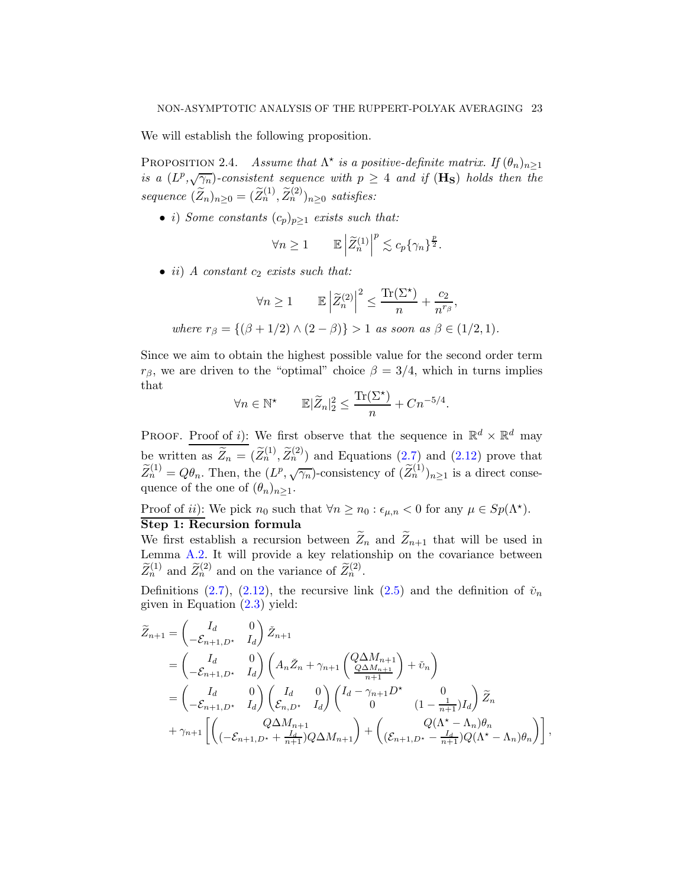We will establish the following proposition.

<span id="page-22-0"></span>PROPOSITION 2.4. Assume that  $\Lambda^*$  is a positive-definite matrix. If  $(\theta_n)_{n\geq 1}$ is a  $(L^p, \sqrt{\gamma_n})$ -consistent sequence with  $p \geq 4$  and if  $(\mathbf{H}_S)$  holds then the sequence  $(\widetilde{Z}_n)_{n\geq 0} = (\widetilde{Z}_n^{(1)}, \widetilde{Z}_n^{(2)})_{n\geq 0}$  satisfies:

• i) Some constants  $(c_p)_{p\geq 1}$  exists such that:

$$
\forall n \geq 1 \qquad \mathbb{E} \left| \widetilde{Z}_n^{(1)} \right|^p \lesssim c_p \{ \gamma_n \}^{\frac{p}{2}}.
$$

• ii) A constant  $c_2$  exists such that:

$$
\forall n \ge 1 \qquad \mathbb{E} \left| \widetilde{Z}_n^{(2)} \right|^2 \le \frac{\text{Tr}(\Sigma^\star)}{n} + \frac{c_2}{n^{r_\beta}},
$$
  
where  $r_\beta = \{ (\beta + 1/2) \land (2 - \beta) \} > 1$  as soon as  $\beta \in (1/2, 1)$ .

Since we aim to obtain the highest possible value for the second order term  $r_{\beta}$ , we are driven to the "optimal" choice  $\beta = 3/4$ , which in turns implies that

$$
\forall n \in \mathbb{N}^\star \qquad \mathbb{E}|\widetilde{Z}_n|_2^2 \le \frac{\text{Tr}(\Sigma^\star)}{n} + Cn^{-5/4}.
$$

PROOF. Proof of *i*): We first observe that the sequence in  $\mathbb{R}^d \times \mathbb{R}^d$  may be written as  $\widetilde{Z}_n = (\widetilde{Z}_n^{(1)}, \widetilde{Z}_n^{(2)})$  and Equations  $(2.7)$  and  $(2.12)$  prove that  $\widetilde{Z}_n^{(1)} = Q\theta_n$ . Then, the  $(L^p, \sqrt{\gamma_n})$ -consistency of  $(\widetilde{Z}_n^{(1)})_{n\geq 1}$  is a direct consequence of the one of  $(\theta_n)_{n\geq 1}$ .

Proof of *ii*): We pick  $n_0$  such that  $\forall n \geq n_0 : \epsilon_{\mu,n} < 0$  for any  $\mu \in Sp(\Lambda^{\star})$ . Step 1: Recursion formula

We first establish a recursion between  $\widetilde{Z}_n$  and  $\widetilde{Z}_{n+1}$  that will be used in Lemma [A.2.](#page-34-2) It will provide a key relationship on the covariance between  $\widetilde{Z}_n^{(1)}$  and  $\widetilde{Z}_n^{(2)}$  and on the variance of  $\widetilde{Z}_n^{(2)}$ .

Definitions [\(2.7\)](#page-19-2), [\(2.12\)](#page-21-0), the recursive link [\(2.5\)](#page-19-3) and the definition of  $\check{\nu}_n$ given in Equation  $(2.3)$  yield:

$$
\widetilde{Z}_{n+1} = \begin{pmatrix} I_d & 0 \\ -\mathcal{E}_{n+1,D^*} & I_d \end{pmatrix} \widetilde{Z}_{n+1}
$$
\n
$$
= \begin{pmatrix} I_d & 0 \\ -\mathcal{E}_{n+1,D^*} & I_d \end{pmatrix} \begin{pmatrix} A_n \widetilde{Z}_n + \gamma_{n+1} \begin{pmatrix} Q \Delta M_{n+1} \\ \frac{Q \Delta M_{n+1}}{n+1} \end{pmatrix} + \widetilde{v}_n \end{pmatrix}
$$
\n
$$
= \begin{pmatrix} I_d & 0 \\ -\mathcal{E}_{n+1,D^*} & I_d \end{pmatrix} \begin{pmatrix} I_d & 0 \\ \mathcal{E}_{n,D^*} & I_d \end{pmatrix} \begin{pmatrix} I_d - \gamma_{n+1}D^* & 0 \\ 0 & (1 - \frac{1}{n+1})I_d \end{pmatrix} \widetilde{Z}_n
$$
\n
$$
+ \gamma_{n+1} \left[ \begin{pmatrix} Q \Delta M_{n+1} \\ (-\mathcal{E}_{n+1,D^*} + \frac{I_d}{n+1})Q\Delta M_{n+1} \end{pmatrix} + \begin{pmatrix} Q(\Lambda^* - \Lambda_n)\theta_n \\ (\mathcal{E}_{n+1,D^*} - \frac{I_d}{n+1})Q(\Lambda^* - \Lambda_n)\theta_n \end{pmatrix} \right],
$$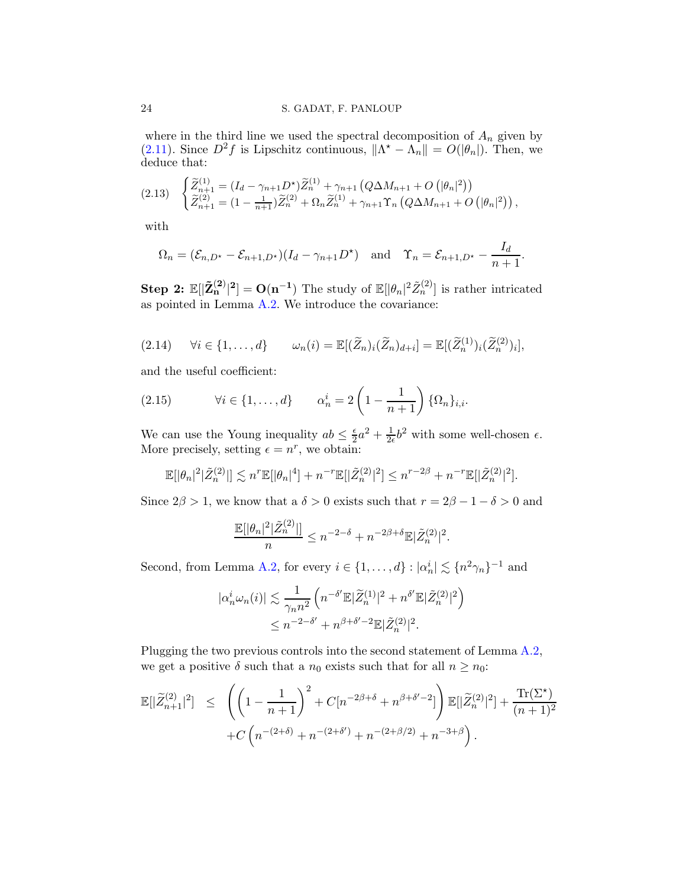where in the third line we used the spectral decomposition of  $A_n$  given by [\(2.11\)](#page-21-1). Since  $D^2 f$  is Lipschitz continuous,  $\|\Lambda^* - \Lambda_n\| = O(|\theta_n|)$ . Then, we deduce that:

<span id="page-23-1"></span>
$$
(2.13) \quad \begin{cases} \widetilde{Z}_{n+1}^{(1)} = (I_d - \gamma_{n+1} D^{\star}) \widetilde{Z}_n^{(1)} + \gamma_{n+1} \left( Q \Delta M_{n+1} + O\left(|\theta_n|^2\right) \right) \\ \widetilde{Z}_{n+1}^{(2)} = (1 - \frac{1}{n+1}) \widetilde{Z}_n^{(2)} + \Omega_n \widetilde{Z}_n^{(1)} + \gamma_{n+1} \Upsilon_n \left( Q \Delta M_{n+1} + O\left(|\theta_n|^2\right) \right), \end{cases}
$$

with

$$
\Omega_n = (\mathcal{E}_{n,D^*} - \mathcal{E}_{n+1,D^*})(I_d - \gamma_{n+1}D^*) \quad \text{and} \quad \Upsilon_n = \mathcal{E}_{n+1,D^*} - \frac{I_d}{n+1}.
$$

Step 2:  $\mathbb{E}[|\tilde{\mathbf{Z}}_{n}^{(2)}|^2] = O(n^{-1})$  The study of  $\mathbb{E}[|\theta_n|^2 \tilde{Z}_{n}^{(2)}]$  is rather intricated as pointed in Lemma [A.2.](#page-34-2) We introduce the covariance:

$$
(2.14) \quad \forall i \in \{1,\ldots,d\} \qquad \omega_n(i) = \mathbb{E}[(\widetilde{Z}_n)_i(\widetilde{Z}_n)_{d+i}] = \mathbb{E}[(\widetilde{Z}_n^{(1)})_i(\widetilde{Z}_n^{(2)})_i],
$$

and the useful coefficient:

<span id="page-23-0"></span>(2.15) 
$$
\forall i \in \{1,\ldots,d\} \qquad \alpha_n^i = 2\left(1 - \frac{1}{n+1}\right)\{\Omega_n\}_{i,i}.
$$

We can use the Young inequality  $ab \leq \frac{\epsilon}{2}$  $\frac{\epsilon}{2}a^2 + \frac{1}{2\epsilon}$  $\frac{1}{2\epsilon}b^2$  with some well-chosen  $\epsilon$ . More precisely, setting  $\epsilon = n^r$ , we obtain:

$$
\mathbb{E}[|\theta_n|^2|\tilde{Z}_n^{(2)}|] \lesssim n^r \mathbb{E}[|\theta_n|^4] + n^{-r} \mathbb{E}[|\tilde{Z}_n^{(2)}|^2] \leq n^{r-2\beta} + n^{-r} \mathbb{E}[|\tilde{Z}_n^{(2)}|^2].
$$

Since  $2\beta > 1$ , we know that a  $\delta > 0$  exists such that  $r = 2\beta - 1 - \delta > 0$  and

$$
\frac{\mathbb{E}[|\theta_n|^2|\tilde{Z}_n^{(2)}|]}{n} \le n^{-2-\delta} + n^{-2\beta+\delta} \mathbb{E}|\tilde{Z}_n^{(2)}|^2.
$$

Second, from Lemma [A.2,](#page-34-2) for every  $i \in \{1, ..., d\} : |\alpha_n^i| \lesssim \{n^2\gamma_n\}^{-1}$  and

$$
|\alpha_n^i \omega_n(i)| \lesssim \frac{1}{\gamma_n n^2} \left( n^{-\delta'} \mathbb{E} |\widetilde{Z}_n^{(1)}|^2 + n^{\delta'} \mathbb{E} |\widetilde{Z}_n^{(2)}|^2 \right) \le n^{-2-\delta'} + n^{\beta + \delta' - 2} \mathbb{E} |\widetilde{Z}_n^{(2)}|^2.
$$

Plugging the two previous controls into the second statement of Lemma [A.2,](#page-34-2) we get a positive  $\delta$  such that a  $n_0$  exists such that for all  $n \geq n_0$ :

$$
\mathbb{E}[|\widetilde{Z}_{n+1}^{(2)}|^2] \leq \left( \left(1 - \frac{1}{n+1}\right)^2 + C[n^{-2\beta+\delta} + n^{\beta+\delta'-2}] \right) \mathbb{E}[|\widetilde{Z}_n^{(2)}|^2] + \frac{\text{Tr}(\Sigma^*)}{(n+1)^2} + C\left(n^{-(2+\delta)} + n^{-(2+\delta')} + n^{-(2+\beta/2)} + n^{-3+\beta}\right).
$$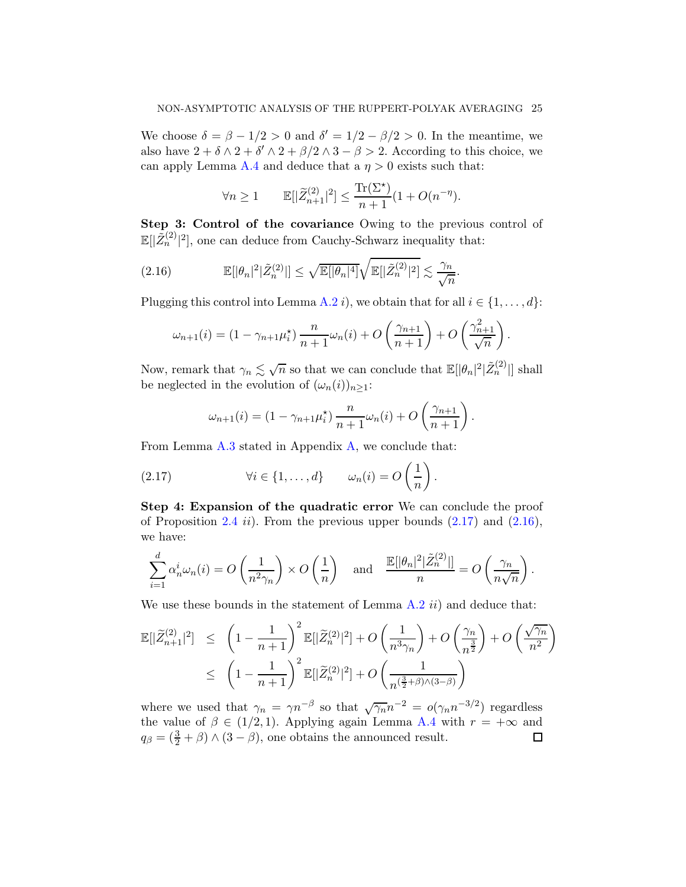We choose  $\delta = \beta - 1/2 > 0$  and  $\delta' = 1/2 - \beta/2 > 0$ . In the meantime, we also have  $2 + \delta \wedge 2 + \delta' \wedge 2 + \beta/2 \wedge 3 - \beta > 2$ . According to this choice, we can apply Lemma [A.4](#page-38-0) and deduce that a  $\eta > 0$  exists such that:

$$
\forall n \geq 1 \qquad \mathbb{E}[|\widetilde{Z}_{n+1}^{(2)}|^2] \leq \frac{\text{Tr}(\Sigma^\star)}{n+1} (1 + O(n^{-\eta})).
$$

Step 3: Control of the covariance Owing to the previous control of  $\mathbb{E}[|\tilde{Z}_n^{(2)}|^2]$ , one can deduce from Cauchy-Schwarz inequality that:

(2.16) 
$$
\mathbb{E}[|\theta_n|^2|\tilde{Z}_n^{(2)}|] \leq \sqrt{\mathbb{E}[|\theta_n|^4]} \sqrt{\mathbb{E}[|\tilde{Z}_n^{(2)}|^2]} \lesssim \frac{\gamma_n}{\sqrt{n}}.
$$

Plugging this control into Lemma [A.2](#page-34-2) i), we obtain that for all  $i \in \{1, ..., d\}$ :

<span id="page-24-1"></span>
$$
\omega_{n+1}(i) = \left(1 - \gamma_{n+1}\mu_i^*\right) \frac{n}{n+1} \omega_n(i) + O\left(\frac{\gamma_{n+1}}{n+1}\right) + O\left(\frac{\gamma_{n+1}^2}{\sqrt{n}}\right).
$$

Now, remark that  $\gamma_n \lesssim \sqrt{n}$  so that we can conclude that  $\mathbb{E}[|\theta_n|^2|\tilde{Z}_n^{(2)}|]$  shall be neglected in the evolution of  $(\omega_n(i))_{n\geq 1}$ :

<span id="page-24-0"></span>
$$
\omega_{n+1}(i) = (1 - \gamma_{n+1}\mu_i^*) \frac{n}{n+1}\omega_n(i) + O\left(\frac{\gamma_{n+1}}{n+1}\right).
$$

From Lemma  $A.3$  stated in Appendix  $A$ , we conclude that:

(2.17) 
$$
\forall i \in \{1, ..., d\} \qquad \omega_n(i) = O\left(\frac{1}{n}\right)
$$

Step 4: Expansion of the quadratic error We can conclude the proof of Proposition [2.4](#page-22-0) ii). From the previous upper bounds  $(2.17)$  and  $(2.16)$ , we have:

.

$$
\sum_{i=1}^d \alpha_n^i \omega_n(i) = O\left(\frac{1}{n^2 \gamma_n}\right) \times O\left(\frac{1}{n}\right) \quad \text{and} \quad \frac{\mathbb{E}[\lvert \theta_n \rvert^2 \lvert \tilde{Z}_n^{(2)} \rvert]}{n} = O\left(\frac{\gamma_n}{n\sqrt{n}}\right).
$$

We use these bounds in the statement of Lemma  $A.2$  ii) and deduce that:

$$
\mathbb{E}[|\tilde{Z}_{n+1}^{(2)}|^2] \leq \left(1 - \frac{1}{n+1}\right)^2 \mathbb{E}[|\tilde{Z}_n^{(2)}|^2] + O\left(\frac{1}{n^3\gamma_n}\right) + O\left(\frac{\gamma_n}{n^{\frac{3}{2}}}\right) + O\left(\frac{\sqrt{\gamma_n}}{n^2}\right) \leq \left(1 - \frac{1}{n+1}\right)^2 \mathbb{E}[|\tilde{Z}_n^{(2)}|^2] + O\left(\frac{1}{n^{\left(\frac{3}{2}+\beta\right)\wedge(3-\beta)}}\right)
$$

where we used that  $\gamma_n = \gamma n^{-\beta}$  so that  $\sqrt{\gamma_n} n^{-2} = o(\gamma_n n^{-3/2})$  regardless the value of  $\beta \in (1/2, 1)$ . Applying again Lemma [A.4](#page-38-0) with  $r = +\infty$  and  $q_{\beta} = (\frac{3}{2} + \beta) \wedge (3 - \beta)$ , one obtains the announced result.  $q_{\beta} = (\frac{3}{2} + \beta) \wedge (3 - \beta)$ , one obtains the announced result.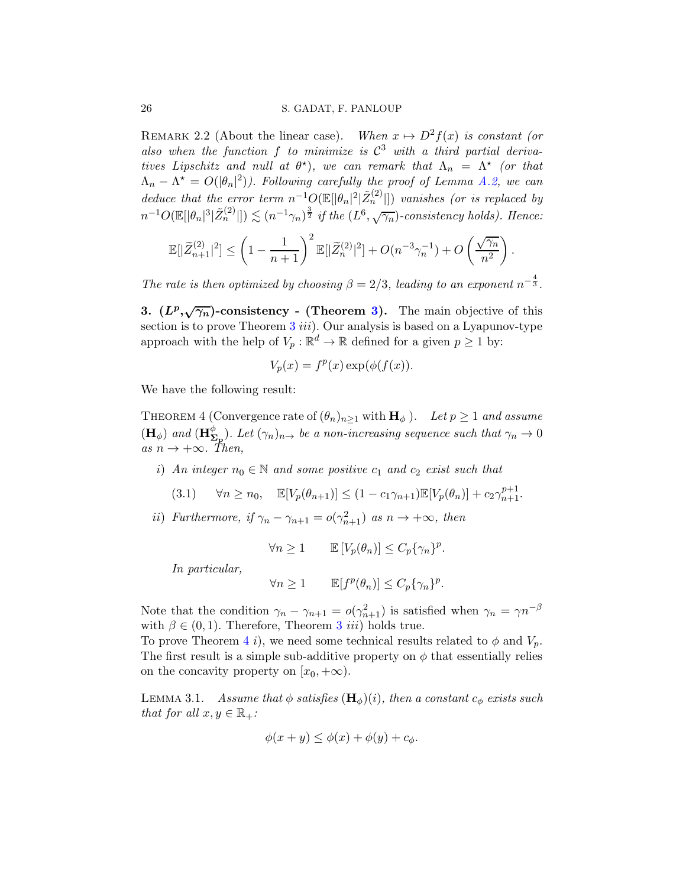<span id="page-25-1"></span>REMARK 2.2 (About the linear case). When  $x \mapsto D^2f(x)$  is constant (or also when the function  $f$  to minimize is  $\mathcal{C}^3$  with a third partial derivatives Lipschitz and null at  $\theta^*$ ), we can remark that  $\Lambda_n = \Lambda^*$  (or that  $\Lambda_n - \Lambda^* = O(|\theta_n|^2)$ . Following carefully the proof of Lemma [A.2,](#page-34-2) we can deduce that the error term  $n^{-1}O(\mathbb{E}[|\theta_n|^2|\tilde{Z}_n^{(2)}|])$  vanishes (or is replaced by  $n^{-1}O(\mathbb{E}[|\theta_n|^3|\tilde{Z}^{(2)}_n|]) \lesssim (n^{-1}\gamma_n)^{\frac{3}{2}}$  if the  $(L^6,\sqrt{\gamma_n})$ -consistency holds). Hence:

$$
\mathbb{E}[|\widetilde{Z}_{n+1}^{(2)}|^2] \le \left(1 - \frac{1}{n+1}\right)^2 \mathbb{E}[|\widetilde{Z}_n^{(2)}|^2] + O(n^{-3}\gamma_n^{-1}) + O\left(\frac{\sqrt{\gamma_n}}{n^2}\right).
$$

The rate is then optimized by choosing  $\beta = 2/3$ , leading to an exponent  $n^{-\frac{4}{3}}$ .

<span id="page-25-2"></span>3.  $(L^p, \sqrt{\gamma_n})$ -consistency - (Theorem [3\)](#page-9-0). The main objective of this section is to prove Theorem  $3$  iii). Our analysis is based on a Lyapunov-type approach with the help of  $V_p : \mathbb{R}^d \to \mathbb{R}$  defined for a given  $p \ge 1$  by:

$$
V_p(x) = f^p(x) \exp(\phi(f(x))).
$$

We have the following result:

<span id="page-25-0"></span>THEOREM 4 (Convergence rate of  $(\theta_n)_{n\geq 1}$  with  $\mathbf{H}_{\phi}$ ). Let  $p \geq 1$  and assume  $(\mathbf{H}_{\phi})$  and  $(\mathbf{H}_{\Sigma_{\mathbf{p}}}^{\phi})$ . Let  $(\gamma_n)_{n\to\phi}$  be a non-increasing sequence such that  $\gamma_n \to 0$ as  $n \to +\infty$ . Then,

i) An integer  $n_0 \in \mathbb{N}$  and some positive  $c_1$  and  $c_2$  exist such that

<span id="page-25-4"></span>
$$
(3.1) \quad \forall n \ge n_0, \quad \mathbb{E}[V_p(\theta_{n+1})] \le (1 - c_1 \gamma_{n+1}) \mathbb{E}[V_p(\theta_n)] + c_2 \gamma_{n+1}^{p+1}.
$$

ii) Furthermore, if  $\gamma_n - \gamma_{n+1} = o(\gamma_{n+1}^2)$  as  $n \to +\infty$ , then

 $\forall n \geq 1 \qquad \mathbb{E}\left[V_p(\theta_n)\right] \leq C_p \{\gamma_n\}^p.$ 

In particular,

$$
\forall n\geq 1 \qquad \mathbb{E}[f^p(\theta_n)] \leq C_p \{\gamma_n\}^p.
$$

Note that the condition  $\gamma_n - \gamma_{n+1} = o(\gamma_{n+1}^2)$  is satisfied when  $\gamma_n = \gamma n^{-\beta}$ with  $\beta \in (0, 1)$ . Therefore, Theorem [3](#page-9-0) *iii*) holds true.

To prove Theorem [4](#page-25-0) i), we need some technical results related to  $\phi$  and  $V_p$ . The first result is a simple sub-additive property on  $\phi$  that essentially relies on the concavity property on  $[x_0, +\infty)$ .

<span id="page-25-3"></span>LEMMA 3.1. Assume that  $\phi$  satisfies  $(\mathbf{H}_{\phi})(i)$ , then a constant  $c_{\phi}$  exists such that for all  $x, y \in \mathbb{R}_+$ :

$$
\phi(x+y) \le \phi(x) + \phi(y) + c_{\phi}.
$$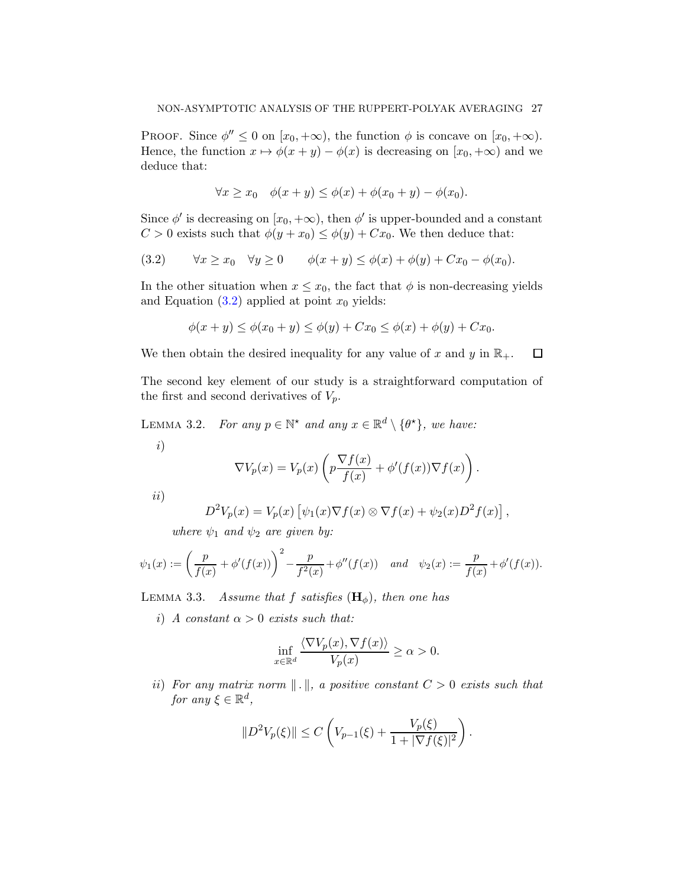PROOF. Since  $\phi'' \leq 0$  on  $[x_0, +\infty)$ , the function  $\phi$  is concave on  $[x_0, +\infty)$ . Hence, the function  $x \mapsto \phi(x + y) - \phi(x)$  is decreasing on  $[x_0, +\infty)$  and we deduce that:

$$
\forall x \ge x_0 \quad \phi(x+y) \le \phi(x) + \phi(x_0+y) - \phi(x_0).
$$

Since  $\phi'$  is decreasing on  $[x_0, +\infty)$ , then  $\phi'$  is upper-bounded and a constant  $C > 0$  exists such that  $\phi(y + x_0) \leq \phi(y) + Cx_0$ . We then deduce that:

<span id="page-26-0"></span>
$$
(3.2) \qquad \forall x \ge x_0 \quad \forall y \ge 0 \qquad \phi(x+y) \le \phi(x) + \phi(y) + Cx_0 - \phi(x_0).
$$

In the other situation when  $x \leq x_0$ , the fact that  $\phi$  is non-decreasing yields and Equation  $(3.2)$  applied at point  $x_0$  yields:

$$
\phi(x + y) \le \phi(x_0 + y) \le \phi(y) + Cx_0 \le \phi(x) + \phi(y) + Cx_0.
$$

 $\Box$ 

We then obtain the desired inequality for any value of x and y in  $\mathbb{R}_+$ .

The second key element of our study is a straightforward computation of the first and second derivatives of  $V_p$ .

<span id="page-26-1"></span>LEMMA 3.2. For any  $p \in \mathbb{N}^*$  and any  $x \in \mathbb{R}^d \setminus \{\theta^*\}$ , we have:

i)

$$
\nabla V_p(x) = V_p(x) \left( p \frac{\nabla f(x)}{f(x)} + \phi'(f(x)) \nabla f(x) \right).
$$

ii)

$$
D^{2}V_{p}(x) = V_{p}(x) \left[ \psi_{1}(x) \nabla f(x) \otimes \nabla f(x) + \psi_{2}(x) D^{2} f(x) \right],
$$

where  $\psi_1$  and  $\psi_2$  are given by:

$$
\psi_1(x) := \left(\frac{p}{f(x)} + \phi'(f(x))\right)^2 - \frac{p}{f^2(x)} + \phi''(f(x)) \quad and \quad \psi_2(x) := \frac{p}{f(x)} + \phi'(f(x)).
$$

<span id="page-26-2"></span>LEMMA 3.3. Assume that f satisfies  $(\mathbf{H}_{\phi})$ , then one has

i) A constant  $\alpha > 0$  exists such that:

$$
\inf_{x \in \mathbb{R}^d} \frac{\langle \nabla V_p(x), \nabla f(x) \rangle}{V_p(x)} \ge \alpha > 0.
$$

ii) For any matrix norm  $\| \cdot \|$ , a positive constant  $C > 0$  exists such that for any  $\xi \in \mathbb{R}^d$ ,

$$
||D^{2}V_{p}(\xi)|| \leq C\left(V_{p-1}(\xi) + \frac{V_{p}(\xi)}{1 + |\nabla f(\xi)|^{2}}\right).
$$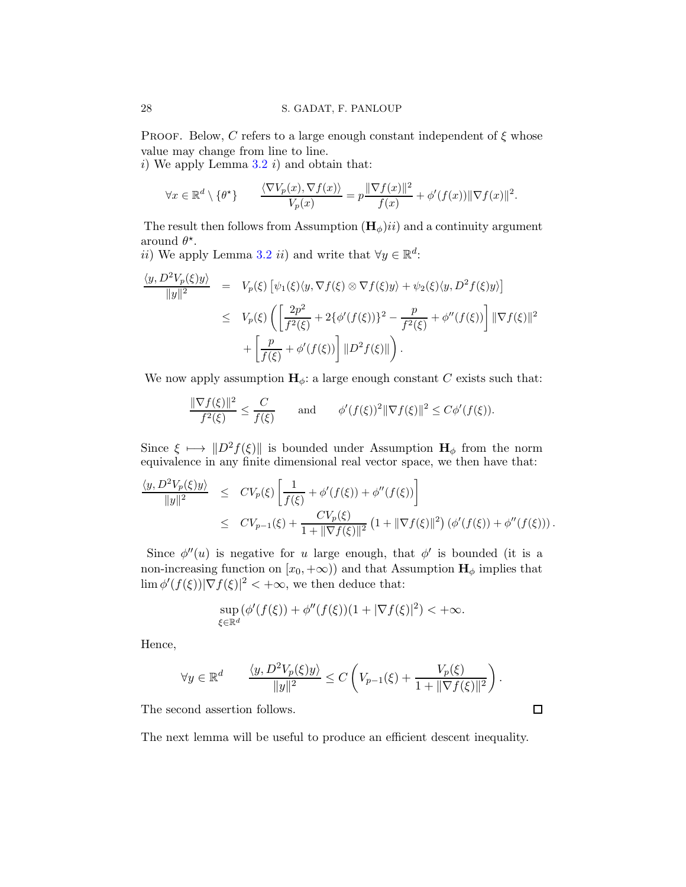PROOF. Below, C refers to a large enough constant independent of  $\xi$  whose value may change from line to line.

i) We apply Lemma  $3.2$  i) and obtain that:

$$
\forall x \in \mathbb{R}^d \setminus \{\theta^{\star}\} \qquad \frac{\langle \nabla V_p(x), \nabla f(x) \rangle}{V_p(x)} = p \frac{\|\nabla f(x)\|^2}{f(x)} + \phi'(f(x)) \|\nabla f(x)\|^2.
$$

The result then follows from Assumption  $(\mathbf{H}_{\phi})$ ii) and a continuity argument around  $\theta^*$ .

ii) We apply Lemma [3.2](#page-26-1) ii) and write that  $\forall y \in \mathbb{R}^d$ :

$$
\frac{\langle y, D^2 V_p(\xi) y \rangle}{\|y\|^2} = V_p(\xi) \left[ \psi_1(\xi) \langle y, \nabla f(\xi) \otimes \nabla f(\xi) y \rangle + \psi_2(\xi) \langle y, D^2 f(\xi) y \rangle \right]
$$
  

$$
\leq V_p(\xi) \left( \left[ \frac{2p^2}{f^2(\xi)} + 2 \{ \phi'(f(\xi)) \}^2 - \frac{p}{f^2(\xi)} + \phi''(f(\xi)) \right] \|\nabla f(\xi)\|^2
$$
  

$$
+ \left[ \frac{p}{f(\xi)} + \phi'(f(\xi)) \right] \|D^2 f(\xi)\| \right).
$$

We now apply assumption  $H_{\phi}$ : a large enough constant C exists such that:

$$
\frac{\|\nabla f(\xi)\|^2}{f^2(\xi)} \le \frac{C}{f(\xi)} \quad \text{and} \quad \phi'(f(\xi))^2 \|\nabla f(\xi)\|^2 \le C\phi'(f(\xi)).
$$

Since  $\xi \mapsto ||D^2f(\xi)||$  is bounded under Assumption  $H_{\phi}$  from the norm equivalence in any finite dimensional real vector space, we then have that:

$$
\frac{\langle y, D^2 V_p(\xi) y \rangle}{\|y\|^2} \leq CV_p(\xi) \left[ \frac{1}{f(\xi)} + \phi'(f(\xi)) + \phi''(f(\xi)) \right]
$$
  

$$
\leq CV_{p-1}(\xi) + \frac{CV_p(\xi)}{1 + \|\nabla f(\xi)\|^2} \left(1 + \|\nabla f(\xi)\|^2\right) \left(\phi'(f(\xi)) + \phi''(f(\xi))\right).
$$

Since  $\phi''(u)$  is negative for u large enough, that  $\phi'$  is bounded (it is a non-increasing function on  $[x_0, +\infty)$ ) and that Assumption  $\mathbf{H}_{\phi}$  implies that  $\lim \phi'(f(\xi))|\nabla f(\xi)|^2 < +\infty$ , we then deduce that:

$$
\sup_{\xi \in \mathbb{R}^d} (\phi'(f(\xi)) + \phi''(f(\xi))(1 + |\nabla f(\xi)|^2) < +\infty.
$$

Hence,

$$
\forall y \in \mathbb{R}^d \qquad \frac{\langle y, D^2 V_p(\xi) y \rangle}{\|y\|^2} \leq C \left( V_{p-1}(\xi) + \frac{V_p(\xi)}{1 + \|\nabla f(\xi)\|^2} \right)
$$

.

 $\Box$ 

The second assertion follows.

The next lemma will be useful to produce an efficient descent inequality.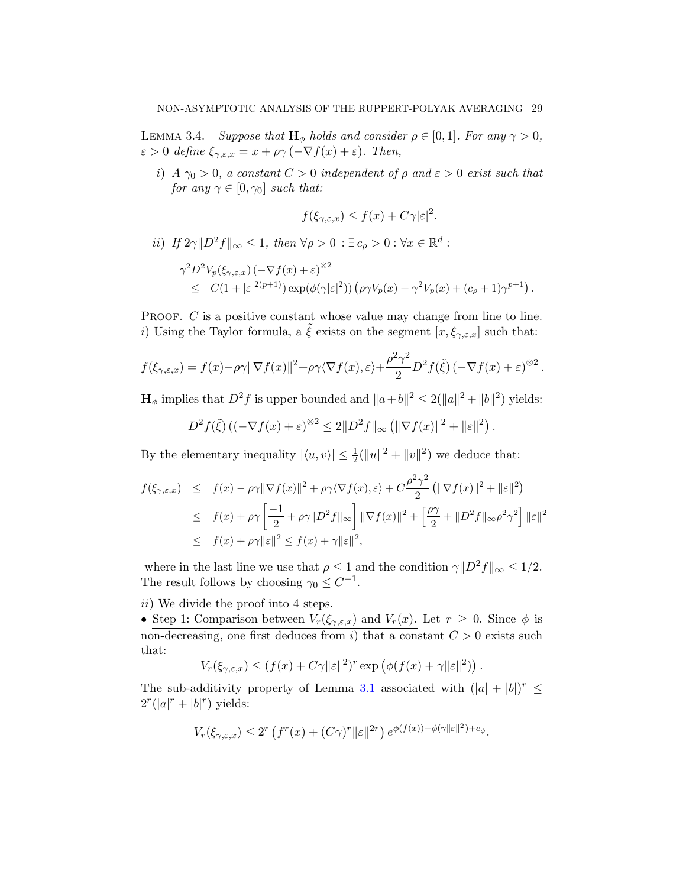<span id="page-28-0"></span>LEMMA 3.4. Suppose that  $H_{\phi}$  holds and consider  $\rho \in [0,1]$ . For any  $\gamma > 0$ ,  $\varepsilon > 0$  define  $\xi_{\gamma,\varepsilon,x} = x + \rho \gamma \left( -\nabla f(x) + \varepsilon \right)$ . Then,

i) A  $\gamma_0 > 0$ , a constant  $C > 0$  independent of  $\rho$  and  $\varepsilon > 0$  exist such that for any  $\gamma \in [0, \gamma_0]$  such that:

$$
f(\xi_{\gamma,\varepsilon,x}) \le f(x) + C\gamma |\varepsilon|^2.
$$

ii) If  $2\gamma \|D^2 f\|_{\infty} \leq 1$ , then  $\forall \rho > 0 : \exists c_{\rho} > 0 : \forall x \in \mathbb{R}^d$ :

$$
\gamma^2 D^2 V_p(\xi_{\gamma,\varepsilon,x}) \left(-\nabla f(x) + \varepsilon\right)^{\otimes 2}
$$
  
\$\leq C(1 + |\varepsilon|^{2(p+1)}) \exp(\phi(\gamma|\varepsilon|^2)) \left(\rho \gamma V\_p(x) + \gamma^2 V\_p(x) + (c\_\rho + 1)\gamma^{p+1}\right).

PROOF. C is a positive constant whose value may change from line to line. i) Using the Taylor formula, a  $\zeta$  exists on the segment  $[x, \xi_{\gamma,\varepsilon,x}]$  such that:

$$
f(\xi_{\gamma,\varepsilon,x}) = f(x) - \rho \gamma \|\nabla f(x)\|^2 + \rho \gamma \langle \nabla f(x), \varepsilon \rangle + \frac{\rho^2 \gamma^2}{2} D^2 f(\tilde{\xi}) \left( -\nabla f(x) + \varepsilon \right)^{\otimes 2}.
$$

 $\mathbf{H}_{\phi}$  implies that  $D^2 f$  is upper bounded and  $||a+b||^2 \le 2(||a||^2 + ||b||^2)$  yields:

$$
D^{2} f(\tilde{\xi}) \left( (-\nabla f(x) + \varepsilon)^{\otimes 2} \leq 2 \| D^{2} f \|_{\infty} \left( \| \nabla f(x) \|^{2} + \| \varepsilon \|^{2} \right) .
$$

By the elementary inequality  $|\langle u, v \rangle| \leq \frac{1}{2} (||u||^2 + ||v||^2)$  we deduce that:

$$
f(\xi_{\gamma,\varepsilon,x}) \leq f(x) - \rho \gamma \|\nabla f(x)\|^2 + \rho \gamma \langle \nabla f(x), \varepsilon \rangle + C \frac{\rho^2 \gamma^2}{2} \left( \|\nabla f(x)\|^2 + \|\varepsilon\|^2 \right)
$$
  

$$
\leq f(x) + \rho \gamma \left[ \frac{-1}{2} + \rho \gamma \|D^2 f\|_{\infty} \right] \|\nabla f(x)\|^2 + \left[ \frac{\rho \gamma}{2} + \|D^2 f\|_{\infty} \rho^2 \gamma^2 \right] \|\varepsilon\|^2
$$
  

$$
\leq f(x) + \rho \gamma \|\varepsilon\|^2 \leq f(x) + \gamma \|\varepsilon\|^2,
$$

where in the last line we use that  $\rho \leq 1$  and the condition  $\gamma ||D^2 f||_{\infty} \leq 1/2$ . The result follows by choosing  $\gamma_0 \leq C^{-1}$ .

ii) We divide the proof into 4 steps.

• Step 1: Comparison between  $V_r(\xi_{\gamma,\varepsilon,x})$  and  $V_r(x)$ . Let  $r \geq 0$ . Since  $\phi$  is non-decreasing, one first deduces from i) that a constant  $C > 0$  exists such that:

$$
V_r(\xi_{\gamma,\varepsilon,x}) \le (f(x) + C\gamma ||\varepsilon||^2)^r \exp (\phi(f(x) + \gamma ||\varepsilon||^2)).
$$

The sub-additivity property of Lemma [3.1](#page-25-3) associated with  $(|a| + |b|)^r \le$  $2^r(|a|^r+|b|^r)$  yields:

$$
V_r(\xi_{\gamma,\varepsilon,x}) \le 2^r \left( f^r(x) + (C\gamma)^r ||\varepsilon||^{2r} \right) e^{\phi(f(x)) + \phi(\gamma ||\varepsilon||^2) + c_\phi}.
$$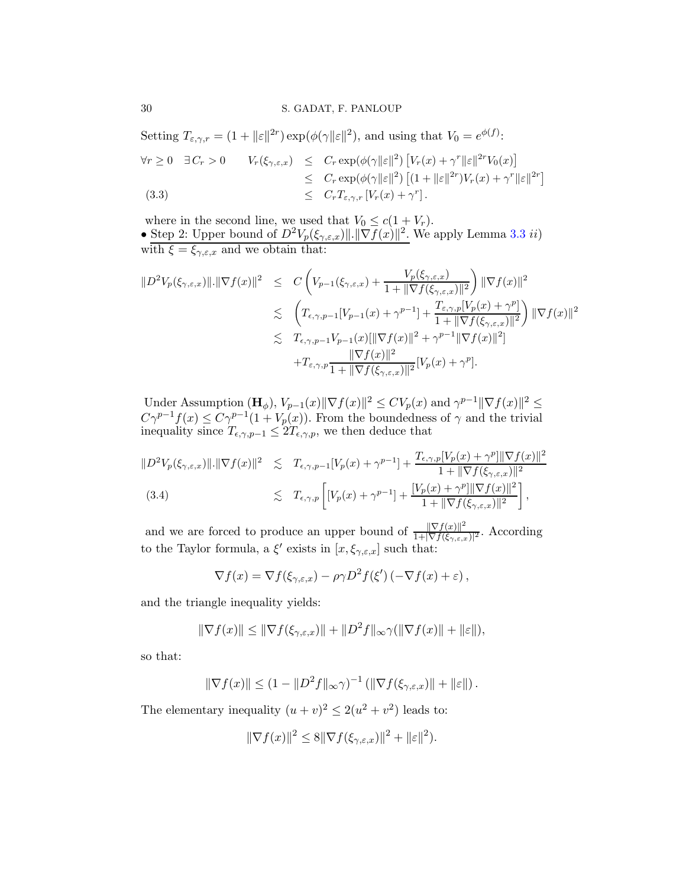<span id="page-29-1"></span>Setting  $T_{\varepsilon,\gamma,r} = (1 + ||\varepsilon||^{2r}) \exp(\phi(\gamma||\varepsilon||^{2}))$ , and using that  $V_0 = e^{\phi(f)}$ :  $\forall r \geq 0 \quad \exists C_r > 0 \qquad V_r(\xi_{\gamma,\varepsilon,x}) \leq C_r \exp(\phi(\gamma ||\varepsilon||^2) \left[ V_r(x) + \gamma^r ||\varepsilon||^{2r} V_0(x) \right]$  $\leq C_r \exp(\phi(\gamma ||\varepsilon||^2) \left[ (1 + ||\varepsilon||^{2r})V_r(x) + \gamma^r ||\varepsilon||^{2r} \right]$ (3.3)  $\leq C_r T_{\varepsilon,\gamma,r} [V_r(x) + \gamma^r].$ 

where in the second line, we used that  $V_0 \leq c(1 + V_r)$ . • Step 2: Upper bound of  $D^2 V_p(\xi_{\gamma,\varepsilon,x})$ ||.  $\|\nabla f(x)\|^2$ . We apply Lemma [3.3](#page-26-2) *ii*) with  $\xi = \xi_{\gamma,\varepsilon,x}$  and we obtain that:

$$
\|D^{2}V_{p}(\xi_{\gamma,\varepsilon,x})\|.\|\nabla f(x)\|^{2} \leq C\left(V_{p-1}(\xi_{\gamma,\varepsilon,x}) + \frac{V_{p}(\xi_{\gamma,\varepsilon,x})}{1 + \|\nabla f(\xi_{\gamma,\varepsilon,x})\|^{2}}\right) \|\nabla f(x)\|^{2}
$$
  

$$
\leq \left(T_{\varepsilon,\gamma,p-1}[V_{p-1}(x) + \gamma^{p-1}] + \frac{T_{\varepsilon,\gamma,p}[V_{p}(x) + \gamma^{p}]}{1 + \|\nabla f(\xi_{\gamma,\varepsilon,x})\|^{2}}\right) \|\nabla f(x)\|^{2}
$$
  

$$
\leq T_{\varepsilon,\gamma,p-1}V_{p-1}(x)[\|\nabla f(x)\|^{2} + \gamma^{p-1}\|\nabla f(x)\|^{2}]
$$
  

$$
+T_{\varepsilon,\gamma,p}\frac{\|\nabla f(x)\|^{2}}{1 + \|\nabla f(\xi_{\gamma,\varepsilon,x})\|^{2}}[V_{p}(x) + \gamma^{p}].
$$

Under Assumption  $(\mathbf{H}_{\phi}), V_{p-1}(x) \|\nabla f(x)\|^2 \le CV_p(x)$  and  $\gamma^{p-1} \|\nabla f(x)\|^2 \le$  $C\gamma^{p-1}f(x) \leq C\gamma^{p-1}(1+V_p(x))$ . From the boundedness of  $\gamma$  and the trivial inequality since  $T_{\epsilon,\gamma,p-1} \leq 2T_{\epsilon,\gamma,p}$ , we then deduce that

<span id="page-29-0"></span>
$$
||D^{2}V_{p}(\xi_{\gamma,\varepsilon,x})||.||\nabla f(x)||^{2} \leq T_{\varepsilon,\gamma,p-1}[V_{p}(x)+\gamma^{p-1}] + \frac{T_{\varepsilon,\gamma,p}[V_{p}(x)+\gamma^{p}||\nabla f(x)||^{2}}{1+||\nabla f(\xi_{\gamma,\varepsilon,x})||^{2}}
$$
  
(3.4) 
$$
\leq T_{\varepsilon,\gamma,p}\left[[V_{p}(x)+\gamma^{p-1}]+\frac{[V_{p}(x)+\gamma^{p}||\nabla f(x)||^{2}}{1+||\nabla f(\xi_{\gamma,\varepsilon,x})||^{2}}\right],
$$

and we are forced to produce an upper bound of  $\frac{\|\nabla f(x)\|^2}{1+\|\nabla f(x)\|^2}$  $\frac{\|\nabla f(x)\|}{1+|\nabla f(\xi_{\gamma,\varepsilon,x})|^2}$ . According to the Taylor formula, a  $\xi'$  exists in  $[x, \xi_{\gamma,\varepsilon,x}]$  such that:

$$
\nabla f(x) = \nabla f(\xi_{\gamma,\varepsilon,x}) - \rho \gamma D^2 f(\xi') \left( -\nabla f(x) + \varepsilon \right),
$$

and the triangle inequality yields:

$$
\|\nabla f(x)\| \le \|\nabla f(\xi_{\gamma,\varepsilon,x})\| + \|D^2 f\|_{\infty} \gamma(\|\nabla f(x)\| + \|\varepsilon\|),
$$

so that:

$$
\|\nabla f(x)\| \le (1 - \|D^2 f\|_{\infty} \gamma)^{-1} \left( \|\nabla f(\xi_{\gamma,\varepsilon,x})\| + \|\varepsilon\|\right).
$$

The elementary inequality  $(u + v)^2 \le 2(u^2 + v^2)$  leads to:

$$
\|\nabla f(x)\|^2 \le 8\|\nabla f(\xi_{\gamma,\varepsilon,x})\|^2 + \|\varepsilon\|^2).
$$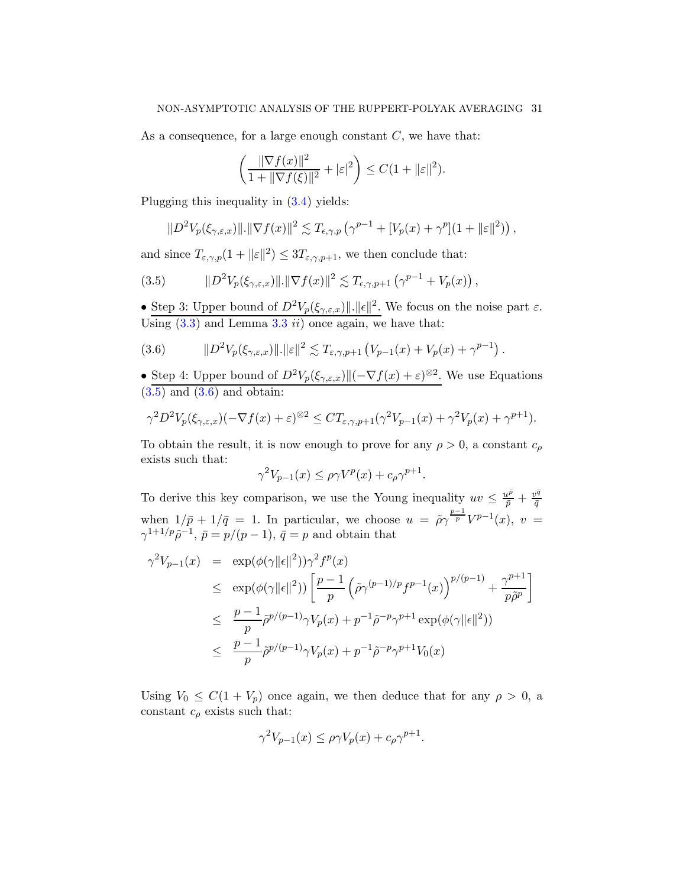As a consequence, for a large enough constant  $C$ , we have that:

$$
\left(\frac{\|\nabla f(x)\|^2}{1+\|\nabla f(\xi)\|^2}+|\varepsilon|^2\right)\leq C(1+\|\varepsilon\|^2).
$$

Plugging this inequality in [\(3.4\)](#page-29-0) yields:

<span id="page-30-0"></span>
$$
||D^2V_p(\xi_{\gamma,\varepsilon,x})||.||\nabla f(x)||^2 \lesssim T_{\varepsilon,\gamma,p}\left(\gamma^{p-1} + [V_p(x) + \gamma^p](1 + ||\varepsilon||^2)\right),
$$

and since  $T_{\varepsilon,\gamma,p}(1+\|\varepsilon\|^2) \le 3T_{\varepsilon,\gamma,p+1}$ , we then conclude that:

(3.5) 
$$
||D^2V_p(\xi_{\gamma,\varepsilon,x})||.||\nabla f(x)||^2 \lesssim T_{\varepsilon,\gamma,p+1}(\gamma^{p-1}+V_p(x)),
$$

• Step 3: Upper bound of  $D^2 V_p(\xi_{\gamma,\varepsilon,x}) ||.||\epsilon||^2$ . We focus on the noise part  $\varepsilon$ . Using  $(3.3)$  $(3.3)$  $(3.3)$  and Lemma 3.3 *ii*) once again, we have that:

<span id="page-30-1"></span>(3.6) 
$$
||D^{2}V_{p}(\xi_{\gamma,\varepsilon,x})||.||\varepsilon||^{2} \lesssim T_{\varepsilon,\gamma,p+1} (V_{p-1}(x) + V_{p}(x) + \gamma^{p-1}).
$$

• Step 4: Upper bound of  $D^2 V_p(\xi_{\gamma,\varepsilon,x}) \|(-\nabla f(x) + \varepsilon)^{\otimes 2}$ . We use Equations  $(3.5)$  and  $(3.6)$  and obtain:

$$
\gamma^2 D^2 V_p(\xi_{\gamma,\varepsilon,x})(-\nabla f(x)+\varepsilon)^{\otimes 2} \leq CT_{\varepsilon,\gamma,p+1}(\gamma^2 V_{p-1}(x)+\gamma^2 V_p(x)+\gamma^{p+1}).
$$

To obtain the result, it is now enough to prove for any  $\rho > 0$ , a constant  $c_{\rho}$ exists such that:

$$
\gamma^2 V_{p-1}(x) \le \rho \gamma V^p(x) + c_\rho \gamma^{p+1}.
$$

To derive this key comparison, we use the Young inequality  $uv \leq \frac{u^{\bar{p}}}{\bar{p}} + \frac{v^{\bar{q}}}{\bar{q}}$  $\bar{q}$ when  $1/\bar{p} + 1/\bar{q} = 1$ . In particular, we choose  $u = \tilde{\rho}\gamma^{\frac{p-1}{p}}V^{p-1}(x)$ ,  $v =$  $\gamma^{1+1/p} \tilde{\rho}^{-1}, \bar{p} = p/(p-1), \bar{q} = p$  and obtain that

$$
\gamma^2 V_{p-1}(x) = \exp(\phi(\gamma ||\epsilon||^2)) \gamma^2 f^p(x)
$$
  
\n
$$
\leq \exp(\phi(\gamma ||\epsilon||^2)) \left[ \frac{p-1}{p} \left( \tilde{\rho} \gamma^{(p-1)/p} f^{p-1}(x) \right)^{p/(p-1)} + \frac{\gamma^{p+1}}{p \tilde{\rho}^p} \right]
$$
  
\n
$$
\leq \frac{p-1}{p} \tilde{\rho}^{p/(p-1)} \gamma V_p(x) + p^{-1} \tilde{\rho}^{-p} \gamma^{p+1} \exp(\phi(\gamma ||\epsilon||^2))
$$
  
\n
$$
\leq \frac{p-1}{p} \tilde{\rho}^{p/(p-1)} \gamma V_p(x) + p^{-1} \tilde{\rho}^{-p} \gamma^{p+1} V_0(x)
$$

Using  $V_0 \leq C(1 + V_p)$  once again, we then deduce that for any  $\rho > 0$ , a constant  $c_{\rho}$  exists such that:

$$
\gamma^2 V_{p-1}(x) \le \rho \gamma V_p(x) + c_\rho \gamma^{p+1}.
$$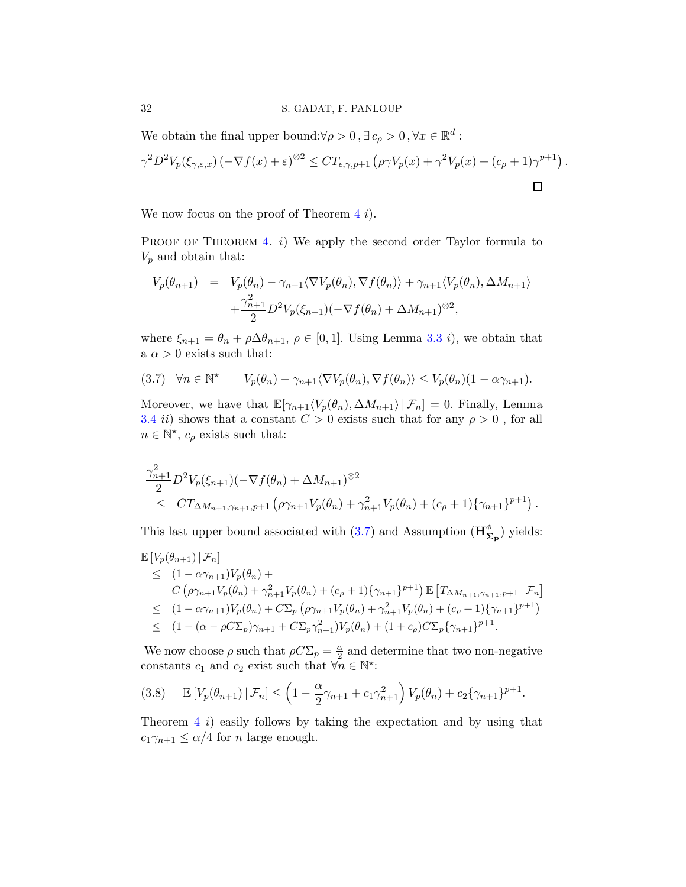### 32 S. GADAT, F. PANLOUP

We obtain the final upper bound: $\forall \rho > 0$ ,  $\exists c_{\rho} > 0$ ,  $\forall x \in \mathbb{R}^d$ :

$$
\gamma^2 D^2 V_p(\xi_{\gamma,\varepsilon,x}) \left(-\nabla f(x) + \varepsilon\right)^{\otimes 2} \leq CT_{\varepsilon,\gamma,p+1} \left(\rho \gamma V_p(x) + \gamma^2 V_p(x) + (c_\rho + 1)\gamma^{p+1}\right).
$$

We now focus on the proof of Theorem  $4i$  $4i$ .

PROOF OF THEOREM [4.](#page-25-0) i) We apply the second order Taylor formula to  $V_p$  and obtain that:

$$
V_p(\theta_{n+1}) = V_p(\theta_n) - \gamma_{n+1} \langle \nabla V_p(\theta_n), \nabla f(\theta_n) \rangle + \gamma_{n+1} \langle V_p(\theta_n), \Delta M_{n+1} \rangle
$$
  
+ 
$$
\frac{\gamma_{n+1}^2}{2} D^2 V_p(\xi_{n+1}) (-\nabla f(\theta_n) + \Delta M_{n+1})^{\otimes 2},
$$

where  $\xi_{n+1} = \theta_n + \rho \Delta \theta_{n+1}, \ \rho \in [0,1]$ . Using Lemma [3.3](#page-26-2) *i*), we obtain that a  $\alpha > 0$  exists such that:

<span id="page-31-0"></span>
$$
(3.7) \quad \forall n \in \mathbb{N}^{\star} \qquad V_p(\theta_n) - \gamma_{n+1} \langle \nabla V_p(\theta_n), \nabla f(\theta_n) \rangle \le V_p(\theta_n) (1 - \alpha \gamma_{n+1}).
$$

Moreover, we have that  $\mathbb{E}[\gamma_{n+1}\langle V_p(\theta_n), \Delta M_{n+1}\rangle | \mathcal{F}_n] = 0$ . Finally, Lemma [3.4](#page-28-0) *ii*) shows that a constant  $C > 0$  exists such that for any  $\rho > 0$ , for all  $n \in \mathbb{N}^*$ ,  $c_\rho$  exists such that:

$$
\frac{\gamma_{n+1}^2}{2} D^2 V_p(\xi_{n+1}) (-\nabla f(\theta_n) + \Delta M_{n+1})^{\otimes 2} \leq CT_{\Delta M_{n+1},\gamma_{n+1},p+1} \left( \rho \gamma_{n+1} V_p(\theta_n) + \gamma_{n+1}^2 V_p(\theta_n) + (c_\rho + 1) \{ \gamma_{n+1} \}^{p+1} \right).
$$

This last upper bound associated with  $(3.7)$  and Assumption  $(\mathbf{H}_{\Sigma_{\mathbf{p}}}^{\phi})$  yields:

$$
\mathbb{E}\left[V_p(\theta_{n+1})\big|\mathcal{F}_n\right] \n\leq (1 - \alpha \gamma_{n+1})V_p(\theta_n) +\nC\left(\rho \gamma_{n+1}V_p(\theta_n) + \gamma_{n+1}^2V_p(\theta_n) + (c_\rho + 1)\{\gamma_{n+1}\}^{p+1}\right) \mathbb{E}\left[T_{\Delta M_{n+1},\gamma_{n+1},p+1}\big|\mathcal{F}_n\right] \n\leq (1 - \alpha \gamma_{n+1})V_p(\theta_n) + C\Sigma_p\left(\rho \gamma_{n+1}V_p(\theta_n) + \gamma_{n+1}^2V_p(\theta_n) + (c_\rho + 1)\{\gamma_{n+1}\}^{p+1}\right) \n\leq (1 - (\alpha - \rho C\Sigma_p)\gamma_{n+1} + C\Sigma_p\gamma_{n+1}^2)V_p(\theta_n) + (1 + c_\rho)C\Sigma_p\{\gamma_{n+1}\}^{p+1}.
$$

We now choose  $\rho$  such that  $\rho C \Sigma_p = \frac{\alpha}{2}$  $\frac{\alpha}{2}$  and determine that two non-negative constants  $c_1$  and  $c_2$  exist such that  $\forall n \in \mathbb{N}^*$ :

$$
(3.8) \qquad \mathbb{E}\left[V_p(\theta_{n+1})\,|\,\mathcal{F}_n\right] \leq \left(1 - \frac{\alpha}{2}\gamma_{n+1} + c_1\gamma_{n+1}^2\right)V_p(\theta_n) + c_2\{\gamma_{n+1}\}^{p+1}.
$$

Theorem  $4\hat{i}$  $4\hat{i}$  easily follows by taking the expectation and by using that  $c_1\gamma_{n+1} \leq \alpha/4$  for *n* large enough.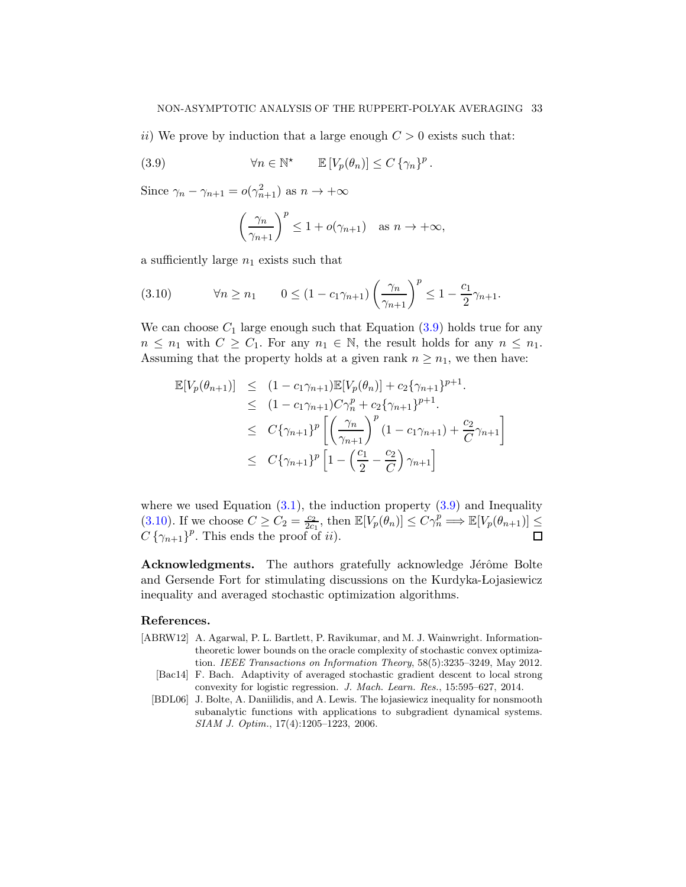ii) We prove by induction that a large enough  $C > 0$  exists such that:

(3.9) 
$$
\forall n \in \mathbb{N}^* \qquad \mathbb{E}\left[V_p(\theta_n)\right] \leq C \left\{\gamma_n\right\}^p.
$$

Since  $\gamma_n - \gamma_{n+1} = o(\gamma_{n+1}^2)$  as  $n \to +\infty$ 

<span id="page-32-3"></span>
$$
\left(\frac{\gamma_n}{\gamma_{n+1}}\right)^p \le 1 + o(\gamma_{n+1}) \quad \text{as } n \to +\infty,
$$

a sufficiently large  $n_1$  exists such that

<span id="page-32-4"></span>(3.10) 
$$
\forall n \ge n_1 \qquad 0 \le (1 - c_1 \gamma_{n+1}) \left(\frac{\gamma_n}{\gamma_{n+1}}\right)^p \le 1 - \frac{c_1}{2} \gamma_{n+1}.
$$

We can choose  $C_1$  large enough such that Equation [\(3.9\)](#page-32-3) holds true for any  $n \leq n_1$  with  $C \geq C_1$ . For any  $n_1 \in \mathbb{N}$ , the result holds for any  $n \leq n_1$ . Assuming that the property holds at a given rank  $n \geq n_1$ , we then have:

$$
\mathbb{E}[V_p(\theta_{n+1})] \leq (1 - c_1 \gamma_{n+1}) \mathbb{E}[V_p(\theta_n)] + c_2 \{\gamma_{n+1}\}^{p+1}.
$$
  
\n
$$
\leq (1 - c_1 \gamma_{n+1}) C \gamma_n^p + c_2 \{\gamma_{n+1}\}^{p+1}.
$$
  
\n
$$
\leq C \{\gamma_{n+1}\}^p \left[ \left(\frac{\gamma_n}{\gamma_{n+1}}\right)^p (1 - c_1 \gamma_{n+1}) + \frac{c_2}{C} \gamma_{n+1} \right]
$$
  
\n
$$
\leq C \{\gamma_{n+1}\}^p \left[ 1 - \left(\frac{c_1}{2} - \frac{c_2}{C}\right) \gamma_{n+1} \right]
$$

where we used Equation  $(3.1)$ , the induction property  $(3.9)$  and Inequality [\(3.10\)](#page-32-4). If we choose  $C \geq C_2 = \frac{c_2}{2c_1}$  $\frac{c_2}{2c_1}$ , then  $\mathbb{E}[V_p(\theta_n)] \leq C\gamma_n^p \Longrightarrow \mathbb{E}[V_p(\theta_{n+1})] \leq$  $C\left\{\gamma_{n+1}\right\}^p$ . This ends the proof of *ii*).

Acknowledgments. The authors gratefully acknowledge Jérôme Bolte and Gersende Fort for stimulating discussions on the Kurdyka-Lojasiewicz inequality and averaged stochastic optimization algorithms.

# References.

- <span id="page-32-1"></span>[ABRW12] A. Agarwal, P. L. Bartlett, P. Ravikumar, and M. J. Wainwright. Informationtheoretic lower bounds on the oracle complexity of stochastic convex optimization. *IEEE Transactions on Information Theory*, 58(5):3235–3249, May 2012.
	- [Bac14] F. Bach. Adaptivity of averaged stochastic gradient descent to local strong convexity for logistic regression. *J. Mach. Learn. Res.*, 15:595–627, 2014.
- <span id="page-32-2"></span><span id="page-32-0"></span>[BDL06] J. Bolte, A. Daniilidis, and A. Lewis. The lojasiewicz inequality for nonsmooth subanalytic functions with applications to subgradient dynamical systems. *SIAM J. Optim.*, 17(4):1205–1223, 2006.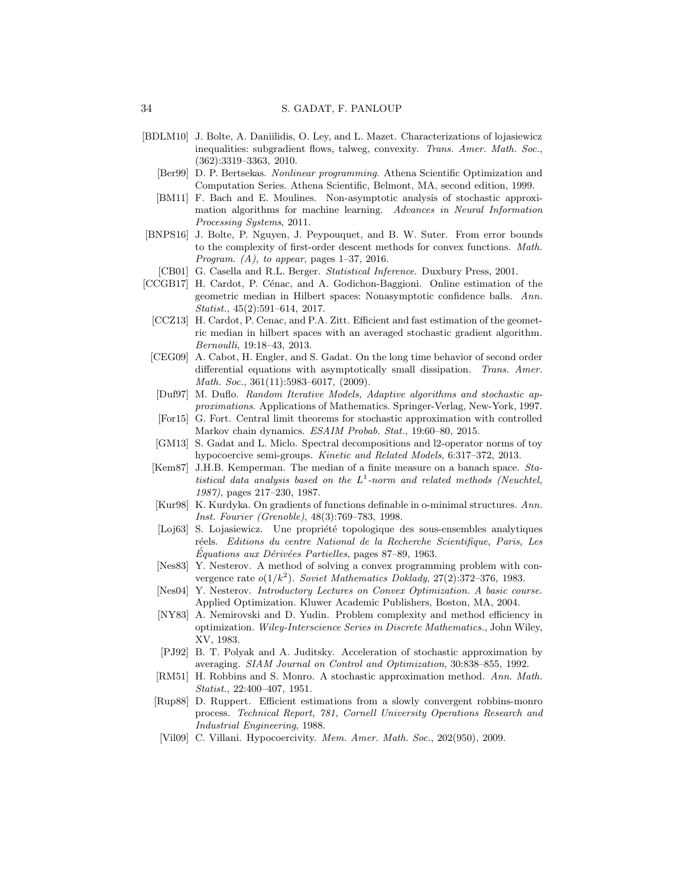- <span id="page-33-14"></span><span id="page-33-13"></span>[BDLM10] J. Bolte, A. Daniilidis, O. Ley, and L. Mazet. Characterizations of lojasiewicz inequalities: subgradient flows, talweg, convexity. *Trans. Amer. Math. Soc.*, (362):3319–3363, 2010.
	- [Ber99] D. P. Bertsekas. *Nonlinear programming*. Athena Scientific Optimization and Computation Series. Athena Scientific, Belmont, MA, second edition, 1999.
	- [BM11] F. Bach and E. Moulines. Non-asymptotic analysis of stochastic approximation algorithms for machine learning. *Advances in Neural Information Processing Systems*, 2011.
- <span id="page-33-15"></span><span id="page-33-6"></span>[BNPS16] J. Bolte, P. Nguyen, J. Peypouquet, and B. W. Suter. From error bounds to the complexity of first-order descent methods for convex functions. *Math. Program. (A), to appear*, pages 1–37, 2016.
- <span id="page-33-10"></span>[CB01] G. Casella and R.L. Berger. *Statistical Inference*. Duxbury Press, 2001.
- <span id="page-33-20"></span><span id="page-33-19"></span><span id="page-33-18"></span><span id="page-33-17"></span><span id="page-33-16"></span><span id="page-33-12"></span><span id="page-33-11"></span><span id="page-33-9"></span><span id="page-33-8"></span><span id="page-33-7"></span><span id="page-33-5"></span><span id="page-33-4"></span><span id="page-33-3"></span><span id="page-33-2"></span><span id="page-33-1"></span><span id="page-33-0"></span>[CCGB17] H. Cardot, P. Cénac, and A. Godichon-Baggioni. Online estimation of the geometric median in Hilbert spaces: Nonasymptotic confidence balls. *Ann. Statist.*, 45(2):591–614, 2017.
	- [CCZ13] H. Cardot, P. Cenac, and P.A. Zitt. Efficient and fast estimation of the geometric median in hilbert spaces with an averaged stochastic gradient algorithm. *Bernoulli*, 19:18–43, 2013.
	- [CEG09] A. Cabot, H. Engler, and S. Gadat. On the long time behavior of second order differential equations with asymptotically small dissipation. *Trans. Amer. Math. Soc.*, 361(11):5983–6017, (2009).
	- [Duf97] M. Duflo. *Random Iterative Models, Adaptive algorithms and stochastic approximations*. Applications of Mathematics. Springer-Verlag, New-York, 1997.
	- [For15] G. Fort. Central limit theorems for stochastic approximation with controlled Markov chain dynamics. *ESAIM Probab. Stat.*, 19:60–80, 2015.
	- [GM13] S. Gadat and L. Miclo. Spectral decompositions and l2-operator norms of toy hypocoercive semi-groups. *Kinetic and Related Models*, 6:317–372, 2013.
	- [Kem87] J.H.B. Kemperman. The median of a finite measure on a banach space. *Statistical data analysis based on the* L 1 *-norm and related methods (Neuchtel, 1987)*, pages 217–230, 1987.
	- [Kur98] K. Kurdyka. On gradients of functions definable in o-minimal structures. *Ann. Inst. Fourier (Grenoble)*, 48(3):769–783, 1998.
	- [Loj63] S. Lojasiewicz. Une propriété topologique des sous-ensembles analytiques r´eels. *Editions du centre National de la Recherche Scientifique, Paris, Les*  $Équations aux Dérivées Partielles, pages 87–89, 1963.$
	- [Nes83] Y. Nesterov. A method of solving a convex programming problem with convergence rate  $o(1/k^2)$ . *Soviet Mathematics Doklady*, 27(2):372-376, 1983.
	- [Nes04] Y. Nesterov. *Introductory Lectures on Convex Optimization. A basic course.* Applied Optimization. Kluwer Academic Publishers, Boston, MA, 2004.
	- [NY83] A. Nemirovski and D. Yudin. Problem complexity and method efficiency in optimization. *Wiley-Interscience Series in Discrete Mathematics.*, John Wiley, XV, 1983.
	- [PJ92] B. T. Polyak and A. Juditsky. Acceleration of stochastic approximation by averaging. *SIAM Journal on Control and Optimization*, 30:838–855, 1992.
	- [RM51] H. Robbins and S. Monro. A stochastic approximation method. *Ann. Math. Statist.*, 22:400–407, 1951.
	- [Rup88] D. Ruppert. Efficient estimations from a slowly convergent robbins-monro process. *Technical Report, 781, Cornell University Operations Research and Industrial Engineering*, 1988.
	- [Vil09] C. Villani. Hypocoercivity. *Mem. Amer. Math. Soc.*, 202(950), 2009.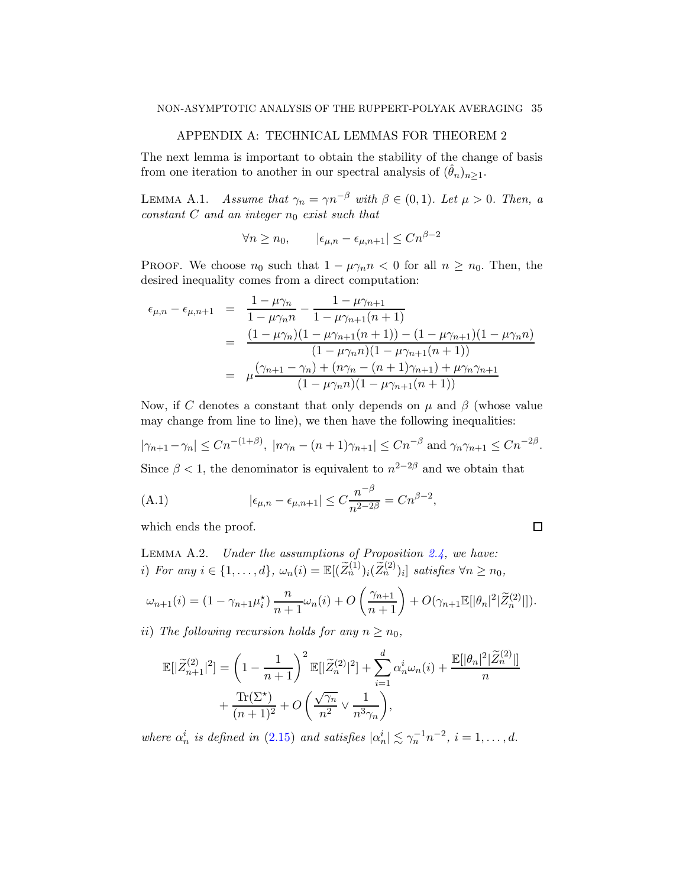# APPENDIX A: TECHNICAL LEMMAS FOR THEOREM 2

<span id="page-34-1"></span>The next lemma is important to obtain the stability of the change of basis from one iteration to another in our spectral analysis of  $(\hat{\theta}_n)_{n>1}$ .

<span id="page-34-0"></span>LEMMA A.1. Assume that  $\gamma_n = \gamma n^{-\beta}$  with  $\beta \in (0,1)$ . Let  $\mu > 0$ . Then, a constant  $C$  and an integer  $n_0$  exist such that

 $\forall n \geq n_0, \qquad |\epsilon_{\mu,n} - \epsilon_{\mu,n+1}| \leq C n^{\beta - 2}$ 

PROOF. We choose  $n_0$  such that  $1 - \mu \gamma_n n < 0$  for all  $n \geq n_0$ . Then, the desired inequality comes from a direct computation:

$$
\epsilon_{\mu,n} - \epsilon_{\mu,n+1} = \frac{1 - \mu \gamma_n}{1 - \mu \gamma_n n} - \frac{1 - \mu \gamma_{n+1}}{1 - \mu \gamma_{n+1}(n+1)}
$$
  
= 
$$
\frac{(1 - \mu \gamma_n)(1 - \mu \gamma_{n+1}(n+1)) - (1 - \mu \gamma_{n+1})(1 - \mu \gamma_n n)}{(1 - \mu \gamma_n n)(1 - \mu \gamma_{n+1}(n+1))}
$$
  
= 
$$
\mu \frac{(\gamma_{n+1} - \gamma_n) + (n \gamma_n - (n+1) \gamma_{n+1}) + \mu \gamma_n \gamma_{n+1}}{(1 - \mu \gamma_n n)(1 - \mu \gamma_{n+1}(n+1))}
$$

Now, if C denotes a constant that only depends on  $\mu$  and  $\beta$  (whose value may change from line to line), we then have the following inequalities:

$$
|\gamma_{n+1} - \gamma_n| \le Cn^{-(1+\beta)}, \ |\n\eta_n - (n+1)\gamma_{n+1}| \le Cn^{-\beta} \text{ and } \gamma_n \gamma_{n+1} \le Cn^{-2\beta}.
$$

 $\Box$ 

Since  $\beta$  < 1, the denominator is equivalent to  $n^{2-2\beta}$  and we obtain that

<span id="page-34-3"></span>(A.1) 
$$
|\epsilon_{\mu,n} - \epsilon_{\mu,n+1}| \le C \frac{n^{-\beta}}{n^{2-2\beta}} = C n^{\beta - 2},
$$

which ends the proof.

<span id="page-34-2"></span>LEMMA A.2. Under the assumptions of Proposition  $2.4$ , we have: i) For any  $i \in \{1, ..., d\}$ ,  $\omega_n(i) = \mathbb{E}[(\widetilde{Z}_n^{(1)})_i(\widetilde{Z}_n^{(2)})_i]$  satisfies  $\forall n \ge n_0$ ,

$$
\omega_{n+1}(i) = (1 - \gamma_{n+1}\mu_i^*) \frac{n}{n+1}\omega_n(i) + O\left(\frac{\gamma_{n+1}}{n+1}\right) + O(\gamma_{n+1}\mathbb{E}[\|\theta_n\|^2|\widetilde{Z}_n^{(2)}|]).
$$

ii) The following recursion holds for any  $n \geq n_0$ ,

$$
\mathbb{E}[|\widetilde{Z}_{n+1}^{(2)}|^2] = \left(1 - \frac{1}{n+1}\right)^2 \mathbb{E}[|\widetilde{Z}_n^{(2)}|^2] + \sum_{i=1}^d \alpha_n^i \omega_n(i) + \frac{\mathbb{E}[|\theta_n|^2|\widetilde{Z}_n^{(2)}|]}{n} + \frac{\text{Tr}(\Sigma^*)}{(n+1)^2} + O\left(\frac{\sqrt{\gamma_n}}{n^2} \vee \frac{1}{n^3 \gamma_n}\right),
$$

where  $\alpha_n^i$  is defined in [\(2.15\)](#page-23-0) and satisfies  $|\alpha_n^i| \lesssim \gamma_n^{-1} n^{-2}$ ,  $i = 1, ..., d$ .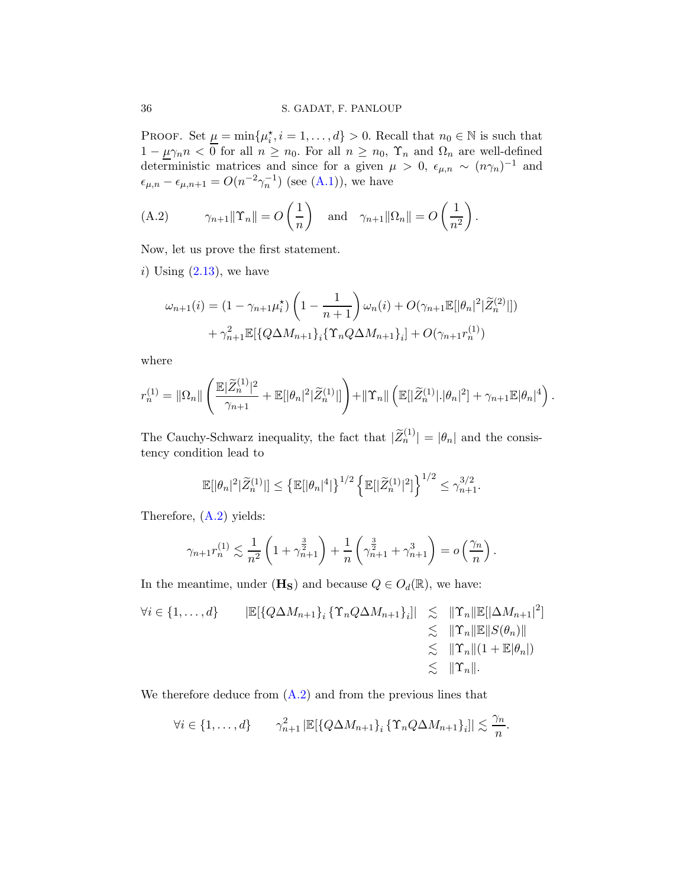PROOF. Set  $\underline{\mu} = \min\{\mu_i^*, i = 1, \ldots, d\} > 0$ . Recall that  $n_0 \in \mathbb{N}$  is such that i  $1 - \mu \gamma_n n < 0$  for all  $n \geq n_0$ . For all  $n \geq n_0$ ,  $\Upsilon_n$  and  $\Omega_n$  are well-defined deterministic matrices and since for a given  $\mu > 0$ ,  $\epsilon_{\mu,n} \sim (n\gamma_n)^{-1}$  and  $\epsilon_{\mu,n} - \epsilon_{\mu,n+1} = O(n^{-2}\gamma_n^{-1})$  (see [\(A.1\)](#page-34-3)), we have

<span id="page-35-0"></span>(A.2) 
$$
\gamma_{n+1} \|\Upsilon_n\| = O\left(\frac{1}{n}\right)
$$
 and  $\gamma_{n+1} \|\Omega_n\| = O\left(\frac{1}{n^2}\right)$ .

Now, let us prove the first statement.

i) Using  $(2.13)$ , we have

$$
\omega_{n+1}(i) = (1 - \gamma_{n+1}\mu_i^*) \left(1 - \frac{1}{n+1}\right) \omega_n(i) + O(\gamma_{n+1} \mathbb{E}[|\theta_n|^2 | \widetilde{Z}_n^{(2)}|])
$$

$$
+ \gamma_{n+1}^2 \mathbb{E}[\{Q\Delta M_{n+1}\}_i \{\Upsilon_n Q\Delta M_{n+1}\}_i] + O(\gamma_{n+1} r_n^{(1)})
$$

where

$$
r_n^{(1)} = \|\Omega_n\| \left( \frac{\mathbb{E}|\widetilde{Z}_n^{(1)}|^2}{\gamma_{n+1}} + \mathbb{E}[\|\theta_n|^2|\widetilde{Z}_n^{(1)}|\] \right) + \|\Upsilon_n\| \left( \mathbb{E}[\|\widetilde{Z}_n^{(1)}| \cdot |\theta_n|^2] + \gamma_{n+1} \mathbb{E}|\theta_n|^4 \right).
$$

The Cauchy-Schwarz inequality, the fact that  $|\widetilde{Z}_n^{(1)}| = |\theta_n|$  and the consistency condition lead to

$$
\mathbb{E}[\|\theta_n|^2|\widetilde{Z}_n^{(1)}\|] \leq \left\{\mathbb{E}[\|\theta_n|^4|\right\}^{1/2} \left\{\mathbb{E}[\|\widetilde{Z}_n^{(1)}|^2]\right\}^{1/2} \leq \gamma_{n+1}^{3/2}.
$$

Therefore, [\(A.2\)](#page-35-0) yields:

$$
\gamma_{n+1} r_n^{(1)} \lesssim \frac{1}{n^2} \left( 1 + \gamma_{n+1}^{\frac{3}{2}} \right) + \frac{1}{n} \left( \gamma_{n+1}^{\frac{3}{2}} + \gamma_{n+1}^3 \right) = o \left( \frac{\gamma_n}{n} \right).
$$

In the meantime, under  $(\mathbf{H}_\mathbf{S})$  and because  $Q \in O_d(\mathbb{R})$ , we have:

$$
\forall i \in \{1, ..., d\} \qquad |\mathbb{E}[\{Q\Delta M_{n+1}\}_i \{ \Upsilon_n Q \Delta M_{n+1}\}_i]| \leq \|\Upsilon_n \|\mathbb{E}[\Delta M_{n+1}]^2] \leq \|\Upsilon_n \|\mathbb{E}[\Delta M_{n+1}]^2 \leq \|\Upsilon_n \|\mathbb{E}||S(\theta_n)\| \leq \|\Upsilon_n \|(1 + \mathbb{E}|\theta_n|) \leq \|\Upsilon_n\|.
$$

We therefore deduce from  $(A.2)$  and from the previous lines that

$$
\forall i \in \{1, \ldots, d\} \qquad \gamma_{n+1}^2 \left| \mathbb{E}[\{Q\Delta M_{n+1}\}_i \{ \Upsilon_n Q \Delta M_{n+1}\}_i] \right| \lesssim \frac{\gamma_n}{n}.
$$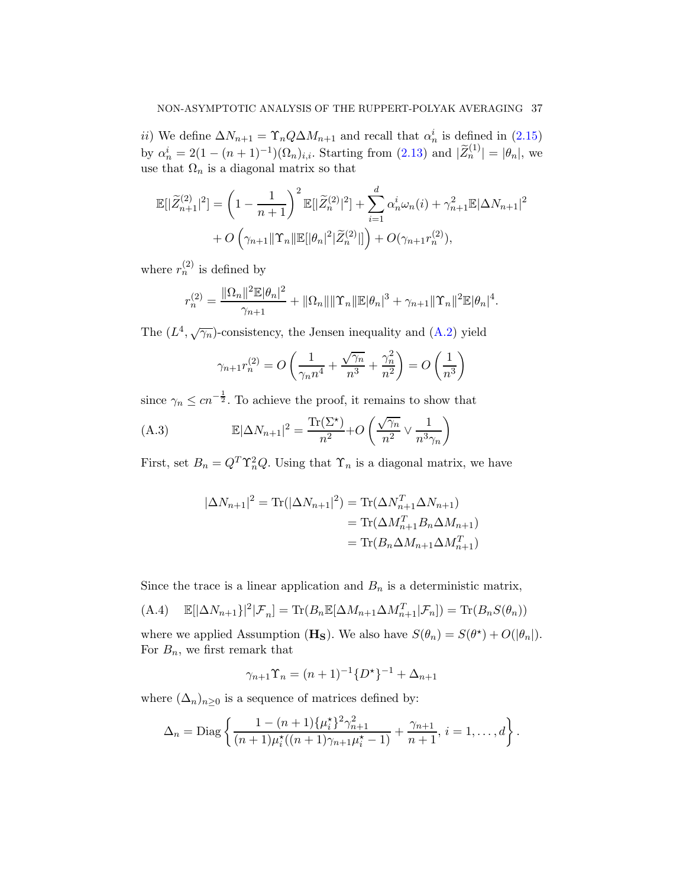*ii*) We define  $\Delta N_{n+1} = \Upsilon_n Q \Delta M_{n+1}$  and recall that  $\alpha_n^i$  is defined in [\(2.15\)](#page-23-0) by  $\alpha_n^i = 2(1 - (n+1)^{-1})(\Omega_n)_{i,i}$ . Starting from  $(2.13)$  and  $|\widetilde{Z}_n^{(1)}| = |\theta_n|$ , we use that  $\Omega_n$  is a diagonal matrix so that

$$
\mathbb{E}[|\widetilde{Z}_{n+1}^{(2)}|^2] = \left(1 - \frac{1}{n+1}\right)^2 \mathbb{E}[|\widetilde{Z}_n^{(2)}|^2] + \sum_{i=1}^d \alpha_n^i \omega_n(i) + \gamma_{n+1}^2 \mathbb{E}|\Delta N_{n+1}|^2
$$
  
+  $O\left(\gamma_{n+1} ||\Upsilon_n|| \mathbb{E}[|\theta_n|^2|\widetilde{Z}_n^{(2)}|]\right) + O(\gamma_{n+1}r_n^{(2)}),$ 

where  $r_n^{(2)}$  is defined by

$$
r_n^{(2)} = \frac{\|\Omega_n\|^2 \mathbb{E}|\theta_n|^2}{\gamma_{n+1}} + \|\Omega_n\| \|\Upsilon_n\| \mathbb{E}|\theta_n|^3 + \gamma_{n+1} \|\Upsilon_n\|^2 \mathbb{E}|\theta_n|^4.
$$

The  $(L^4, \sqrt{\gamma_n})$ -consistency, the Jensen inequality and  $(A.2)$  yield

<span id="page-36-1"></span>
$$
\gamma_{n+1} r_n^{(2)} = O\left(\frac{1}{\gamma_n n^4} + \frac{\sqrt{\gamma_n}}{n^3} + \frac{\gamma_n^2}{n^2}\right) = O\left(\frac{1}{n^3}\right)
$$

since  $\gamma_n \leq c n^{-\frac{1}{2}}$ . To achieve the proof, it remains to show that

(A.3) 
$$
\mathbb{E}|\Delta N_{n+1}|^2 = \frac{\text{Tr}(\Sigma^*)}{n^2} + O\left(\frac{\sqrt{\gamma_n}}{n^2} \vee \frac{1}{n^3 \gamma_n}\right)
$$

First, set  $B_n = Q^T \Upsilon_n^2 Q$ . Using that  $\Upsilon_n$  is a diagonal matrix, we have

$$
|\Delta N_{n+1}|^2 = \text{Tr}(|\Delta N_{n+1}|^2) = \text{Tr}(\Delta N_{n+1}^T \Delta N_{n+1})
$$
  
= 
$$
\text{Tr}(\Delta M_{n+1}^T B_n \Delta M_{n+1})
$$
  
= 
$$
\text{Tr}(B_n \Delta M_{n+1} \Delta M_{n+1}^T)
$$

Since the trace is a linear application and  $B_n$  is a deterministic matrix,

<span id="page-36-0"></span>(A.4) 
$$
\mathbb{E}[\left|\Delta N_{n+1}\right|^2|\mathcal{F}_n] = \text{Tr}(B_n \mathbb{E}[\Delta M_{n+1} \Delta M_{n+1}^T|\mathcal{F}_n]) = \text{Tr}(B_n S(\theta_n))
$$

where we applied Assumption (**H<sub>S</sub>**). We also have  $S(\theta_n) = S(\theta^*) + O(|\theta_n|)$ . For  $B_n$ , we first remark that

$$
\gamma_{n+1}\Upsilon_n = (n+1)^{-1} \{D^*\}^{-1} + \Delta_{n+1}
$$

where  $(\Delta_n)_{n\geq 0}$  is a sequence of matrices defined by:

$$
\Delta_n = \text{Diag}\left\{\frac{1-(n+1)\{\mu_i^*\}^2\gamma_{n+1}^2}{(n+1)\mu_i^*\left((n+1)\gamma_{n+1}\mu_i^*-1\right)} + \frac{\gamma_{n+1}}{n+1}, i=1,\ldots,d\right\}.
$$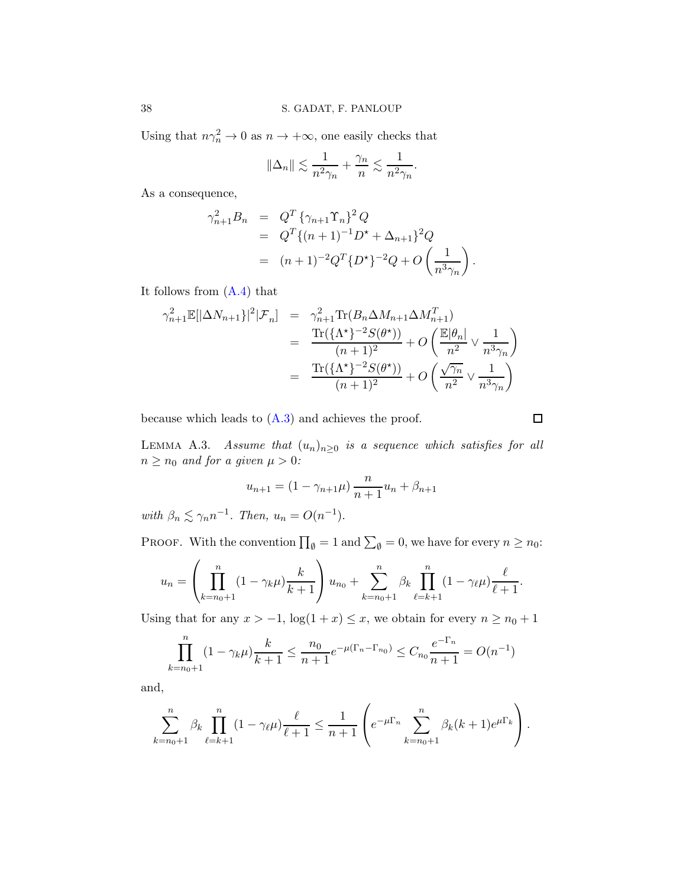Using that  $n\gamma_n^2 \to 0$  as  $n \to +\infty$ , one easily checks that

$$
\|\Delta_n\| \lesssim \frac{1}{n^2\gamma_n} + \frac{\gamma_n}{n} \lesssim \frac{1}{n^2\gamma_n}.
$$

As a consequence,

$$
\gamma_{n+1}^2 B_n = Q^T \{ \gamma_{n+1} \Upsilon_n \}^2 Q
$$
  
=  $Q^T \{ (n+1)^{-1} D^* + \Delta_{n+1} \}^2 Q$   
=  $(n+1)^{-2} Q^T \{ D^* \}^{-2} Q + O \left( \frac{1}{n^3 \gamma_n} \right).$ 

It follows from [\(A.4\)](#page-36-0) that

$$
\gamma_{n+1}^{2} \mathbb{E}[\vert \Delta N_{n+1} \vert^{2} \vert \mathcal{F}_{n}] = \gamma_{n+1}^{2} \text{Tr}(B_{n} \Delta M_{n+1} \Delta M_{n+1}^{T})
$$
  
\n
$$
= \frac{\text{Tr}(\{\Lambda^{*}\}^{-2} S(\theta^{*}))}{(n+1)^{2}} + O\left(\frac{\mathbb{E}|\theta_{n}|}{n^{2}} \vee \frac{1}{n^{3} \gamma_{n}}\right)
$$
  
\n
$$
= \frac{\text{Tr}(\{\Lambda^{*}\}^{-2} S(\theta^{*}))}{(n+1)^{2}} + O\left(\frac{\sqrt{\gamma_{n}}}{n^{2}} \vee \frac{1}{n^{3} \gamma_{n}}\right)
$$

because which leads to  $(A.3)$  and achieves the proof.

 $\Box$ 

<span id="page-37-0"></span>LEMMA A.3. Assume that  $(u_n)_{n\geq 0}$  is a sequence which satisfies for all  $n\geq n_0$  and for a given  $\mu>0$  :

$$
u_{n+1} = (1 - \gamma_{n+1}\mu) \frac{n}{n+1}u_n + \beta_{n+1}
$$

with  $\beta_n \lesssim \gamma_n n^{-1}$ . Then,  $u_n = O(n^{-1})$ .

PROOF. With the convention  $\prod_{\emptyset} = 1$  and  $\sum_{\emptyset} = 0$ , we have for every  $n \ge n_0$ :

$$
u_n = \left(\prod_{k=n_0+1}^n (1-\gamma_k \mu) \frac{k}{k+1}\right) u_{n_0} + \sum_{k=n_0+1}^n \beta_k \prod_{\ell=k+1}^n (1-\gamma_\ell \mu) \frac{\ell}{\ell+1}.
$$

Using that for any  $x > -1$ ,  $\log(1 + x) \le x$ , we obtain for every  $n \ge n_0 + 1$ 

$$
\prod_{k=n_0+1}^{n} (1 - \gamma_k \mu) \frac{k}{k+1} \le \frac{n_0}{n+1} e^{-\mu (\Gamma_n - \Gamma_{n_0})} \le C_{n_0} \frac{e^{-\Gamma_n}}{n+1} = O(n^{-1})
$$

and,

$$
\sum_{k=n_0+1}^{n} \beta_k \prod_{\ell=k+1}^{n} (1 - \gamma_{\ell}\mu) \frac{\ell}{\ell+1} \le \frac{1}{n+1} \left( e^{-\mu \Gamma_n} \sum_{k=n_0+1}^{n} \beta_k (k+1) e^{\mu \Gamma_k} \right).
$$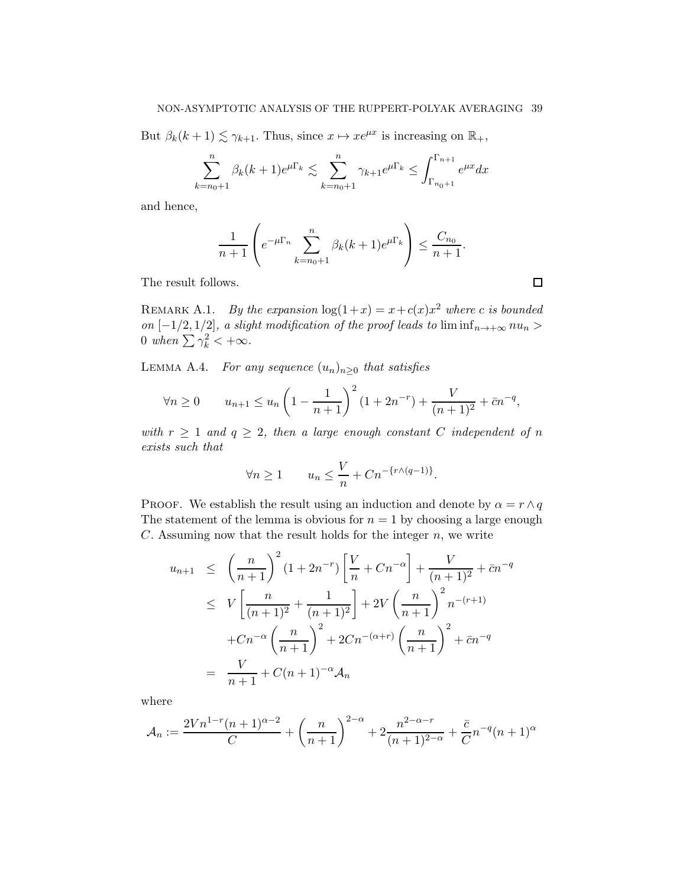But  $\beta_k(k+1) \lesssim \gamma_{k+1}$ . Thus, since  $x \mapsto xe^{\mu x}$  is increasing on  $\mathbb{R}_+$ ,

$$
\sum_{k=n_0+1}^{n} \beta_k (k+1) e^{\mu \Gamma_k} \lesssim \sum_{k=n_0+1}^{n} \gamma_{k+1} e^{\mu \Gamma_k} \le \int_{\Gamma_{n_0+1}}^{\Gamma_{n+1}} e^{\mu x} dx
$$

and hence,

$$
\frac{1}{n+1} \left( e^{-\mu \Gamma_n} \sum_{k=n_0+1}^n \beta_k (k+1) e^{\mu \Gamma_k} \right) \le \frac{C_{n_0}}{n+1}.
$$

The result follows.

REMARK A.1. By the expansion  $\log(1+x) = x + c(x)x^2$  where c is bounded on  $[-1/2, 1/2]$ , a slight modification of the proof leads to  $\liminf_{n\to+\infty}nu_n$ 0 when  $\sum \gamma_k^2 < +\infty$ .

<span id="page-38-0"></span>LEMMA A.4. For any sequence  $(u_n)_{n\geq 0}$  that satisfies

$$
\forall n \ge 0 \qquad u_{n+1} \le u_n \left(1 - \frac{1}{n+1}\right)^2 (1 + 2n^{-r}) + \frac{V}{(n+1)^2} + \bar{c}n^{-q},
$$

with  $r \geq 1$  and  $q \geq 2$ , then a large enough constant C independent of n exists such that

$$
\forall n \ge 1 \qquad u_n \le \frac{V}{n} + C n^{-\{r \wedge (q-1)\}}.
$$

PROOF. We establish the result using an induction and denote by  $\alpha = r \wedge q$ The statement of the lemma is obvious for  $n = 1$  by choosing a large enough  $C$ . Assuming now that the result holds for the integer  $n$ , we write

$$
u_{n+1} \leq \left(\frac{n}{n+1}\right)^2 (1+2n^{-r}) \left[\frac{V}{n} + Cn^{-\alpha}\right] + \frac{V}{(n+1)^2} + \bar{c}n^{-q}
$$
  

$$
\leq V \left[\frac{n}{(n+1)^2} + \frac{1}{(n+1)^2}\right] + 2V \left(\frac{n}{n+1}\right)^2 n^{-(r+1)}
$$
  

$$
+ Cn^{-\alpha} \left(\frac{n}{n+1}\right)^2 + 2Cn^{-(\alpha+r)} \left(\frac{n}{n+1}\right)^2 + \bar{c}n^{-q}
$$
  

$$
= \frac{V}{n+1} + C(n+1)^{-\alpha} \mathcal{A}_n
$$

where

$$
\mathcal{A}_n := \frac{2Vn^{1-r}(n+1)^{\alpha-2}}{C} + \left(\frac{n}{n+1}\right)^{2-\alpha} + 2\frac{n^{2-\alpha-r}}{(n+1)^{2-\alpha}} + \frac{\bar{c}}{C}n^{-q}(n+1)^{\alpha}
$$

 $\Box$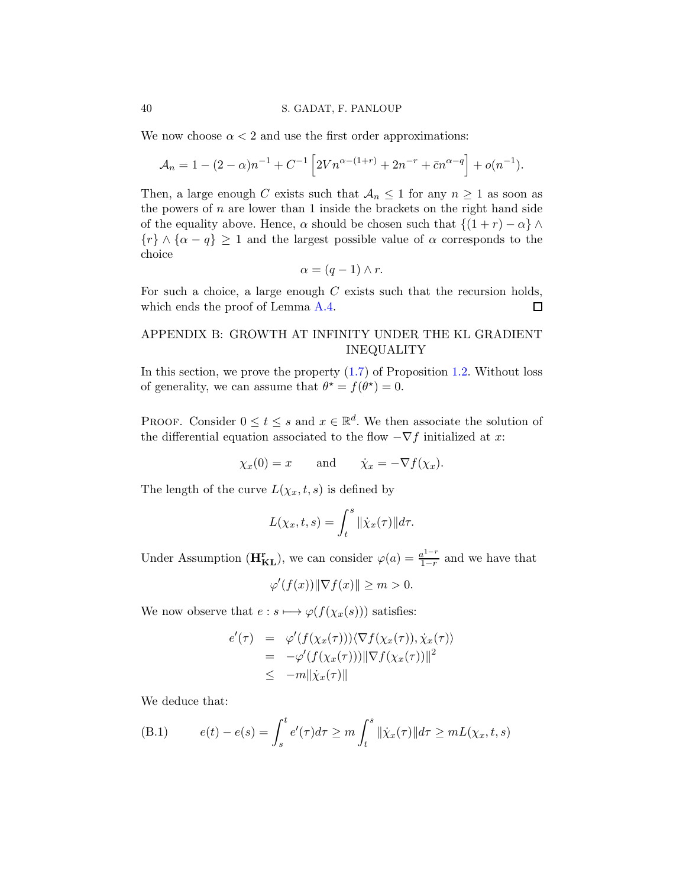### 40 S. GADAT, F. PANLOUP

We now choose  $\alpha < 2$  and use the first order approximations:

$$
\mathcal{A}_n = 1 - (2 - \alpha)n^{-1} + C^{-1} \left[ 2Vn^{\alpha - (1+r)} + 2n^{-r} + \bar{c}n^{\alpha - q} \right] + o(n^{-1}).
$$

Then, a large enough C exists such that  $A_n \leq 1$  for any  $n \geq 1$  as soon as the powers of  $n$  are lower than 1 inside the brackets on the right hand side of the equality above. Hence,  $\alpha$  should be chosen such that  $\{(1 + r) - \alpha\}\wedge$  ${r} \wedge {\alpha - q} \ge 1$  and the largest possible value of  $\alpha$  corresponds to the choice

$$
\alpha = (q-1) \wedge r.
$$

For such a choice, a large enough  $C$  exists such that the recursion holds, which ends the proof of Lemma [A.4.](#page-38-0)  $\Box$ 

# <span id="page-39-0"></span>APPENDIX B: GROWTH AT INFINITY UNDER THE KL GRADIENT INEQUALITY

In this section, we prove the property  $(1.7)$  of Proposition [1.2.](#page-8-2) Without loss of generality, we can assume that  $\theta^* = f(\theta^*) = 0$ .

PROOF. Consider  $0 \le t \le s$  and  $x \in \mathbb{R}^d$ . We then associate the solution of the differential equation associated to the flow  $-\nabla f$  initialized at x:

$$
\chi_x(0) = x
$$
 and  $\dot{\chi}_x = -\nabla f(\chi_x)$ .

The length of the curve  $L(\chi_x, t, s)$  is defined by

$$
L(\chi_x, t, s) = \int_t^s \|\dot{\chi}_x(\tau)\| d\tau.
$$

Under Assumption ( $\mathbf{H}_{KL}^{r}$ ), we can consider  $\varphi(a) = \frac{a^{1-r}}{1-r}$  $\frac{a^{1-r}}{1-r}$  and we have that

$$
\varphi'(f(x)) \|\nabla f(x)\| \ge m > 0.
$$

We now observe that  $e : s \longmapsto \varphi(f(\chi_x(s)))$  satisfies:

$$
e'(\tau) = \varphi'(f(\chi_x(\tau))) \langle \nabla f(\chi_x(\tau)), \dot{\chi}_x(\tau) \rangle
$$
  
=  $-\varphi'(f(\chi_x(\tau))) \|\nabla f(\chi_x(\tau))\|^2$   
 $\leq -m \|\dot{\chi}_x(\tau)\|$ 

We deduce that:

<span id="page-39-1"></span>(B.1) 
$$
e(t) - e(s) = \int_s^t e'(\tau) d\tau \ge m \int_t^s \|\dot{\chi}_x(\tau)\| d\tau \ge mL(\chi_x, t, s)
$$